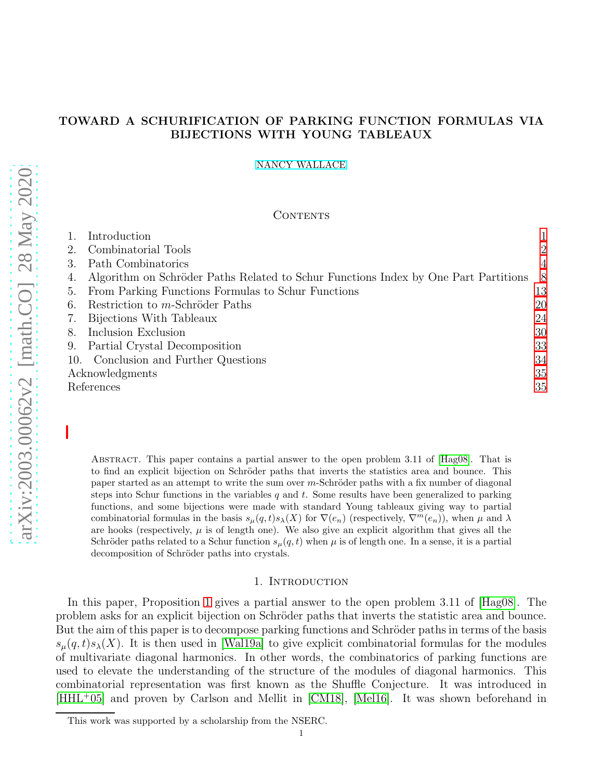# TOWARD A SCHURIFICATION OF PARKING FUNCTION FORMULAS VIA BIJECTIONS WITH YOUNG TABLEAUX

[NANCY WALLACE](WALLACE.NANCY@COURRIER.UQAM.CA)

## CONTENTS

|    | Introduction                                                                        |                |
|----|-------------------------------------------------------------------------------------|----------------|
|    | Combinatorial Tools                                                                 | 2              |
| 3. | Path Combinatorics                                                                  | $\overline{4}$ |
|    | Algorithm on Schröder Paths Related to Schur Functions Index by One Part Partitions | - 8            |
| 5. | From Parking Functions Formulas to Schur Functions                                  | 13             |
| 6. | Restriction to $m$ -Schröder Paths                                                  | 20             |
| 7. | Bijections With Tableaux                                                            | 24             |
| 8. | Inclusion Exclusion                                                                 | 30             |
| 9. | Partial Crystal Decomposition                                                       | 33             |
|    | 10. Conclusion and Further Questions                                                | 34             |
|    | Acknowledgments                                                                     |                |
|    | References                                                                          |                |

Abstract. This paper contains a partial answer to the open problem 3.11 of [Hag08]. That is to find an explicit bijection on Schröder paths that inverts the statistics area and bounce. This paper started as an attempt to write the sum over m-Schröder paths with a fix number of diagonal steps into Schur functions in the variables  $q$  and  $t$ . Some results have been generalized to parking functions, and some bijections were made with standard Young tableaux giving way to partial combinatorial formulas in the basis  $s_{\mu}(q, t)s_{\lambda}(X)$  for  $\nabla(e_n)$  (respectively,  $\nabla^m(e_n)$ ), when  $\mu$  and  $\lambda$ are hooks (respectively,  $\mu$  is of length one). We also give an explicit algorithm that gives all the Schröder paths related to a Schur function  $s_\mu(q, t)$  when  $\mu$  is of length one. In a sense, it is a partial decomposition of Schröder paths into crystals.

#### 1. Introduction

<span id="page-0-0"></span>In this paper, Proposition [1](#page-11-0) gives a partial answer to the open problem 3.11 of [Hag08]. The problem asks for an explicit bijection on Schröder paths that inverts the statistic area and bounce. But the aim of this paper is to decompose parking functions and Schröder paths in terms of the basis  $s_{\mu}(q, t)s_{\lambda}(X)$ . It is then used in [Wal19a] to give explicit combinatorial formulas for the modules of multivariate diagonal harmonics. In other words, the combinatorics of parking functions are used to elevate the understanding of the structure of the modules of diagonal harmonics. This combinatorial representation was first known as the Shuffle Conjecture. It was introduced in [HHL<sup>+</sup>05] and proven by Carlson and Mellit in [CM18], [Mel16]. It was shown beforehand in

This work was supported by a scholarship from the NSERC.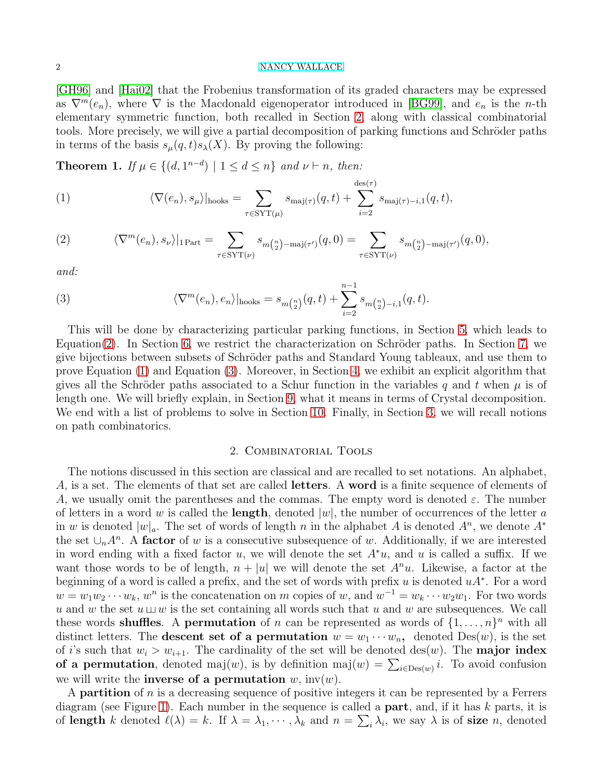[GH96] and [Hai02] that the Frobenius transformation of its graded characters may be expressed as  $\nabla^{m}(e_n)$ , where  $\nabla$  is the Macdonald eigenoperator introduced in [BG99], and  $e_n$  is the *n*-th elementary symmetric function, both recalled in Section [2,](#page-1-0) along with classical combinatorial tools. More precisely, we will give a partial decomposition of parking functions and Schröder paths in terms of the basis  $s_{\mu}(q, t)s_{\lambda}(X)$ . By proving the following:

<span id="page-1-4"></span>**Theorem 1.** If  $\mu \in \{(d, 1^{n-d}) \mid 1 \leq d \leq n\}$  and  $\nu \vdash n$ , then:

<span id="page-1-2"></span>(1) 
$$
\langle \nabla(e_n), s_\mu \rangle|_{\text{hook}} = \sum_{\tau \in \text{SYT}(\mu)} s_{\text{maj}(\tau)}(q, t) + \sum_{i=2}^{\text{des}(\tau)} s_{\text{maj}(\tau) - i, 1}(q, t),
$$

<span id="page-1-1"></span>(2) 
$$
\langle \nabla^m(e_n), s_\nu \rangle|_{1\text{ Part}} = \sum_{\tau \in \text{SYT}(\nu)} s_{m\binom{n}{2} - \text{maj}(\tau')}(q, 0) = \sum_{\tau \in \text{SYT}(\nu)} s_{m\binom{n}{2} - \text{maj}(\tau')}(q, 0),
$$

*and:*

<span id="page-1-3"></span>(3) 
$$
\langle \nabla^m(e_n), e_n \rangle |_{\text{hook}} = s_{m{n \choose 2}}(q, t) + \sum_{i=2}^{n-1} s_{m{n \choose 2} - i, 1}(q, t).
$$

This will be done by characterizing particular parking functions, in Section [5,](#page-12-0) which leads to Equation[\(2\)](#page-1-1). In Section [6,](#page-19-0) we restrict the characterization on Schröder paths. In Section [7,](#page-23-0) we give bijections between subsets of Schröder paths and Standard Young tableaux, and use them to prove Equation [\(1\)](#page-1-2) and Equation [\(3\)](#page-1-3). Moreover, in Section [4,](#page-7-0) we exhibit an explicit algorithm that gives all the Schröder paths associated to a Schur function in the variables q and t when  $\mu$  is of length one. We will briefly explain, in Section [9,](#page-32-0) what it means in terms of Crystal decomposition. We end with a list of problems to solve in Section [10.](#page-33-0) Finally, in Section [3,](#page-3-0) we will recall notions on path combinatorics.

## 2. Combinatorial Tools

<span id="page-1-0"></span>The notions discussed in this section are classical and are recalled to set notations. An alphabet, A, is a set. The elements of that set are called **letters**. A word is a finite sequence of elements of A, we usually omit the parentheses and the commas. The empty word is denoted  $\varepsilon$ . The number of letters in a word w is called the **length**, denoted  $|w|$ , the number of occurrences of the letter a in w is denoted  $|w|_a$ . The set of words of length n in the alphabet A is denoted  $A^n$ , we denote  $A^*$ the set  $\cup_n A^n$ . A factor of w is a consecutive subsequence of w. Additionally, if we are interested in word ending with a fixed factor u, we will denote the set  $A^*u$ , and u is called a suffix. If we want those words to be of length,  $n + |u|$  we will denote the set  $A<sup>n</sup>u$ . Likewise, a factor at the beginning of a word is called a prefix, and the set of words with prefix  $u$  is denoted  $uA^*$ . For a word  $w = w_1 w_2 \cdots w_k$ ,  $w^n$  is the concatenation on m copies of w, and  $w^{-1} = w_k \cdots w_2 w_1$ . For two words u and w the set  $u \sqcup w$  is the set containing all words such that u and w are subsequences. We call these words shuffles. A permutation of n can be represented as words of  $\{1, \ldots, n\}^n$  with all distinct letters. The **descent set of a permutation**  $w = w_1 \cdots w_n$ , denoted  $Des(w)$ , is the set of i's such that  $w_i > w_{i+1}$ . The cardinality of the set will be denoted des(w). The **major index** of a permutation, denoted maj $(w)$ , is by definition maj $(w) = \sum_{i \in \text{Des}(w)} i$ . To avoid confusion we will write the **inverse of a permutation** w,  $inv(w)$ .

A **partition** of n is a decreasing sequence of positive integers it can be represented by a Ferrers diagram (see Figure [1\)](#page-2-0). Each number in the sequence is called a **part**, and, if it has  $k$  parts, it is of length k denoted  $\ell(\lambda) = k$ . If  $\lambda = \lambda_1, \dots, \lambda_k$  and  $n = \sum_i \lambda_i$ , we say  $\lambda$  is of size n, denoted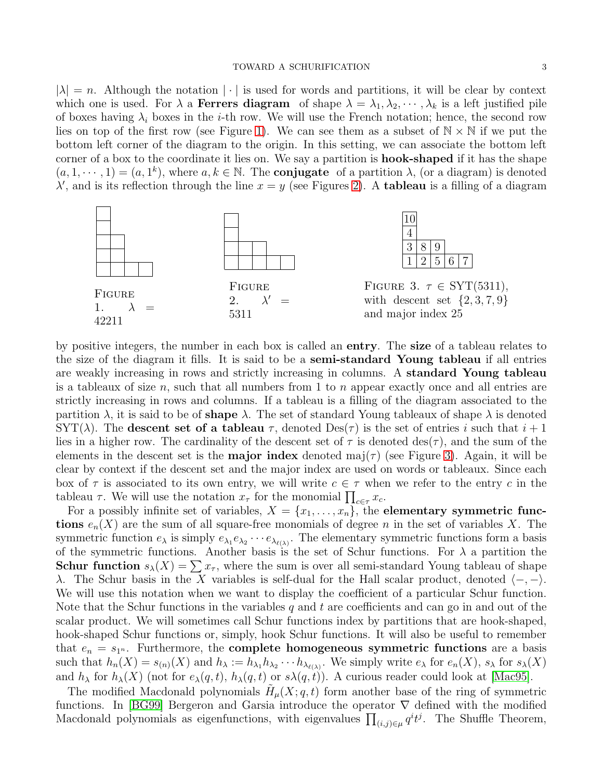#### <span id="page-2-2"></span>TOWARD A SCHURIFICATION 3

 $|\lambda| = n$ . Although the notation  $|\cdot|$  is used for words and partitions, it will be clear by context which one is used. For  $\lambda$  a **Ferrers diagram** of shape  $\lambda = \lambda_1, \lambda_2, \cdots, \lambda_k$  is a left justified pile of boxes having  $\lambda_i$  boxes in the *i*-th row. We will use the French notation; hence, the second row lies on top of the first row (see Figure [1\)](#page-2-0). We can see them as a subset of  $\mathbb{N} \times \mathbb{N}$  if we put the bottom left corner of the diagram to the origin. In this setting, we can associate the bottom left corner of a box to the coordinate it lies on. We say a partition is **hook-shaped** if it has the shape  $(a, 1, \dots, 1) = (a, 1<sup>k</sup>)$ , where  $a, k \in \mathbb{N}$ . The **conjugate** of a partition  $\lambda$ , (or a diagram) is denoted  $\lambda'$ , and is its reflection through the line  $x = y$  (see Figures [2\)](#page-2-1). A **tableau** is a filling of a diagram



<span id="page-2-1"></span><span id="page-2-0"></span>by positive integers, the number in each box is called an **entry**. The **size** of a tableau relates to the size of the diagram it fills. It is said to be a **semi-standard Young tableau** if all entries are weakly increasing in rows and strictly increasing in columns. A standard Young tableau is a tableaux of size n, such that all numbers from 1 to n appear exactly once and all entries are strictly increasing in rows and columns. If a tableau is a filling of the diagram associated to the partition  $\lambda$ , it is said to be of **shape**  $\lambda$ . The set of standard Young tableaux of shape  $\lambda$  is denoted  $SYT(\lambda)$ . The **descent set of a tableau**  $\tau$ , denoted  $Des(\tau)$  is the set of entries i such that  $i + 1$ lies in a higher row. The cardinality of the descent set of  $\tau$  is denoted des( $\tau$ ), and the sum of the elements in the descent set is the **major index** denoted  $\text{maj}(\tau)$  (see Figure [3\)](#page-2-2). Again, it will be clear by context if the descent set and the major index are used on words or tableaux. Since each box of  $\tau$  is associated to its own entry, we will write  $c \in \tau$  when we refer to the entry c in the tableau  $\tau$ . We will use the notation  $x_{\tau}$  for the monomial  $\prod_{c \in \tau} x_c$ .

For a possibly infinite set of variables,  $X = \{x_1, \ldots, x_n\}$ , the **elementary symmetric func**tions  $e_n(X)$  are the sum of all square-free monomials of degree n in the set of variables X. The symmetric function  $e_{\lambda}$  is simply  $e_{\lambda_1}e_{\lambda_2}\cdots e_{\lambda_{\ell(\lambda)}}$ . The elementary symmetric functions form a basis of the symmetric functions. Another basis is the set of Schur functions. For  $\lambda$  a partition the **Schur function**  $s_{\lambda}(X) = \sum x_{\tau}$ , where the sum is over all semi-standard Young tableau of shape λ. The Schur basis in the X variables is self-dual for the Hall scalar product, denoted  $\langle -, - \rangle$ . We will use this notation when we want to display the coefficient of a particular Schur function. Note that the Schur functions in the variables  $q$  and  $t$  are coefficients and can go in and out of the scalar product. We will sometimes call Schur functions index by partitions that are hook-shaped, hook-shaped Schur functions or, simply, hook Schur functions. It will also be useful to remember that  $e_n = s_{1^n}$ . Furthermore, the **complete homogeneous symmetric functions** are a basis such that  $h_n(X) = s_{(n)}(X)$  and  $h_\lambda := h_{\lambda_1} h_{\lambda_2} \cdots h_{\lambda_{\ell(\lambda)}}$ . We simply write  $e_\lambda$  for  $e_n(X)$ ,  $s_\lambda$  for  $s_\lambda(X)$ and  $h_{\lambda}$  for  $h_{\lambda}(X)$  (not for  $e_{\lambda}(q, t)$ ,  $h_{\lambda}(q, t)$  or  $s\lambda(q, t)$ ). A curious reader could look at [Mac95].

The modified Macdonald polynomials  $\tilde{H}_{\mu}(X; q, t)$  form another base of the ring of symmetric functions. In [BG99] Bergeron and Garsia introduce the operator  $\nabla$  defined with the modified Macdonald polynomials as eigenfunctions, with eigenvalues  $\prod_{(i,j)\in\mu} q^i t^j$ . The Shuffle Theorem,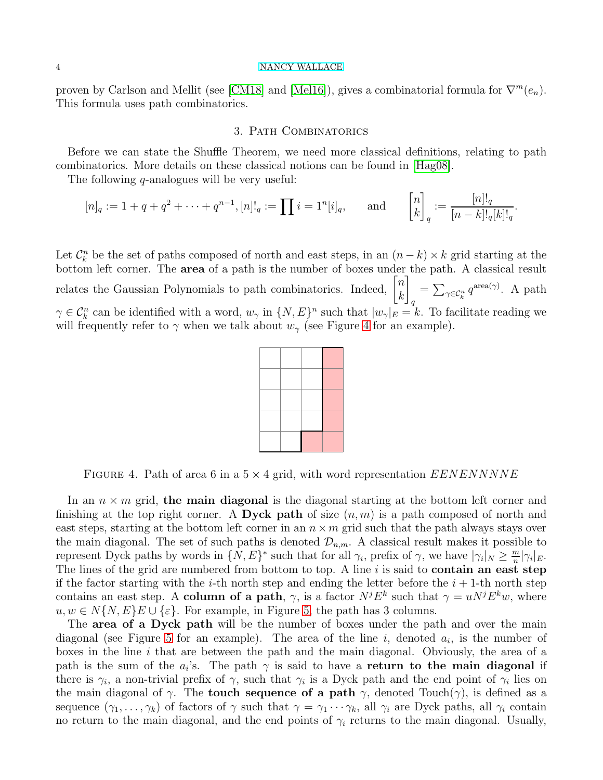<span id="page-3-0"></span>proven by Carlson and Mellit (see [CM18] and [Mel16]), gives a combinatorial formula for  $\nabla^{m}(e_{n})$ . This formula uses path combinatorics.

## 3. Path Combinatorics

Before we can state the Shuffle Theorem, we need more classical definitions, relating to path combinatorics. More details on these classical notions can be found in [Hag08].

The following *q*-analogues will be very useful:

$$
[n]_q := 1 + q + q^2 + \dots + q^{n-1}, [n]!_q := \prod_i i = 1^n [i]_q
$$
, and  $\begin{bmatrix} n \\ k \end{bmatrix}_q := \frac{[n]!_q}{[n-k]!_q [k]!_q}$ .

Let  $\mathcal{C}_k^n$  be the set of paths composed of north and east steps, in an  $(n-k) \times k$  grid starting at the bottom left corner. The area of a path is the number of boxes under the path. A classical result relates the Gaussian Polynomials to path combinatorics. Indeed,  $\begin{bmatrix} n \\ n \end{bmatrix}$ k 1 q  $=\sum_{\gamma\in\mathcal{C}_k^n} q^{\text{area}(\gamma)}$ . A path  $\gamma \in \mathcal{C}_{k}^{n}$  can be identified with a word,  $w_{\gamma}$  in  $\{N, E\}^{n}$  such that  $|w_{\gamma}|_{E} = k$ . To facilitate reading we will frequently refer to  $\gamma$  when we talk about  $w_{\gamma}$  (see Figure [4](#page-3-1) for an example).



<span id="page-3-1"></span>FIGURE 4. Path of area 6 in a  $5 \times 4$  grid, with word representation EENENNNNE

In an  $n \times m$  grid, the main diagonal is the diagonal starting at the bottom left corner and finishing at the top right corner. A Dyck path of size  $(n, m)$  is a path composed of north and east steps, starting at the bottom left corner in an  $n \times m$  grid such that the path always stays over the main diagonal. The set of such paths is denoted  $\mathcal{D}_{n,m}$ . A classical result makes it possible to represent Dyck paths by words in  $\{N, E\}^*$  such that for all  $\gamma_i$ , prefix of  $\gamma$ , we have  $|\gamma_i|_N \geq \frac{m}{n}$  $\frac{m}{n}|\gamma_i|_E.$ The lines of the grid are numbered from bottom to top. A line  $i$  is said to **contain an east step** if the factor starting with the *i*-th north step and ending the letter before the  $i + 1$ -th north step contains an east step. A column of a path,  $\gamma$ , is a factor  $N^{j}E^{k}$  such that  $\gamma = uN^{j}E^{k}w$ , where  $u, w \in N\{N, E\}E \cup \{\varepsilon\}.$  For example, in Figure [5,](#page-4-0) the path has 3 columns.

The **area of a Dyck path** will be the number of boxes under the path and over the main diagonal (see Figure [5](#page-4-0) for an example). The area of the line i, denoted  $a_i$ , is the number of boxes in the line i that are between the path and the main diagonal. Obviously, the area of a path is the sum of the  $a_i$ 's. The path  $\gamma$  is said to have a return to the main diagonal if there is  $\gamma_i$ , a non-trivial prefix of  $\gamma$ , such that  $\gamma_i$  is a Dyck path and the end point of  $\gamma_i$  lies on the main diagonal of  $\gamma$ . The **touch sequence of a path**  $\gamma$ , denoted Touch( $\gamma$ ), is defined as a sequence  $(\gamma_1,\ldots,\gamma_k)$  of factors of  $\gamma$  such that  $\gamma=\gamma_1\cdots\gamma_k$ , all  $\gamma_i$  are Dyck paths, all  $\gamma_i$  contain no return to the main diagonal, and the end points of  $\gamma_i$  returns to the main diagonal. Usually,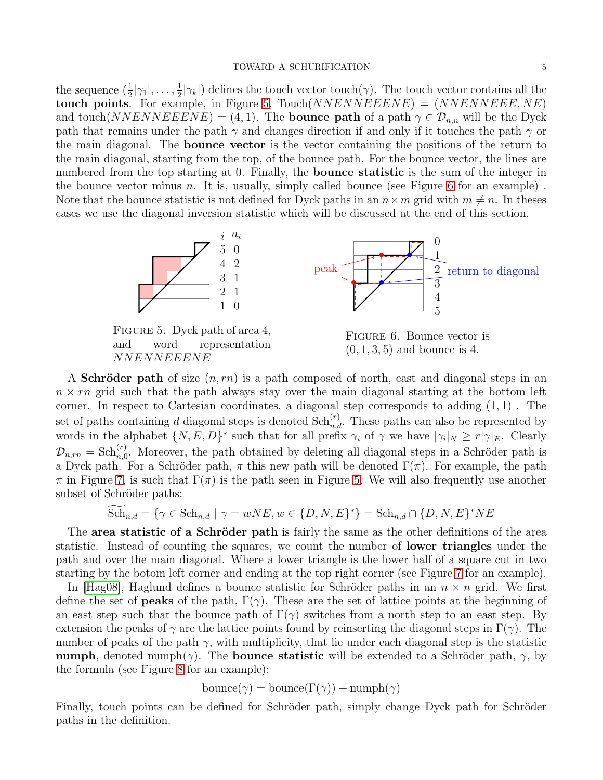#### TOWARD A SCHURIFICATION 5

the sequence  $\left(\frac{1}{2}|\gamma_1|,\ldots,\frac{1}{2}\right)$  $\frac{1}{2}|\gamma_k|$ ) defines the touch vector touch( $\gamma$ ). The touch vector contains all the touch points. For example, in Figure [5,](#page-4-0) Touch(NNENNEEENE) =  $(NNENNEEENE)$ and touch(*NNENNEEENE*) = (4, 1). The **bounce path** of a path  $\gamma \in \mathcal{D}_{n,n}$  will be the Dyck path that remains under the path  $\gamma$  and changes direction if and only if it touches the path  $\gamma$  or the main diagonal. The bounce vector is the vector containing the positions of the return to the main diagonal, starting from the top, of the bounce path. For the bounce vector, the lines are numbered from the top starting at 0. Finally, the **bounce statistic** is the sum of the integer in the bounce vector minus n. It is, usually, simply called bounce (see Figure [6](#page-4-1) for an example). Note that the bounce statistic is not defined for Dyck paths in an  $n \times m$  grid with  $m \neq n$ . In theses cases we use the diagonal inversion statistic which will be discussed at the end of this section.



<span id="page-4-0"></span>and word representation NNENNEEENE

<span id="page-4-1"></span> $(0, 1, 3, 5)$  and bounce is 4.

A **Schröder path** of size  $(n, rn)$  is a path composed of north, east and diagonal steps in an  $n \times rn$  grid such that the path always stay over the main diagonal starting at the bottom left corner. In respect to Cartesian coordinates, a diagonal step corresponds to adding (1, 1) . The set of paths containing d diagonal steps is denoted  $\text{Sch}^{(r)}_{n,d}$ . These paths can also be represented by words in the alphabet  $\{N, E, D\}^*$  such that for all prefix  $\gamma_i$  of  $\gamma$  we have  $|\gamma_i|_N \geq r|\gamma|_E$ . Clearly  $\mathcal{D}_{n,m} = \text{Sch}_{n,0}^{(r)}$ . Moreover, the path obtained by deleting all diagonal steps in a Schröder path is a Dyck path. For a Schröder path,  $\pi$  this new path will be denoted  $\Gamma(\pi)$ . For example, the path  $\pi$  in Figure [7,](#page-5-0) is such that  $\Gamma(\pi)$  is the path seen in Figure [5.](#page-4-0) We will also frequently use another subset of Schröder paths:

$$
\widetilde{\text{Sch}}_{n,d} = \{ \gamma \in \text{Sch}_{n,d} \mid \gamma = wNE, w \in \{D, N, E\}^* \} = \text{Sch}_{n,d} \cap \{D, N, E\}^* NE
$$

The **area statistic of a Schröder path** is fairly the same as the other definitions of the area statistic. Instead of counting the squares, we count the number of lower triangles under the path and over the main diagonal. Where a lower triangle is the lower half of a square cut in two starting by the botom left corner and ending at the top right corner (see Figure [7](#page-5-0) for an example).

In [Hag08], Haglund defines a bounce statistic for Schröder paths in an  $n \times n$  grid. We first define the set of **peaks** of the path,  $\Gamma(\gamma)$ . These are the set of lattice points at the beginning of an east step such that the bounce path of  $\Gamma(\gamma)$  switches from a north step to an east step. By extension the peaks of  $\gamma$  are the lattice points found by reinserting the diagonal steps in  $\Gamma(\gamma)$ . The number of peaks of the path  $\gamma$ , with multiplicity, that lie under each diagonal step is the statistic numph, denoted numph( $\gamma$ ). The **bounce statistic** will be extended to a Schröder path,  $\gamma$ , by the formula (see Figure [8](#page-5-1) for an example):

$$
bounce(\gamma) = bounce(\Gamma(\gamma)) + numph(\gamma)
$$

Finally, touch points can be defined for Schröder path, simply change Dyck path for Schröder paths in the definition.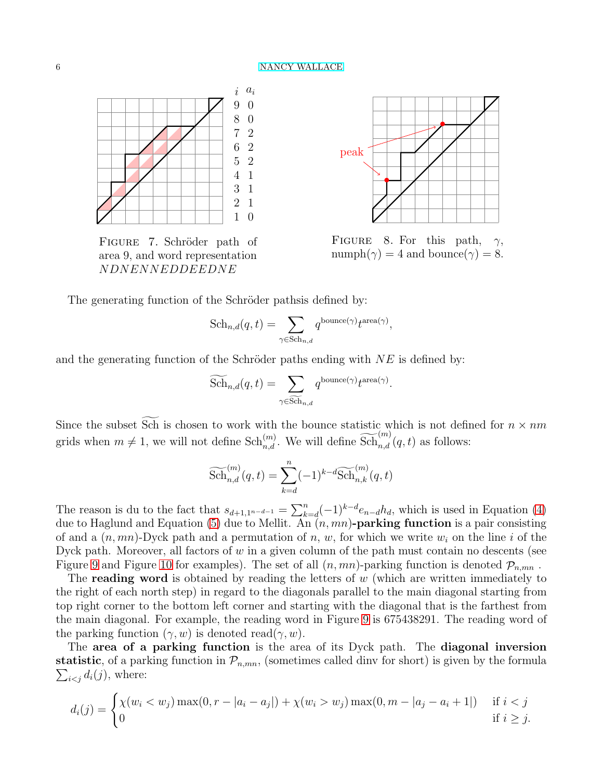

<span id="page-5-0"></span>FIGURE 7. Schröder path of area 9, and word representation NDNENNEDDEEDNE



<span id="page-5-1"></span>FIGURE 8. For this path,  $\gamma$ ,  $\text{number}(\gamma) = 4$  and  $\text{bounce}(\gamma) = 8$ .

The generating function of the Schröder paths is defined by:

$$
\text{Sch}_{n,d}(q,t) = \sum_{\gamma \in \text{Sch}_{n,d}} q^{\text{bounce}(\gamma)} t^{\text{area}(\gamma)},
$$

and the generating function of the Schröder paths ending with  $NE$  is defined by:

$$
\widetilde{\text{Sch}}_{n,d}(q,t) = \sum_{\gamma \in \widetilde{\text{Sch}}_{n,d}} q^{\text{bounce}(\gamma)} t^{\text{area}(\gamma)}.
$$

Since the subset Sch is chosen to work with the bounce statistic which is not defined for  $n \times nm$ grids when  $m \neq 1$ , we will not define  $\text{Sch}_{n,d}^{(m)}$ . We will define  $\widetilde{\text{Sch}}_{n,d}^{(m)}(q, t)$  as follows:

$$
\widetilde{\text{Sch}}_{n,d}^{(m)}(q,t) = \sum_{k=d}^{n} (-1)^{k-d} \widetilde{\text{Sch}}_{n,k}^{(m)}(q,t)
$$

The reason is du to the fact that  $s_{d+1,1^{n-d-1}} = \sum_{k=d}^{n} (-1)^{k-d} e_{n-d} h_d$ , which is used in Equation [\(4\)](#page-7-1) due to Haglund and Equation [\(5\)](#page-7-2) due to Mellit. An  $(n, mn)$ -parking function is a pair consisting of and a  $(n, mn)$ -Dyck path and a permutation of n, w, for which we write  $w_i$  on the line i of the Dyck path. Moreover, all factors of  $w$  in a given column of the path must contain no descents (see Figure [9](#page-6-0) and Figure [10](#page-6-1) for examples). The set of all  $(n, mn)$ -parking function is denoted  $\mathcal{P}_{n,mn}$ .

The **reading word** is obtained by reading the letters of  $w$  (which are written immediately to the right of each north step) in regard to the diagonals parallel to the main diagonal starting from top right corner to the bottom left corner and starting with the diagonal that is the farthest from the main diagonal. For example, the reading word in Figure [9](#page-6-0) is 675438291. The reading word of the parking function  $(\gamma, w)$  is denoted read $(\gamma, w)$ .

The area of a parking function is the area of its Dyck path. The diagonal inversion statistic, of a parking function in  $\mathcal{P}_{n,mn}$ , (sometimes called dinv for short) is given by the formula  $\sum_{i < j} d_i(j)$ , where:

$$
d_i(j) = \begin{cases} \chi(w_i < w_j) \max(0, r - |a_i - a_j|) + \chi(w_i > w_j) \max(0, m - |a_j - a_i + 1|) & \text{if } i < j \\ 0 & \text{if } i \geq j. \end{cases}
$$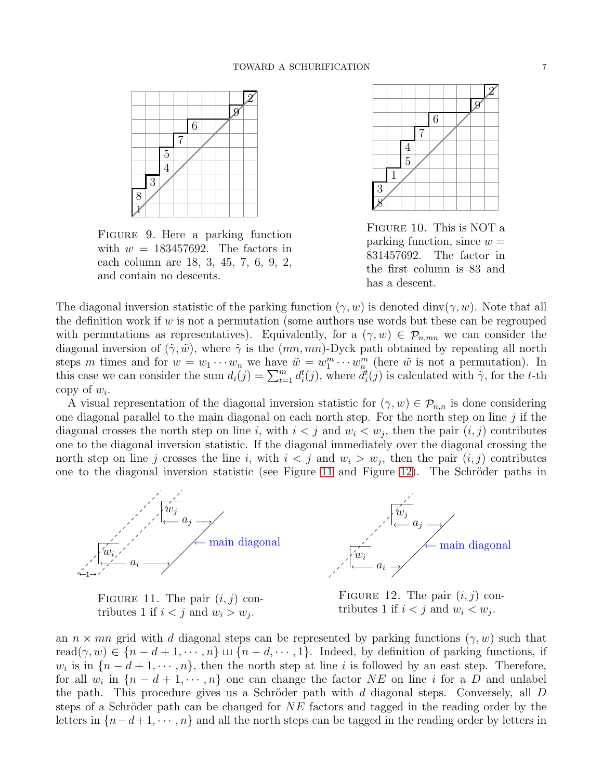

<span id="page-6-0"></span>Figure 9. Here a parking function with  $w = 183457692$ . The factors in each column are 18, 3, 45, 7, 6, 9, 2, and contain no descents.



<span id="page-6-1"></span>Figure 10. This is NOT a parking function, since  $w =$ 831457692. The factor in the first column is 83 and has a descent.

The diagonal inversion statistic of the parking function  $(\gamma, w)$  is denoted dinv $(\gamma, w)$ . Note that all the definition work if  $w$  is not a permutation (some authors use words but these can be regrouped with permutations as representatives). Equivalently, for a  $(\gamma, w) \in \mathcal{P}_{n,mn}$  we can consider the diagonal inversion of  $(\tilde{\gamma}, \tilde{w})$ , where  $\tilde{\gamma}$  is the  $(mn, mn)$ -Dyck path obtained by repeating all north steps m times and for  $w = w_1 \cdots w_n$  we have  $\tilde{w} = w_1^m \cdots w_n^m$  (here  $\tilde{w}$  is not a permutation). In this case we can consider the sum  $d_i(j) = \sum_{t=1}^m d_i^t(j)$ , where  $d_i^t(j)$  is calculated with  $\tilde{\gamma}$ , for the t-th copy of  $w_i$ .

A visual representation of the diagonal inversion statistic for  $(\gamma, w) \in \mathcal{P}_{n,n}$  is done considering one diagonal parallel to the main diagonal on each north step. For the north step on line  $j$  if the diagonal crosses the north step on line i, with  $i < j$  and  $w_i < w_j$ , then the pair  $(i, j)$  contributes one to the diagonal inversion statistic. If the diagonal immediately over the diagonal crossing the north step on line j crosses the line i, with  $i < j$  and  $w_i > w_j$ , then the pair  $(i, j)$  contributes one to the diagonal inversion statistic (see Figure [11](#page-6-2) and Figure [12\)](#page-6-3). The Schröder paths in



<span id="page-6-2"></span>FIGURE 11. The pair  $(i, j)$  contributes 1 if  $i < j$  and  $w_i > w_j$ .

<span id="page-6-3"></span>FIGURE 12. The pair  $(i, j)$  contributes 1 if  $i < j$  and  $w_i < w_j$ .

an  $n \times mn$  grid with d diagonal steps can be represented by parking functions  $(\gamma, w)$  such that read $(\gamma, w) \in \{n - d + 1, \dots, n\} \sqcup \{n - d, \dots, 1\}$ . Indeed, by definition of parking functions, if  $w_i$  is in  $\{n-d+1,\dots,n\}$ , then the north step at line i is followed by an east step. Therefore, for all  $w_i$  in  $\{n-d+1,\dots,n\}$  one can change the factor NE on line i for a D and unlabel the path. This procedure gives us a Schröder path with  $d$  diagonal steps. Conversely, all  $D$ steps of a Schröder path can be changed for  $NE$  factors and tagged in the reading order by the letters in  $\{n-d+1,\dots,n\}$  and all the north steps can be tagged in the reading order by letters in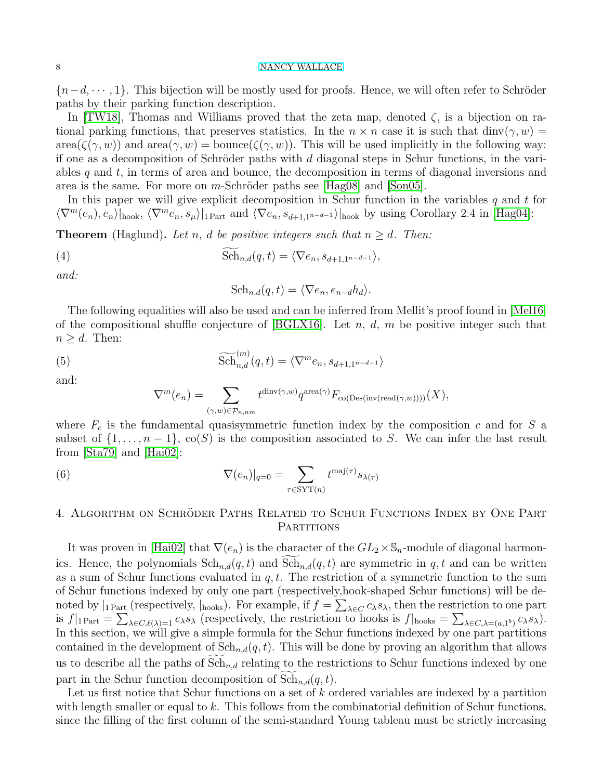${n-d, \dots, 1}$ . This bijection will be mostly used for proofs. Hence, we will often refer to Schröder paths by their parking function description.

In [TW18], Thomas and Williams proved that the zeta map, denoted  $\zeta$ , is a bijection on rational parking functions, that preserves statistics. In the  $n \times n$  case it is such that dinv( $\gamma, w$ ) =  $area(\zeta(\gamma, w))$  and  $area(\gamma, w) = bounce(\zeta(\gamma, w))$ . This will be used implicitly in the following way: if one as a decomposition of Schröder paths with  $d$  diagonal steps in Schur functions, in the variables  $q$  and  $t$ , in terms of area and bounce, the decomposition in terms of diagonal inversions and area is the same. For more on m-Schröder paths see  $[Hag08]$  and  $[Son05]$ .

In this paper we will give explicit decomposition in Schur function in the variables  $q$  and  $t$  for  $\langle \nabla^m(e_n), e_n \rangle$ <sub>hook</sub>,  $\langle \nabla^m e_n, s_\mu \rangle$ <sub>1 Part</sub> and  $\langle \nabla e_n, s_{d+1,1^{n-d-1}} \rangle$ <sub>hook</sub> by using Corollary 2.4 in [Hag04]:

**Theorem** (Haglund). Let n, d be positive integers such that  $n \geq d$ . Then:

(4) 
$$
\widetilde{\mathrm{Sch}}_{n,d}(q,t) = \langle \nabla e_n, s_{d+1,1^{n-d-1}} \rangle,
$$

*and:*

<span id="page-7-2"></span><span id="page-7-1"></span>
$$
\text{Sch}_{n,d}(q,t) = \langle \nabla e_n, e_{n-d} h_d \rangle.
$$

The following equalities will also be used and can be inferred from Mellit's proof found in [Mel16] of the compositional shuffle conjecture of [BGLX16]. Let  $n, d, m$  be positive integer such that  $n \geq d$ . Then:

(5) 
$$
\widetilde{\text{Sch}}_{n,d}^{(m)}(q,t) = \langle \nabla^m e_n, s_{d+1,1^{n-d-1}} \rangle
$$

and:

<span id="page-7-3"></span>
$$
\nabla^m(e_n) = \sum_{(\gamma,w)\in\mathcal{P}_{n,nm}} t^{\text{dinv}(\gamma,w)} q^{\text{area}(\gamma)} F_{\text{co}(\text{Des}(\text{inv}(\text{read}(\gamma,w))))}(X),
$$

where  $F_c$  is the fundamental quasisymmetric function index by the composition c and for S a subset of  $\{1, \ldots, n-1\}$ ,  $\text{co}(S)$  is the composition associated to S. We can infer the last result from [Sta79] and [Hai02]:

(6) 
$$
\nabla(e_n)|_{q=0} = \sum_{\tau \in \text{SYT}(n)} t^{\text{maj}(\tau)} s_{\lambda(\tau)}
$$

## <span id="page-7-0"></span>4. ALGORITHM ON SCHRÖDER PATHS RELATED TO SCHUR FUNCTIONS INDEX BY ONE PART PARTITIONS

It was proven in [Hai02] that  $\nabla(e_n)$  is the character of the  $GL_2\times\mathbb{S}_n$ -module of diagonal harmonics. Hence, the polynomials  $\text{Sch}_{n,d}(q,t)$  and  $\text{Sch}_{n,d}(q,t)$  are symmetric in q, t and can be written as a sum of Schur functions evaluated in  $q, t$ . The restriction of a symmetric function to the sum of Schur functions indexed by only one part (respectively,hook-shaped Schur functions) will be denoted by  $|_{1\text{Part}}$  (respectively,  $|_{\text{hook}}$ ). For example, if  $f = \sum_{\lambda \in C} c_{\lambda} s_{\lambda}$ , then the restriction to one part is  $f|_{1\text{Part}} = \sum_{\lambda \in C, \ell(\lambda)=1} c_{\lambda} s_{\lambda}$  (respectively, the restriction to hooks is  $f|_{\text{hook}} = \sum_{\lambda \in C, \lambda=(a,1^b)} c_{\lambda} s_{\lambda}$ ). In this section, we will give a simple formula for the Schur functions indexed by one part partitions contained in the development of  $\text{Sch}_{n,d}(q, t)$ . This will be done by proving an algorithm that allows us to describe all the paths of  $Sch_{n,d}$  relating to the restrictions to Schur functions indexed by one part in the Schur function decomposition of  $\text{Sch}_{n,d}(q, t)$ .

Let us first notice that Schur functions on a set of  $k$  ordered variables are indexed by a partition with length smaller or equal to k. This follows from the combinatorial definition of Schur functions, since the filling of the first column of the semi-standard Young tableau must be strictly increasing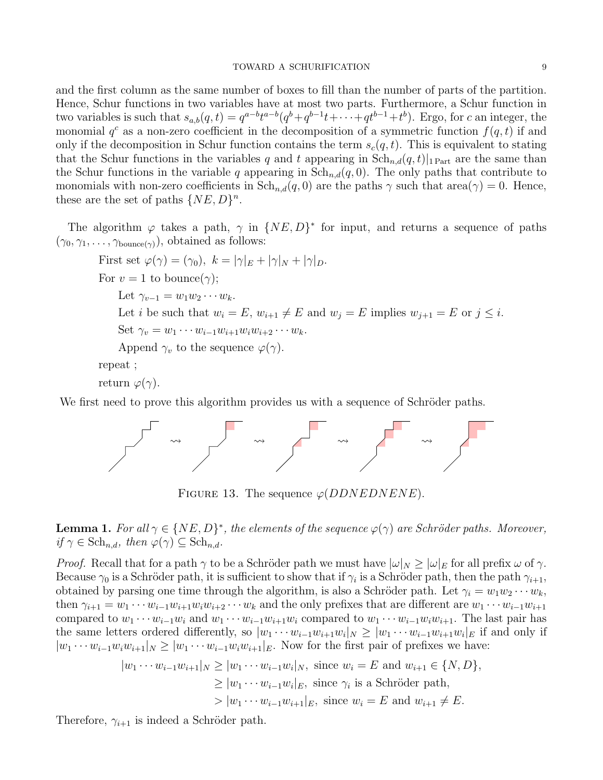#### TOWARD A SCHURIFICATION 9

and the first column as the same number of boxes to fill than the number of parts of the partition. Hence, Schur functions in two variables have at most two parts. Furthermore, a Schur function in two variables is such that  $s_{a,b}(q,t) = q^{a-b}t^{a-b}(q^b+q^{b-1}t+\cdots+qt^{b-1}+t^b)$ . Ergo, for c an integer, the monomial  $q^c$  as a non-zero coefficient in the decomposition of a symmetric function  $f(q, t)$  if and only if the decomposition in Schur function contains the term  $s_c(q, t)$ . This is equivalent to stating that the Schur functions in the variables q and t appearing in  $Sch_{n,d}(q,t)|_{1\text{ Part}}$  are the same than the Schur functions in the variable q appearing in  $\text{Sch}_{n,d}(q,0)$ . The only paths that contribute to monomials with non-zero coefficients in  $Sch_{n,d}(q, 0)$  are the paths  $\gamma$  such that area $(\gamma) = 0$ . Hence, these are the set of paths  $\{NE, D\}^n$ .

The algorithm  $\varphi$  takes a path,  $\gamma$  in  $\{NE, D\}^*$  for input, and returns a sequence of paths  $(\gamma_0, \gamma_1, \ldots, \gamma_{\text{bounce}(\gamma)})$ , obtained as follows:

First set 
$$
\varphi(\gamma) = (\gamma_0)
$$
,  $k = |\gamma|_E + |\gamma|_N + |\gamma|_D$ .  
\nFor  $v = 1$  to bounce( $\gamma$ );  
\nLet  $\gamma_{v-1} = w_1 w_2 \cdots w_k$ .  
\nLet *i* be such that  $w_i = E$ ,  $w_{i+1} \neq E$  and  $w_j = E$  implies  $w_{j+1} = E$  or  $j \leq i$ .  
\nSet  $\gamma_v = w_1 \cdots w_{i-1} w_{i+1} w_i w_{i+2} \cdots w_k$ .  
\nAppend  $\gamma_v$  to the sequence  $\varphi(\gamma)$ .

repeat ;

return  $\varphi(\gamma)$ .

We first need to prove this algorithm provides us with a sequence of Schröder paths.



<span id="page-8-0"></span>FIGURE 13. The sequence  $\varphi(DDNEDNENE)$ .

**Lemma 1.** For all  $\gamma \in \{NE, D\}^*$ , the elements of the sequence  $\varphi(\gamma)$  are Schröder paths. Moreover,  $if \gamma \in \text{Sch}_{n,d}, then \varphi(\gamma) \subseteq \text{Sch}_{n,d}.$ 

*Proof.* Recall that for a path  $\gamma$  to be a Schröder path we must have  $|\omega|_N \ge |\omega|_E$  for all prefix  $\omega$  of  $\gamma$ . Because  $\gamma_0$  is a Schröder path, it is sufficient to show that if  $\gamma_i$  is a Schröder path, then the path  $\gamma_{i+1}$ , obtained by parsing one time through the algorithm, is also a Schröder path. Let  $\gamma_i = w_1 w_2 \cdots w_k$ , then  $\gamma_{i+1} = w_1 \cdots w_{i-1} w_{i+1} w_i w_{i+2} \cdots w_k$  and the only prefixes that are different are  $w_1 \cdots w_{i-1} w_{i+1}$ compared to  $w_1 \cdots w_{i-1}w_i$  and  $w_1 \cdots w_{i-1}w_{i+1}w_i$  compared to  $w_1 \cdots w_{i-1}w_iw_{i+1}$ . The last pair has the same letters ordered differently, so  $|w_1 \cdots w_{i-1} w_{i+1} w_i|_N \geq |w_1 \cdots w_{i-1} w_{i+1} w_i|_E$  if and only if  $|w_1 \cdots w_{i-1} w_i w_{i+1}|_N \geq |w_1 \cdots w_{i-1} w_i w_{i+1}|_E$ . Now for the first pair of prefixes we have:

$$
|w_1 \cdots w_{i-1} w_{i+1}|_N \ge |w_1 \cdots w_{i-1} w_i|_N, \text{ since } w_i = E \text{ and } w_{i+1} \in \{N, D\},
$$
  
\n
$$
\ge |w_1 \cdots w_{i-1} w_i|_E, \text{ since } \gamma_i \text{ is a Schröder path},
$$
  
\n
$$
> |w_1 \cdots w_{i-1} w_{i+1}|_E, \text{ since } w_i = E \text{ and } w_{i+1} \ne E.
$$

Therefore,  $\gamma_{i+1}$  is indeed a Schröder path.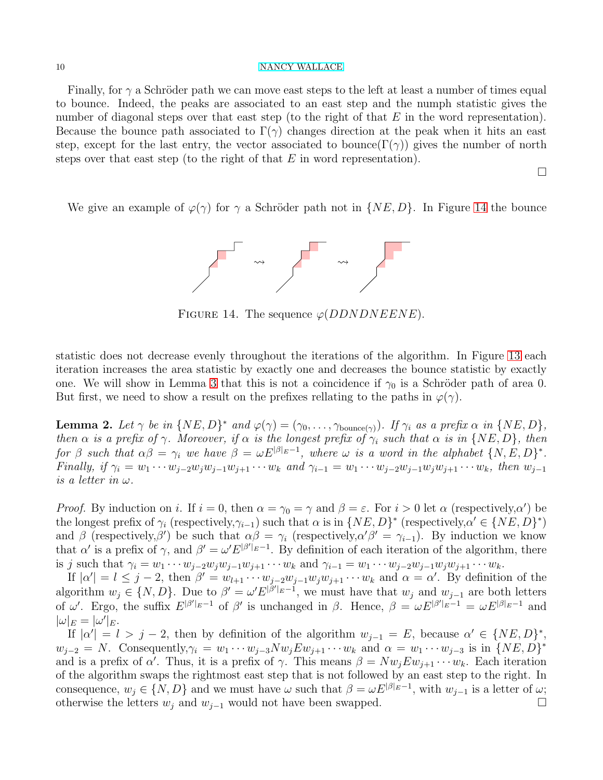Finally, for  $\gamma$  a Schröder path we can move east steps to the left at least a number of times equal to bounce. Indeed, the peaks are associated to an east step and the numph statistic gives the number of diagonal steps over that east step (to the right of that  $E$  in the word representation). Because the bounce path associated to  $\Gamma(\gamma)$  changes direction at the peak when it hits an east step, except for the last entry, the vector associated to bounce( $\Gamma(\gamma)$ ) gives the number of north steps over that east step (to the right of that  $E$  in word representation).

We give an example of  $\varphi(\gamma)$  for  $\gamma$  a Schröder path not in  $\{NE, D\}$ . In Figure [14](#page-9-0) the bounce

 $\Box$ 



<span id="page-9-0"></span>FIGURE 14. The sequence  $\varphi(DDNDNEENE)$ .

statistic does not decrease evenly throughout the iterations of the algorithm. In Figure [13](#page-8-0) each iteration increases the area statistic by exactly one and decreases the bounce statistic by exactly one. We will show in Lemma [3](#page-10-0) that this is not a coincidence if  $\gamma_0$  is a Schröder path of area 0. But first, we need to show a result on the prefixes rellating to the paths in  $\varphi(\gamma)$ .

<span id="page-9-1"></span>**Lemma 2.** Let  $\gamma$  be in  $\{NE, D\}^*$  and  $\varphi(\gamma) = (\gamma_0, \ldots, \gamma_{\text{bounce}})$ *. If*  $\gamma_i$  as a prefix  $\alpha$  in  $\{NE, D\}$ *, then*  $\alpha$  *is a prefix of*  $\gamma$ *. Moreover, if*  $\alpha$  *is the longest prefix of*  $\gamma_i$  *such that*  $\alpha$  *is in*  $\{NE, D\}$ *, then for*  $\beta$  *such that*  $\alpha\beta = \gamma_i$  *we have*  $\beta = \omega E^{|\beta|E-1}$ *, where*  $\omega$  *is a word in the alphabet*  $\{N, E, D\}^*$ *. Finally, if*  $\gamma_i = w_1 \cdots w_{i-2} w_i w_{i-1} w_{i+1} \cdots w_k$  *and*  $\gamma_{i-1} = w_1 \cdots w_{i-2} w_{i-1} w_i w_{i+1} \cdots w_k$ *, then*  $w_{i-1}$ *is a letter in* ω*.*

*Proof.* By induction on i. If  $i = 0$ , then  $\alpha = \gamma_0 = \gamma$  and  $\beta = \varepsilon$ . For  $i > 0$  let  $\alpha$  (respectively,  $\alpha'$ ) be the longest prefix of  $\gamma_i$  (respectively,  $\gamma_{i-1}$ ) such that  $\alpha$  is in  $\{NE, D\}^*$  (respectively,  $\alpha' \in \{NE, D\}^*$ ) and  $\beta$  (respectively,  $\beta'$ ) be such that  $\alpha\beta = \gamma_i$  (respectively,  $\alpha'\beta' = \gamma_{i-1}$ ). By induction we know that  $\alpha'$  is a prefix of  $\gamma$ , and  $\beta' = \omega' E^{|\beta'|_{E}-1}$ . By definition of each iteration of the algorithm, there is j such that  $\gamma_i = w_1 \cdots w_{j-2} w_j w_{j-1} w_{j+1} \cdots w_k$  and  $\gamma_{i-1} = w_1 \cdots w_{j-2} w_{j-1} w_j w_{j+1} \cdots w_k$ .

If  $|\alpha'| = l \leq j-2$ , then  $\beta' = w_{l+1} \cdots w_{j-2} w_{j-1} w_j w_{j+1} \cdots w_k$  and  $\alpha = \alpha'$ . By definition of the algorithm  $w_j \in \{N, D\}$ . Due to  $\beta' = \omega' E^{|\beta'|_E - 1}$ , we must have that  $w_j$  and  $w_{j-1}$  are both letters of w'. Ergo, the suffix  $E^{|\beta'|_{E}-1}$  of  $\beta'$  is unchanged in  $\beta$ . Hence,  $\beta = \omega E^{|\beta'|_{E}-1} = \omega E^{|\beta|_{E}-1}$  and  $|\omega|_E = |\omega'|_E.$ 

If  $|\alpha'| = l > j - 2$ , then by definition of the algorithm  $w_{j-1} = E$ , because  $\alpha' \in \{NE, D\}^*$ ,  $w_{j-2} = N$ . Consequently,  $\gamma_i = w_1 \cdots w_{j-3} N w_j E w_{j+1} \cdots w_k$  and  $\alpha = w_1 \cdots w_{j-3}$  is in  $\{NE, D\}^*$ and is a prefix of  $\alpha'$ . Thus, it is a prefix of  $\gamma$ . This means  $\beta = N w_j E w_{j+1} \cdots w_k$ . Each iteration of the algorithm swaps the rightmost east step that is not followed by an east step to the right. In consequence,  $w_j \in \{N, D\}$  and we must have  $\omega$  such that  $\beta = \omega E^{|\beta|_{E}-1}$ , with  $w_{j-1}$  is a letter of  $\omega$ ; otherwise the letters  $w_j$  and  $w_{j-1}$  would not have been swapped.  $\Box$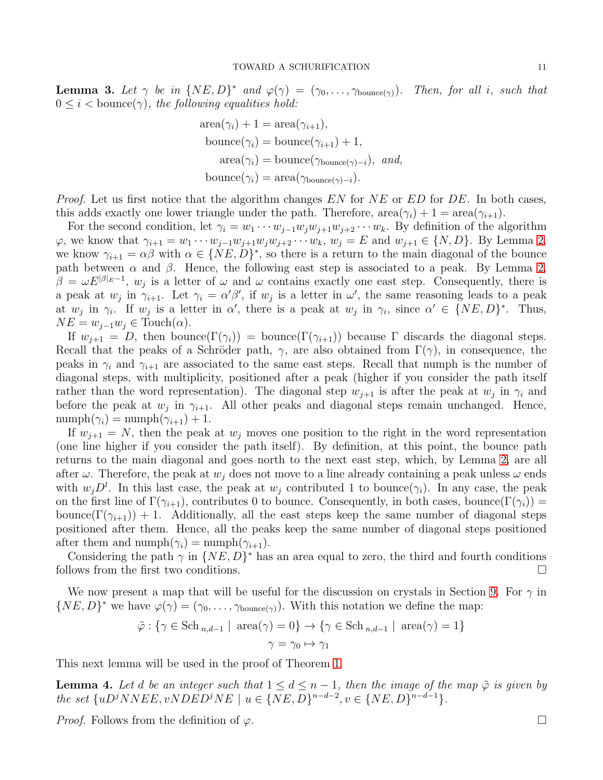<span id="page-10-0"></span>**Lemma 3.** Let  $\gamma$  be in  $\{NE, D\}^*$  and  $\varphi(\gamma) = (\gamma_0, \ldots, \gamma_{\text{bounce}})$ . Then, for all i, such that  $0 \leq i \leq \text{bounce}(\gamma)$ , the following equalities hold:

area(
$$
\gamma_i
$$
) + 1 = area( $\gamma_{i+1}$ ),  
\nbounce( $\gamma_i$ ) = bounce( $\gamma_{i+1}$ ) + 1,  
\narea( $\gamma_i$ ) = bounce( $\gamma_{\text{bounce}}(\gamma_{i-1})$ , and,  
\nbounce( $\gamma_i$ ) = area( $\gamma_{\text{bounce}}(\gamma_{i-1})$ ).

*Proof.* Let us first notice that the algorithm changes EN for NE or ED for DE. In both cases, this adds exactly one lower triangle under the path. Therefore,  $area(\gamma_i) + 1 = area(\gamma_{i+1}).$ 

For the second condition, let  $\gamma_i = w_1 \cdots w_{i-1} w_i w_{i+1} w_{i+2} \cdots w_k$ . By definition of the algorithm  $\varphi$ , we know that  $\gamma_{i+1} = w_1 \cdots w_{j-1} w_{j+1} w_j w_{j+2} \cdots w_k$ ,  $w_j = E$  and  $w_{j+1} \in \{N, D\}$ . By Lemma [2,](#page-9-1) we know  $\gamma_{i+1} = \alpha \beta$  with  $\alpha \in \{NE, D\}^*$ , so there is a return to the main diagonal of the bounce path between  $\alpha$  and  $\beta$ . Hence, the following east step is associated to a peak. By Lemma [2,](#page-9-1)  $\beta = \omega E^{|\beta|_{E}-1}$ ,  $w_j$  is a letter of  $\omega$  and  $\omega$  contains exactly one east step. Consequently, there is a peak at  $w_j$  in  $\gamma_{i+1}$ . Let  $\gamma_i = \alpha' \beta'$ , if  $w_j$  is a letter in  $\omega'$ , the same reasoning leads to a peak at  $w_j$  in  $\gamma_i$ . If  $w_j$  is a letter in  $\alpha'$ , there is a peak at  $w_j$  in  $\gamma_i$ , since  $\alpha' \in \{NE, D\}^*$ . Thus,  $NE = w_{i-1}w_i \in \text{Touch}(\alpha).$ 

If  $w_{i+1} = D$ , then bounce $(\Gamma(\gamma_i)) = \text{bounce}(\Gamma(\gamma_{i+1}))$  because  $\Gamma$  discards the diagonal steps. Recall that the peaks of a Schröder path,  $\gamma$ , are also obtained from  $\Gamma(\gamma)$ , in consequence, the peaks in  $\gamma_i$  and  $\gamma_{i+1}$  are associated to the same east steps. Recall that numph is the number of diagonal steps, with multiplicity, positioned after a peak (higher if you consider the path itself rather than the word representation). The diagonal step  $w_{j+1}$  is after the peak at  $w_j$  in  $\gamma_i$  and before the peak at  $w_j$  in  $\gamma_{i+1}$ . All other peaks and diagonal steps remain unchanged. Hence,  $\text{number}(\gamma_i) = \text{number}(\gamma_{i+1}) + 1.$ 

If  $w_{i+1} = N$ , then the peak at  $w_i$  moves one position to the right in the word representation (one line higher if you consider the path itself). By definition, at this point, the bounce path returns to the main diagonal and goes north to the next east step, which, by Lemma [2,](#page-9-1) are all after  $\omega$ . Therefore, the peak at  $w_j$  does not move to a line already containing a peak unless  $\omega$  ends with  $w_jD^l$ . In this last case, the peak at  $w_j$  contributed 1 to bounce( $\gamma_i$ ). In any case, the peak on the first line of  $\Gamma(\gamma_{i+1}),$  contributes 0 to bounce. Consequently, in both cases, bounce( $\Gamma(\gamma_i)$ ) = bounce( $\Gamma(\gamma_{i+1})$ ) + 1. Additionally, all the east steps keep the same number of diagonal steps positioned after them. Hence, all the peaks keep the same number of diagonal steps positioned after them and numph $(\gamma_i) = \text{number}(\gamma_{i+1}).$ 

Considering the path  $\gamma$  in  $\{NE, D\}^*$  has an area equal to zero, the third and fourth conditions follows from the first two conditions.

We now present a map that will be useful for the discussion on crystals in Section [9.](#page-32-0) For  $\gamma$  in  $\{NE, D\}^*$  we have  $\varphi(\gamma) = (\gamma_0, \ldots, \gamma_{\text{bounce}})$ . With this notation we define the map:

$$
\tilde{\varphi}: \{ \gamma \in \text{Sch}_{n,d-1} \mid \text{area}(\gamma) = 0 \} \to \{ \gamma \in \text{Sch}_{n,d-1} \mid \text{area}(\gamma) = 1 \}
$$

$$
\gamma = \gamma_0 \mapsto \gamma_1
$$

This next lemma will be used in the proof of Theorem [1.](#page-1-4)

<span id="page-10-1"></span>**Lemma 4.** Let d be an integer such that  $1 \leq d \leq n-1$ , then the image of the map  $\tilde{\varphi}$  is given by *the set*  $\{uD^jNNEE, vNDED^jNE \mid u \in \{NE, D\}^{n-d-2}, v \in \{NE, D\}^{n-d-1}\}.$ 

*Proof.* Follows from the definition of  $\varphi$ .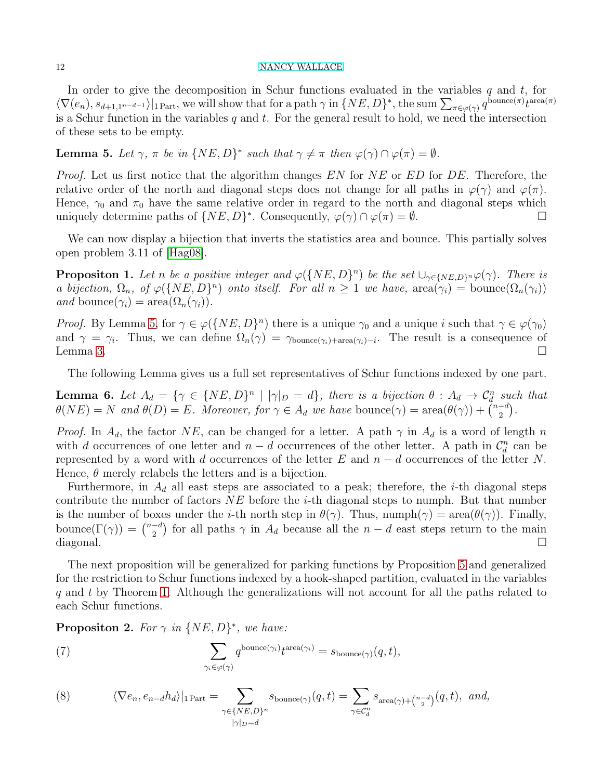In order to give the decomposition in Schur functions evaluated in the variables q and  $t$ , for  $\langle \nabla(e_n), s_{d+1,1^{n-d-1}} \rangle |_{1\text{ Part}},$  we will show that for a path  $\gamma$  in  $\{NE, D\}^*$ , the sum  $\sum_{\pi \in \varphi(\gamma)} q^{\text{bounce}(\pi)} t^{\text{area}(\pi)}$ is a Schur function in the variables q and t. For the general result to hold, we need the intersection of these sets to be empty.

<span id="page-11-1"></span>**Lemma 5.** Let  $\gamma$ ,  $\pi$  be in  $\{NE, D\}^*$  such that  $\gamma \neq \pi$  then  $\varphi(\gamma) \cap \varphi(\pi) = \emptyset$ .

*Proof.* Let us first notice that the algorithm changes EN for NE or ED for DE. Therefore, the relative order of the north and diagonal steps does not change for all paths in  $\varphi(\gamma)$  and  $\varphi(\pi)$ . Hence,  $\gamma_0$  and  $\pi_0$  have the same relative order in regard to the north and diagonal steps which uniquely determine paths of  $\{NE, D\}^*$ . Consequently,  $\varphi(\gamma) \cap \varphi(\pi) = \emptyset$ .

We can now display a bijection that inverts the statistics area and bounce. This partially solves open problem 3.11 of [Hag08].

<span id="page-11-0"></span>**Propositon 1.** Let *n* be a positive integer and  $\varphi(\lbrace NE, D \rbrace^n)$  be the set  $\bigcup_{\gamma \in \lbrace NE, D \rbrace^n} \varphi(\gamma)$ . There is *a bijection,*  $\Omega_n$ *, of*  $\varphi({\{NE, D\}}^n)$  *onto itself. For all*  $n \geq 1$  *we have,* area $(\gamma_i)$  = bounce $(\Omega_n(\gamma_i))$ *and* bounce( $\gamma_i$ ) = area( $\Omega_n(\gamma_i)$ ).

*Proof.* By Lemma [5,](#page-11-1) for  $\gamma \in \varphi({NE, D})^n$  there is a unique  $\gamma_0$  and a unique i such that  $\gamma \in \varphi(\gamma_0)$ and  $\gamma = \gamma_i$ . Thus, we can define  $\Omega_n(\gamma) = \gamma_{\text{bounce}(\gamma_i)+\text{area}(\gamma_i)-i}$ . The result is a consequence of Lemma [3.](#page-10-0)  $\Box$ 

The following Lemma gives us a full set representatives of Schur functions indexed by one part.

<span id="page-11-4"></span>**Lemma 6.** Let  $A_d = \{ \gamma \in \{NE, D\}^n \mid |\gamma|_D = d \}$ , there is a bijection  $\theta : A_d \to C_d^n$  such that  $\theta(NE) = N$  and  $\theta(D) = E$ . Moreover, for  $\gamma \in A_d$  we have bounce $(\gamma) = \text{area}(\theta(\gamma)) + \binom{n-d}{2}$  $\binom{-d}{2}$ .

*Proof.* In  $A_d$ , the factor NE, can be changed for a letter. A path  $\gamma$  in  $A_d$  is a word of length n with d occurrences of one letter and  $n - d$  occurrences of the other letter. A path in  $\mathcal{C}_d^n$  can be represented by a word with d occurrences of the letter E and  $n - d$  occurrences of the letter N. Hence,  $\theta$  merely relabels the letters and is a bijection.

Furthermore, in  $A_d$  all east steps are associated to a peak; therefore, the *i*-th diagonal steps contribute the number of factors  $NE$  before the *i*-th diagonal steps to numph. But that number is the number of boxes under the *i*-th north step in  $\theta(\gamma)$ . Thus, numph $(\gamma) = \text{area}(\theta(\gamma))$ . Finally, bounce $(\Gamma(\gamma)) = \binom{n-d}{2}$  $\binom{-d}{2}$  for all paths  $\gamma$  in  $A_d$  because all the  $n-d$  east steps return to the main diagonal.

The next proposition will be generalized for parking functions by Proposition [5](#page-17-0) and generalized for the restriction to Schur functions indexed by a hook-shaped partition, evaluated in the variables q and t by Theorem [1.](#page-1-4) Although the generalizations will not account for all the paths related to each Schur functions.

<span id="page-11-5"></span>**Propositon 2.** For  $\gamma$  in  $\{NE, D\}^*$ , we have:

<span id="page-11-2"></span>(7) 
$$
\sum_{\gamma_i \in \varphi(\gamma)} q^{\text{bounce}(\gamma_i)} t^{\text{area}(\gamma_i)} = s_{\text{bounce}(\gamma)}(q, t),
$$

<span id="page-11-3"></span>(8) 
$$
\langle \nabla e_n, e_{n-d} h_d \rangle|_{1 \text{ Part}} = \sum_{\substack{\gamma \in \{NE, D\}^n \\ |\gamma|_{D} = d}} s_{\text{bounce}(\gamma)}(q, t) = \sum_{\gamma \in C_d^n} s_{\text{area}(\gamma) + {n-d \choose 2}}(q, t), \text{ and,}
$$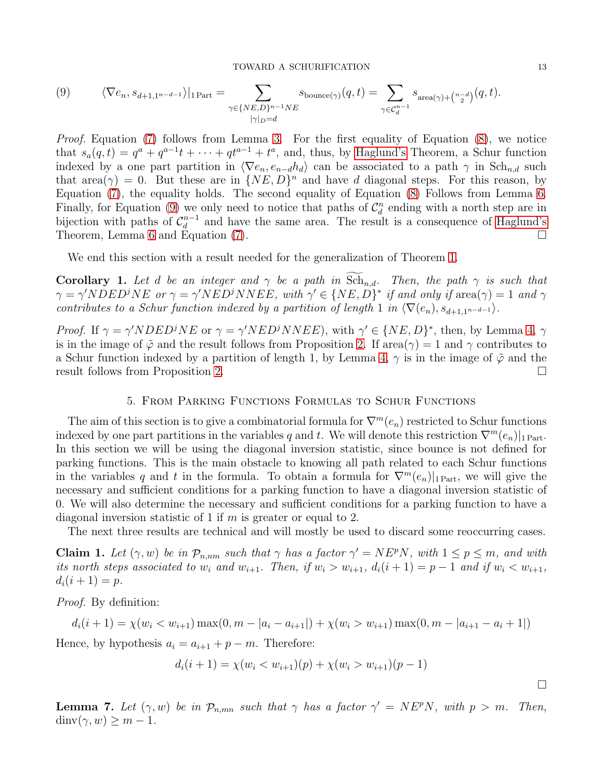#### TOWARD A SCHURIFICATION 13

<span id="page-12-1"></span>(9) 
$$
\langle \nabla e_n, s_{d+1,1^{n-d-1}} \rangle|_{1\text{ Part}} = \sum_{\gamma \in \{NE, D\}^{n-1}NE} s_{\text{bounce}(\gamma)}(q, t) = \sum_{\gamma \in C_d^{n-1}} s_{\text{area}(\gamma) + {n-d \choose 2}}(q, t).
$$

*Proof.* Equation [\(7\)](#page-11-2) follows from Lemma [3.](#page-10-0) For the first equality of Equation [\(8\)](#page-11-3), we notice that  $s_a(q,t) = q^a + q^{a-1}t + \cdots + qt^{a-1} + t^a$ , and, thus, by [Haglund's](#page-6-3) Theorem, a Schur function indexed by a one part partition in  $\langle \nabla e_n, e_{n-d}h_d \rangle$  can be associated to a path  $\gamma$  in Sch<sub>n,d</sub> such that area $(\gamma) = 0$ . But these are in  $\{NE, D\}^n$  and have d diagonal steps. For this reason, by Equation [\(7\)](#page-11-2), the equality holds. The second equality of Equation [\(8\)](#page-11-3) Follows from Lemma [6.](#page-11-4) Finally, for Equation [\(9\)](#page-12-1) we only need to notice that paths of  $\mathcal{C}_d^n$  ending with a north step are in bijection with paths of  $\mathcal{C}_d^{n-1}$  $\frac{n-1}{d}$  and have the same area. The result is a consequence of [Haglund's](#page-6-3) Theorem, Lemma [6](#page-11-4) and Equation [\(7\)](#page-11-2).

We end this section with a result needed for the generalization of Theorem [1.](#page-1-4)

<span id="page-12-4"></span>**Corollary 1.** Let d be an integer and  $\gamma$  be a path in  $Sch_{n,d}$ . Then, the path  $\gamma$  is such that  $\gamma = \gamma' N D E D^j N E$  or  $\gamma = \gamma' N E D^j N N E E$ , with  $\gamma' \in \{NE, D\}^*$  if and only if area $(\gamma) = 1$  and  $\gamma$ *contributes to a Schur function indexed by a partition of length* 1 *in*  $\langle \nabla(e_n), s_{d+1,1^{n-d-1}} \rangle$ *.* 

*Proof.* If  $\gamma = \gamma' N D E D^j N E$  or  $\gamma = \gamma' N E D^j N N E E$ , with  $\gamma' \in \{NE, D\}^*$ , then, by Lemma [4,](#page-10-1)  $\gamma$ is in the image of  $\tilde{\varphi}$  and the result follows from Proposition [2.](#page-11-5) If area( $\gamma$ ) = 1 and  $\gamma$  contributes to a Schur function indexed by a partition of length 1, by Lemma [4,](#page-10-1)  $\gamma$  is in the image of  $\tilde{\varphi}$  and the result follows from Proposition [2.](#page-11-5)

## 5. From Parking Functions Formulas to Schur Functions

<span id="page-12-0"></span>The aim of this section is to give a combinatorial formula for  $\nabla^{m}(e_n)$  restricted to Schur functions indexed by one part partitions in the variables q and t. We will denote this restriction  $\nabla^{m}(e_n)|_{1\text{ Part}}$ . In this section we will be using the diagonal inversion statistic, since bounce is not defined for parking functions. This is the main obstacle to knowing all path related to each Schur functions in the variables q and t in the formula. To obtain a formula for  $\nabla^{m}(e_n)|_{1 \text{ Part}}$ , we will give the necessary and sufficient conditions for a parking function to have a diagonal inversion statistic of 0. We will also determine the necessary and sufficient conditions for a parking function to have a diagonal inversion statistic of 1 if  $m$  is greater or equal to 2.

The next three results are technical and will mostly be used to discard some reoccurring cases.

<span id="page-12-2"></span>Claim 1. Let  $(\gamma, w)$  be in  $\mathcal{P}_{n,nm}$  such that  $\gamma$  has a factor  $\gamma' = N E^p N$ , with  $1 \leq p \leq m$ , and with *its north steps associated to*  $w_i$  *and*  $w_{i+1}$ *. Then, if*  $w_i > w_{i+1}$ *,*  $d_i(i+1) = p-1$  *and* if  $w_i < w_{i+1}$ *,*  $d_i(i + 1) = p.$ 

*Proof.* By definition:

$$
d_i(i + 1) = \chi(w_i < w_{i+1}) \max(0, m - |a_i - a_{i+1}|) + \chi(w_i > w_{i+1}) \max(0, m - |a_{i+1} - a_i|)
$$

Hence, by hypothesis  $a_i = a_{i+1} + p - m$ . Therefore:

$$
d_i(i + 1) = \chi(w_i < w_{i+1})(p) + \chi(w_i > w_{i+1})(p - 1)
$$

<span id="page-12-3"></span>**Lemma 7.** Let  $(\gamma, w)$  be in  $\mathcal{P}_{n,mn}$  such that  $\gamma$  has a factor  $\gamma' = N E^p N$ , with  $p > m$ . Then,  $\dim(y, w) \geq m - 1.$ 

 $\Box$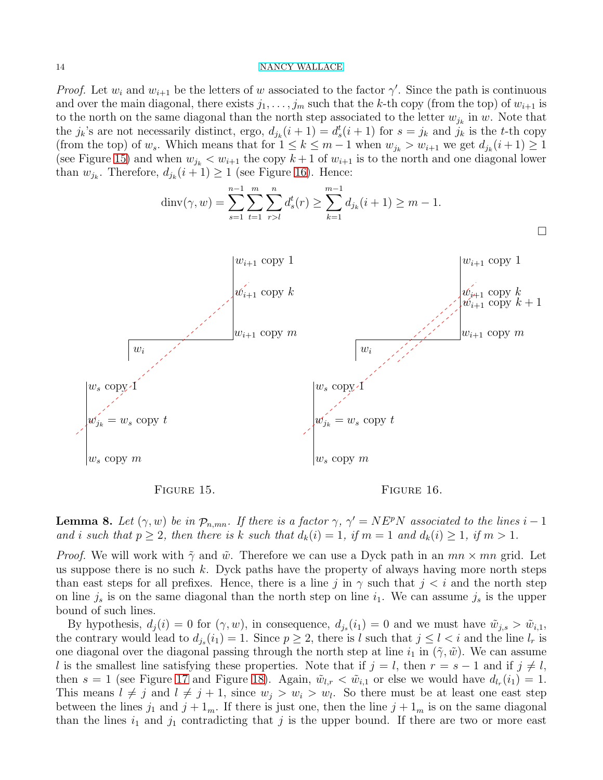*Proof.* Let  $w_i$  and  $w_{i+1}$  be the letters of w associated to the factor  $\gamma'$ . Since the path is continuous and over the main diagonal, there exists  $j_1, \ldots, j_m$  such that the k-th copy (from the top) of  $w_{i+1}$  is to the north on the same diagonal than the north step associated to the letter  $w_{j_k}$  in w. Note that the  $j_k$ 's are not necessarily distinct, ergo,  $d_{j_k}(i+1) = d_s^t(i+1)$  for  $s = j_k$  and  $j_k$  is the t-th copy (from the top) of  $w_s$ . Which means that for  $1 \leq k \leq m-1$  when  $w_{j_k} > w_{i+1}$  we get  $d_{j_k}(i+1) \geq 1$ (see Figure [15\)](#page-13-0) and when  $w_{j_k} < w_{i+1}$  the copy  $k+1$  of  $w_{i+1}$  is to the north and one diagonal lower than  $w_{j_k}$ . Therefore,  $d_{j_k}(i+1) \geq 1$  (see Figure [16\)](#page-13-1). Hence:

$$
\dim(\gamma, w) = \sum_{s=1}^{n-1} \sum_{t=1}^{m} \sum_{r>l}^{n} d_s^t(r) \ge \sum_{k=1}^{m-1} d_{j_k}(i+1) \ge m-1.
$$



<span id="page-13-0"></span>FIGURE 15.

<span id="page-13-1"></span>FIGURE 16.

<span id="page-13-2"></span>**Lemma 8.** Let  $(\gamma, w)$  be in  $\mathcal{P}_{n,mn}$ . If there is a factor  $\gamma$ ,  $\gamma' = N E^p N$  associated to the lines  $i - 1$ *and* i such that  $p \geq 2$ , then there is k such that  $d_k(i) = 1$ , if  $m = 1$  and  $d_k(i) \geq 1$ , if  $m > 1$ .

*Proof.* We will work with  $\tilde{\gamma}$  and  $\tilde{w}$ . Therefore we can use a Dyck path in an  $mn \times mn$  grid. Let us suppose there is no such  $k$ . Dyck paths have the property of always having more north steps than east steps for all prefixes. Hence, there is a line j in  $\gamma$  such that  $j < i$  and the north step on line  $j_s$  is on the same diagonal than the north step on line  $i_1$ . We can assume  $j_s$  is the upper bound of such lines.

By hypothesis,  $d_j(i) = 0$  for  $(\gamma, w)$ , in consequence,  $d_{j_s}(i_1) = 0$  and we must have  $\tilde{w}_{j,s} > \tilde{w}_{i,1}$ , the contrary would lead to  $d_{j_s}(i_1) = 1$ . Since  $p \geq 2$ , there is l such that  $j \leq l \leq i$  and the line  $l_r$  is one diagonal over the diagonal passing through the north step at line  $i_1$  in  $(\tilde{\gamma},\tilde{w})$ . We can assume l is the smallest line satisfying these properties. Note that if  $j = l$ , then  $r = s - 1$  and if  $j \neq l$ , then  $s = 1$  (see Figure [17](#page-14-0) and Figure [18\)](#page-14-1). Again,  $\tilde{w}_{l,r} < \tilde{w}_{i,1}$  or else we would have  $d_{l_r}(i_1) = 1$ . This means  $l \neq j$  and  $l \neq j + 1$ , since  $w_j > w_i > w_l$ . So there must be at least one east step between the lines  $j_1$  and  $j + 1_m$ . If there is just one, then the line  $j + 1_m$  is on the same diagonal than the lines  $i_1$  and  $j_1$  contradicting that j is the upper bound. If there are two or more east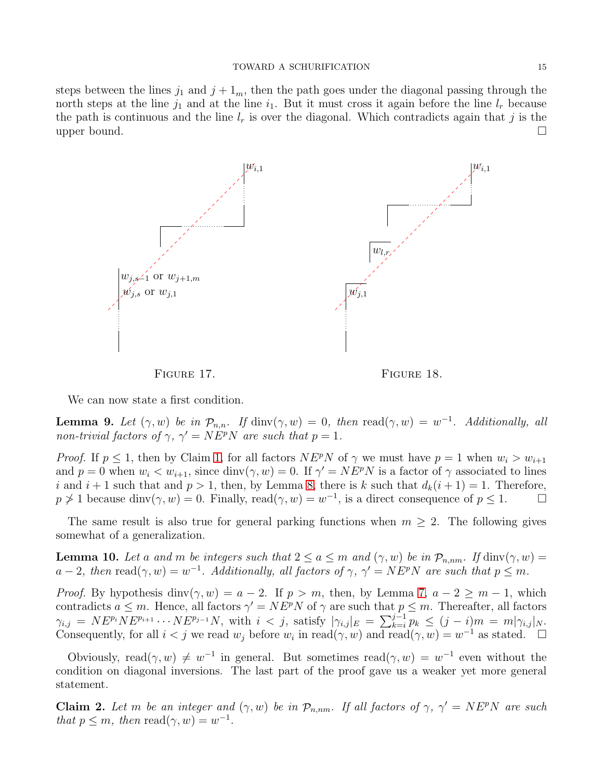steps between the lines  $j_1$  and  $j + 1_m$ , then the path goes under the diagonal passing through the north steps at the line  $j_1$  and at the line  $i_1$ . But it must cross it again before the line  $l_r$  because the path is continuous and the line  $l_r$  is over the diagonal. Which contradicts again that j is the upper bound.  $\Box$ 



<span id="page-14-0"></span>FIGURE 17.

<span id="page-14-1"></span>FIGURE 18.

We can now state a first condition.

<span id="page-14-4"></span>**Lemma 9.** Let  $(\gamma, w)$  be in  $\mathcal{P}_{n,n}$ . If  $\dim(\gamma, w) = 0$ , then  $\text{read}(\gamma, w) = w^{-1}$ . Additionally, all *non-trivial factors of*  $\gamma$ ,  $\gamma' = N E^p N$  *are such that*  $p = 1$ *.* 

*Proof.* If  $p \leq 1$ , then by Claim [1,](#page-12-2) for all factors  $N E^p N$  of  $\gamma$  we must have  $p = 1$  when  $w_i > w_{i+1}$ and  $p = 0$  when  $w_i < w_{i+1}$ , since  $\dim(\gamma, w) = 0$ . If  $\gamma' = N E^p N$  is a factor of  $\gamma$  associated to lines i and  $i + 1$  such that and  $p > 1$ , then, by Lemma [8,](#page-13-2) there is k such that  $d_k(i + 1) = 1$ . Therefore,  $p \ngeq 1$  because dinv $(\gamma, w) = 0$ . Finally, read $(\gamma, w) = w^{-1}$ , is a direct consequence of  $p \leq 1$ .

The same result is also true for general parking functions when  $m \geq 2$ . The following gives somewhat of a generalization.

<span id="page-14-2"></span>**Lemma 10.** Let a and m be integers such that  $2 \le a \le m$  and  $(\gamma, w)$  be in  $\mathcal{P}_{n,nm}$ . If dinv $(\gamma, w)$  =  $a-2$ , then  $\text{read}(\gamma, w) = w^{-1}$ . Additionally, all factors of  $\gamma$ ,  $\gamma' = N E^p N$  are such that  $p \leq m$ .

*Proof.* By hypothesis dinv $(\gamma, w) = a - 2$ . If  $p > m$ , then, by Lemma [7,](#page-12-3)  $a - 2 \ge m - 1$ , which contradicts  $a \leq m$ . Hence, all factors  $\gamma' = N E^p N$  of  $\gamma$  are such that  $p \leq m$ . Thereafter, all factors  $\gamma_{i,j} = N E^{p_i} N E^{p_{i+1}} \cdots N E^{p_{j-1}} N$ , with  $i < j$ , satisfy  $|\gamma_{i,j}|_E = \sum_{k=i}^{j-1} p_k \le (j-i)m = m|\gamma_{i,j}|_N$ . Consequently, for all  $i < j$  we read  $w_j$  before  $w_i$  in read $(\gamma, w)$  and read $(\gamma, w) = w^{-1}$  as stated.  $\square$ 

Obviously, read $(\gamma, w) \neq w^{-1}$  in general. But sometimes read $(\gamma, w) = w^{-1}$  even without the condition on diagonal inversions. The last part of the proof gave us a weaker yet more general statement.

<span id="page-14-3"></span>**Claim 2.** Let m be an integer and  $(\gamma, w)$  be in  $\mathcal{P}_{n,nm}$ . If all factors of  $\gamma$ ,  $\gamma' = N E^p N$  are such *that*  $p \leq m$ *, then* read $(\gamma, w) = w^{-1}$ *.*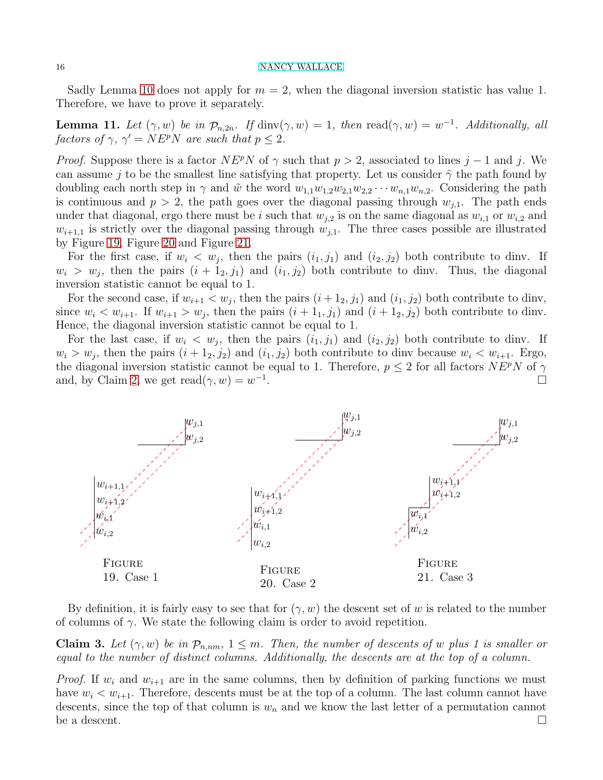Sadly Lemma [10](#page-14-2) does not apply for  $m = 2$ , when the diagonal inversion statistic has value 1. Therefore, we have to prove it separately.

<span id="page-15-4"></span>**Lemma 11.** Let  $(\gamma, w)$  be in  $\mathcal{P}_{n,2n}$ . If  $\dim(\gamma, w) = 1$ , then  $\text{read}(\gamma, w) = w^{-1}$ . Additionally, all *factors of*  $\gamma$ *,*  $\gamma' = N E^p N$  *are such that*  $p \leq 2$ *.* 

*Proof.* Suppose there is a factor  $NE^pN$  of  $\gamma$  such that  $p > 2$ , associated to lines  $j - 1$  and j. We can assume j to be the smallest line satisfying that property. Let us consider  $\tilde{\gamma}$  the path found by doubling each north step in  $\gamma$  and  $\tilde{w}$  the word  $w_{1,1}w_{1,2}w_{2,1}w_{2,2}\cdots w_{n,1}w_{n,2}$ . Considering the path is continuous and  $p > 2$ , the path goes over the diagonal passing through  $w_{i,1}$ . The path ends under that diagonal, ergo there must be i such that  $w_{i,2}$  is on the same diagonal as  $w_{i,1}$  or  $w_{i,2}$  and  $w_{i+1,1}$  is strictly over the diagonal passing through  $w_{i,1}$ . The three cases possible are illustrated by Figure [19,](#page-15-0) Figure [20](#page-15-1) and Figure [21.](#page-15-2)

For the first case, if  $w_i \langle w_j \rangle$ , then the pairs  $(i_1, j_1)$  and  $(i_2, j_2)$  both contribute to dinv. If  $w_i > w_j$ , then the pairs  $(i + 1<sub>2</sub>, j<sub>1</sub>)$  and  $(i<sub>1</sub>, j<sub>2</sub>)$  both contribute to dinv. Thus, the diagonal inversion statistic cannot be equal to 1.

For the second case, if  $w_{i+1} < w_j$ , then the pairs  $(i + 1<sub>2</sub>, j<sub>1</sub>)$  and  $(i<sub>1</sub>, j<sub>2</sub>)$  both contribute to dinv, since  $w_i < w_{i+1}$ . If  $w_{i+1} > w_j$ , then the pairs  $(i + 1<sub>1</sub>, j<sub>1</sub>)$  and  $(i + 1<sub>2</sub>, j<sub>2</sub>)$  both contribute to dinv. Hence, the diagonal inversion statistic cannot be equal to 1.

For the last case, if  $w_i \langle w_j \rangle$ , then the pairs  $(i_1, j_1)$  and  $(i_2, j_2)$  both contribute to dinv. If  $w_i > w_j$ , then the pairs  $(i + 1<sub>2</sub>, j<sub>2</sub>)$  and  $(i<sub>1</sub>, j<sub>2</sub>)$  both contribute to dinv because  $w_i < w_{i+1}$ . Ergo, the diagonal inversion statistic cannot be equal to 1. Therefore,  $p \leq 2$  for all factors  $N E^p N$  of  $\gamma$ and, by Claim [2,](#page-14-3) we get  $\text{read}(\gamma, w) = w^{-1}$ .



<span id="page-15-2"></span><span id="page-15-1"></span><span id="page-15-0"></span>By definition, it is fairly easy to see that for  $(\gamma, w)$  the descent set of w is related to the number of columns of  $\gamma$ . We state the following claim is order to avoid repetition.

<span id="page-15-3"></span>**Claim 3.** Let  $(\gamma, w)$  be in  $\mathcal{P}_{n,nm}$ ,  $1 \leq m$ . Then, the number of descents of w plus 1 is smaller or *equal to the number of distinct columns. Additionally, the descents are at the top of a column.*

*Proof.* If  $w_i$  and  $w_{i+1}$  are in the same columns, then by definition of parking functions we must have  $w_i < w_{i+1}$ . Therefore, descents must be at the top of a column. The last column cannot have descents, since the top of that column is  $w_n$  and we know the last letter of a permutation cannot be a descent.  $\Box$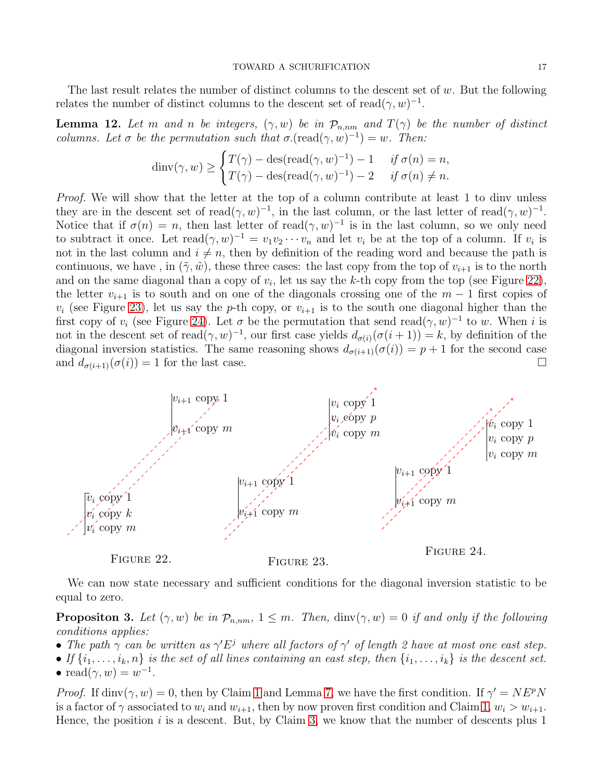#### TOWARD A SCHURIFICATION 17

The last result relates the number of distinct columns to the descent set of  $w$ . But the following relates the number of distinct columns to the descent set of read $(\gamma, w)^{-1}$ .

<span id="page-16-4"></span>**Lemma 12.** Let m and n be integers,  $(\gamma, w)$  be in  $\mathcal{P}_{n,nm}$  and  $T(\gamma)$  be the number of distinct *columns. Let*  $\sigma$  *be the permutation such that*  $\sigma$ .(read( $\gamma$ ,  $w$ )<sup>-1</sup>) = w. Then:

$$
\dim \mathbf{V}(\gamma,w) \geq \begin{cases} T(\gamma) - \mathrm{des}(\mathrm{read}(\gamma,w)^{-1}) - 1 & \text{if } \sigma(n) = n, \\ T(\gamma) - \mathrm{des}(\mathrm{read}(\gamma,w)^{-1}) - 2 & \text{if } \sigma(n) \neq n. \end{cases}
$$

*Proof.* We will show that the letter at the top of a column contribute at least 1 to dinv unless they are in the descent set of read $(\gamma, w)^{-1}$ , in the last column, or the last letter of read $(\gamma, w)^{-1}$ . Notice that if  $\sigma(n) = n$ , then last letter of read $(\gamma, w)^{-1}$  is in the last column, so we only need to subtract it once. Let  $\text{read}(\gamma, w)^{-1} = v_1 v_2 \cdots v_n$  and let  $v_i$  be at the top of a column. If  $v_i$  is not in the last column and  $i \neq n$ , then by definition of the reading word and because the path is continuous, we have , in  $(\tilde{\gamma},\tilde{w})$ , these three cases: the last copy from the top of  $v_{i+1}$  is to the north and on the same diagonal than a copy of  $v_i$ , let us say the k-th copy from the top (see Figure [22\)](#page-16-0), the letter  $v_{i+1}$  is to south and on one of the diagonals crossing one of the  $m-1$  first copies of  $v_i$  (see Figure [23\)](#page-16-1), let us say the p-th copy, or  $v_{i+1}$  is to the south one diagonal higher than the first copy of  $v_i$  (see Figure [24\)](#page-16-2). Let  $\sigma$  be the permutation that send read $(\gamma, w)^{-1}$  to w. When i is not in the descent set of read $(\gamma, w)^{-1}$ , our first case yields  $d_{\sigma(i)}(\sigma(i+1)) = k$ , by definition of the diagonal inversion statistics. The same reasoning shows  $d_{\sigma(i+1)}(\sigma(i)) = p + 1$  for the second case and  $d_{\sigma(i+1)}(\sigma(i)) = 1$  for the last case.



<span id="page-16-2"></span><span id="page-16-1"></span><span id="page-16-0"></span>We can now state necessary and sufficient conditions for the diagonal inversion statistic to be equal to zero.

<span id="page-16-3"></span>**Propositon 3.** Let  $(\gamma, w)$  be in  $\mathcal{P}_{n,nm}$ ,  $1 \leq m$ . Then, dinv $(\gamma, w) = 0$  if and only if the following *conditions applies:*

- The path  $\gamma$  can be written as  $\gamma' E^j$  where all factors of  $\gamma'$  of length 2 have at most one east step.
- If  $\{i_1, \ldots, i_k, n\}$  *is the set of all lines containing an east step, then*  $\{i_1, \ldots, i_k\}$  *is the descent set.*
- $\operatorname{read}(\gamma, w) = w^{-1}.$

*Proof.* If dinv $(\gamma, w) = 0$ , then by Claim [1](#page-12-2) and Lemma [7,](#page-12-3) we have the first condition. If  $\gamma' = N E^p N$ is a factor of  $\gamma$  associated to  $w_i$  and  $w_{i+1}$ , then by now proven first condition and Claim [1,](#page-12-2)  $w_i > w_{i+1}$ . Hence, the position i is a descent. But, by Claim [3,](#page-15-3) we know that the number of descents plus 1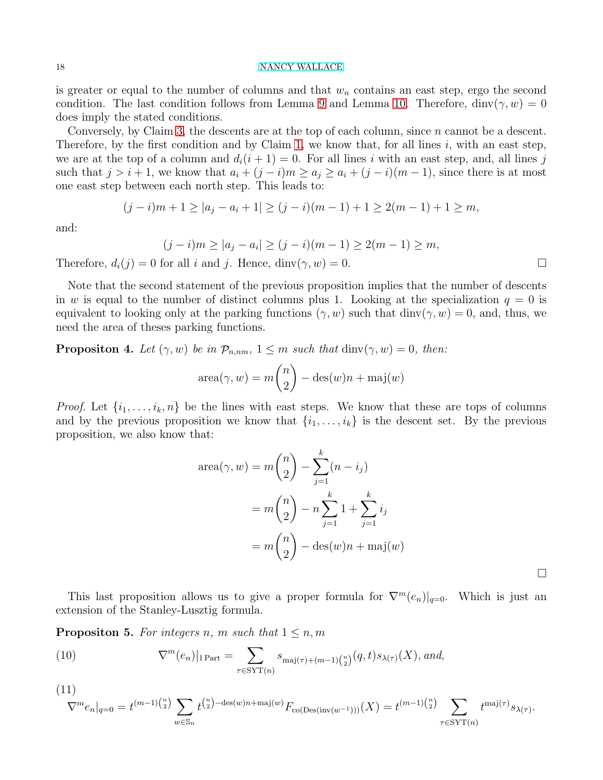is greater or equal to the number of columns and that  $w_n$  contains an east step, ergo the second condition. The last condition follows from Lemma [9](#page-14-4) and Lemma [10.](#page-14-2) Therefore, dinv( $\gamma, w$ ) = 0 does imply the stated conditions.

Conversely, by Claim [3,](#page-15-3) the descents are at the top of each column, since  $n$  cannot be a descent. Therefore, by the first condition and by Claim [1,](#page-12-2) we know that, for all lines i, with an east step, we are at the top of a column and  $d_i(i + 1) = 0$ . For all lines i with an east step, and, all lines j such that  $j > i + 1$ , we know that  $a_i + (j - i)m \ge a_j \ge a_i + (j - i)(m - 1)$ , since there is at most one east step between each north step. This leads to:

$$
(j-i)m+1 \ge |a_j - a_i + 1| \ge (j-i)(m-1) + 1 \ge 2(m-1) + 1 \ge m,
$$

and:

$$
(j-i)m \ge |a_j - a_i| \ge (j-i)(m-1) \ge 2(m-1) \ge m,
$$

Therefore,  $d_i(j) = 0$  for all i and j. Hence, dinv( $\gamma, w$ ) = 0.

Note that the second statement of the previous proposition implies that the number of descents in w is equal to the number of distinct columns plus 1. Looking at the specialization  $q = 0$  is equivalent to looking only at the parking functions  $(\gamma, w)$  such that dinv $(\gamma, w) = 0$ , and, thus, we need the area of theses parking functions.

<span id="page-17-2"></span>**Propositon 4.** Let  $(\gamma, w)$  be in  $\mathcal{P}_{n,nm}$ ,  $1 \leq m$  such that  $\dim(\gamma, w) = 0$ , then:

$$
area(\gamma, w) = m \binom{n}{2} - des(w)n + maj(w)
$$

*Proof.* Let  $\{i_1, \ldots, i_k, n\}$  be the lines with east steps. We know that these are tops of columns and by the previous proposition we know that  $\{i_1, \ldots, i_k\}$  is the descent set. By the previous proposition, we also know that:

area
$$
(\gamma, w)
$$
 =  $m \binom{n}{2} - \sum_{j=1}^{k} (n - i_j)$   
=  $m \binom{n}{2} - n \sum_{j=1}^{k} 1 + \sum_{j=1}^{k} i_j$   
=  $m \binom{n}{2} - \text{des}(w)n + \text{maj}(w)$ 

This last proposition allows us to give a proper formula for  $\nabla^{m}(e_n)|_{q=0}$ . Which is just an extension of the Stanley-Lusztig formula.

<span id="page-17-0"></span>**Propositon 5.** For integers n, m such that  $1 \leq n, m$ 

<span id="page-17-3"></span>(10) 
$$
\nabla^{m}(e_{n})|_{1\text{ Part}} = \sum_{\tau \in \text{SYT}(n)} s_{\text{maj}(\tau)+(m-1)\binom{n}{2}}(q,t) s_{\lambda(\tau)}(X), \text{ and,}
$$

(11)

<span id="page-17-1"></span>
$$
\nabla^{m} e_n|_{q=0} = t^{(m-1)\binom{n}{2}} \sum_{w \in \mathbb{S}_n} t^{\binom{n}{2} - \text{des}(w)n + \text{maj}(w)} F_{\text{co}(\text{Des}(\text{inv}(w^{-1})))}(X) = t^{(m-1)\binom{n}{2}} \sum_{\tau \in \text{SYT}(n)} t^{\text{maj}(\tau)} s_{\lambda(\tau)}.
$$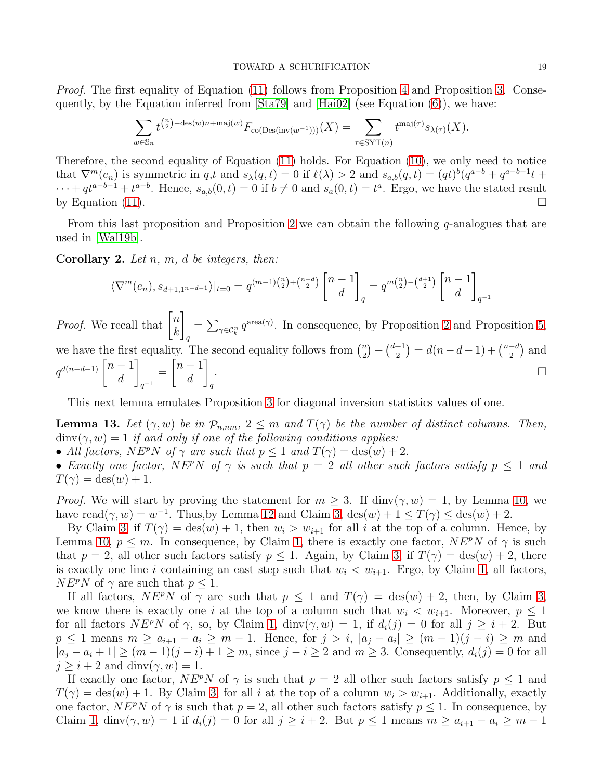*Proof.* The first equality of Equation [\(11\)](#page-17-1) follows from Proposition [4](#page-17-2) and Proposition [3.](#page-16-3) Consequently, by the Equation inferred from  $[Sta79]$  and  $[Ha02]$  (see Equation  $(6)$ ), we have:

$$
\sum_{w \in \mathbb{S}_n} t^{{n \choose 2} - \text{des}(w)n + \text{maj}(w)} F_{\text{co}(\text{Des}(\text{inv}(w^{-1})))}(X) = \sum_{\tau \in \text{SYT}(n)} t^{\text{maj}(\tau)} s_{\lambda(\tau)}(X).
$$

Therefore, the second equality of Equation [\(11\)](#page-17-1) holds. For Equation [\(10\)](#page-17-3), we only need to notice that  $\nabla^{m}(e_{n})$  is symmetric in q,t and  $s_{\lambda}(q,t) = 0$  if  $\ell(\lambda) > 2$  and  $s_{a,b}(q,t) = (qt)^{b}(q^{a-b} + q^{a-b-1}t +$  $\cdots + qt^{a-b-1} + t^{a-b}$ . Hence,  $s_{a,b}(0,t) = 0$  if  $b \neq 0$  and  $s_a(0,t) = t^a$ . Ergo, we have the stated result by Equation [\(11\)](#page-17-1).  $\Box$ 

From this last proposition and Proposition [2](#page-11-5) we can obtain the following  $q$ -analogues that are used in [Wal19b].

Corollary 2. *Let* n*,* m*,* d *be integers, then:*

$$
\langle \nabla^m(e_n), s_{d+1,1^{n-d-1}} \rangle |_{t=0} = q^{(m-1)\binom{n}{2} + \binom{n-d}{2}} \begin{bmatrix} n-1 \\ d \end{bmatrix}_q = q^{m\binom{n}{2} - \binom{d+1}{2}} \begin{bmatrix} n-1 \\ d \end{bmatrix}_{q^{-1}}
$$

*Proof.* We recall that  $\begin{bmatrix} n \\ n \end{bmatrix}$ k 1  $\begin{bmatrix} 1^{n} \end{bmatrix} q$ <br>we have the first equality. The second equality follows from  $\binom{n}{2}$  $=\sum_{\gamma\in\mathcal{C}_k^n}q^{\text{area}(\gamma)}$ . In consequence, by Proposition [2](#page-11-5) and Proposition [5,](#page-17-0)  $\binom{n}{2} - \binom{d+1}{2}$  $\binom{+1}{2} = d(n-d-1) + \binom{n-d}{2}$  $\binom{-d}{2}$  and  $q^{d(n-d-1)}\left[n-1\atop d\right]$ d 1  $q^{-1}$ =  $\lceil n-1 \rceil$ d 1 q . В последните поставите на селото на селото на селото на селото на селото на селото на селото на селото на се<br>Селото на селото на селото на селото на селото на селото на селото на селото на селото на селото на селото на

This next lemma emulates Proposition [3](#page-16-3) for diagonal inversion statistics values of one.

<span id="page-18-0"></span>**Lemma 13.** Let  $(\gamma, w)$  be in  $\mathcal{P}_{n,nm}$ ,  $2 \leq m$  and  $T(\gamma)$  be the number of distinct columns. Then,  $\dim(\gamma, w) = 1$  *if and only if one of the following conditions applies:* 

- All factors,  $NE^pN$  of  $\gamma$  are such that  $p \leq 1$  and  $T(\gamma) = \text{des}(w) + 2$ .
- *Exactly one factor,*  $NE^pN$  *of*  $\gamma$  *is such that*  $p = 2$  *all other such factors satisfy*  $p \le 1$  *and*  $T(\gamma) = \text{des}(w) + 1.$

*Proof.* We will start by proving the statement for  $m \geq 3$ . If dinv $(\gamma, w) = 1$ , by Lemma [10,](#page-14-2) we have read $(\gamma, w) = w^{-1}$ . Thus, by Lemma [12](#page-16-4) and Claim [3,](#page-15-3)  $\text{des}(w) + 1 \leq T(\gamma) \leq \text{des}(w) + 2$ .

By Claim [3,](#page-15-3) if  $T(\gamma) = \text{des}(w) + 1$ , then  $w_i > w_{i+1}$  for all i at the top of a column. Hence, by Lemma [10,](#page-14-2)  $p \leq m$ . In consequence, by Claim [1,](#page-12-2) there is exactly one factor,  $N E^p N$  of  $\gamma$  is such that  $p = 2$ , all other such factors satisfy  $p \le 1$ . Again, by Claim [3,](#page-15-3) if  $T(\gamma) = \text{des}(w) + 2$ , there is exactly one line i containing an east step such that  $w_i < w_{i+1}$ . Ergo, by Claim [1,](#page-12-2) all factors,  $NE<sup>p</sup>N$  of  $\gamma$  are such that  $p \leq 1$ .

If all factors,  $NE^pN$  of  $\gamma$  are such that  $p \leq 1$  and  $T(\gamma) = \text{des}(w) + 2$ , then, by Claim [3,](#page-15-3) we know there is exactly one i at the top of a column such that  $w_i < w_{i+1}$ . Moreover,  $p \leq 1$ for all factors  $NE^pN$  of  $\gamma$ , so, by Claim [1,](#page-12-2) dinv $(\gamma, w) = 1$ , if  $d_i(j) = 0$  for all  $j \geq i + 2$ . But  $p \le 1$  means  $m \ge a_{i+1} - a_i \ge m - 1$ . Hence, for  $j > i$ ,  $|a_j - a_i| \ge (m - 1)(j - i) \ge m$  and  $|a_i - a_i + 1| \ge (m-1)(j-i) + 1 \ge m$ , since  $j - i \ge 2$  and  $m \ge 3$ . Consequently,  $d_i(j) = 0$  for all  $j \geq i + 2$  and dinv $(\gamma, w) = 1$ .

If exactly one factor,  $NE^pN$  of  $\gamma$  is such that  $p = 2$  all other such factors satisfy  $p \leq 1$  and  $T(\gamma) = \text{des}(w) + 1$ . By Claim [3,](#page-15-3) for all i at the top of a column  $w_i > w_{i+1}$ . Additionally, exactly one factor,  $N E^{p} N$  of  $\gamma$  is such that  $p = 2$ , all other such factors satisfy  $p \leq 1$ . In consequence, by Claim [1,](#page-12-2) dinv $(\gamma, w) = 1$  if  $d_i(j) = 0$  for all  $j \geq i + 2$ . But  $p \leq 1$  means  $m \geq a_{i+1} - a_i \geq m - 1$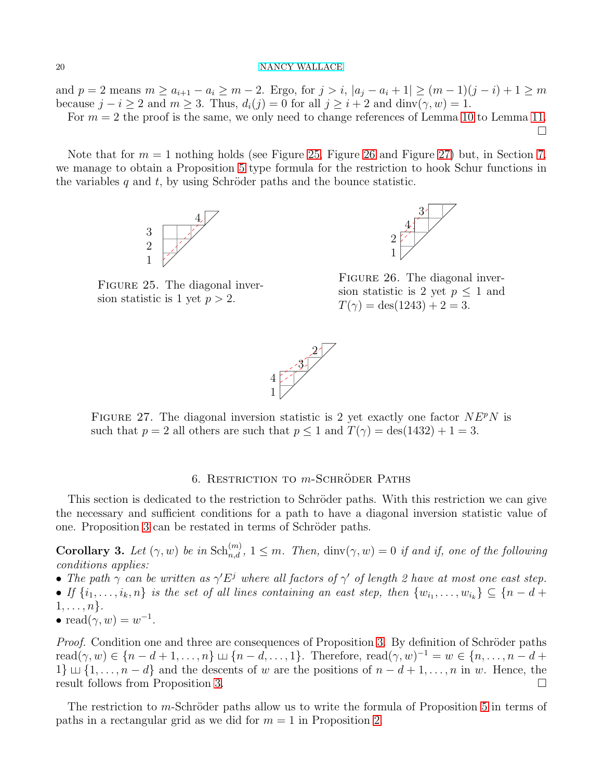and  $p = 2$  means  $m \ge a_{i+1} - a_i \ge m - 2$ . Ergo, for  $j > i$ ,  $|a_j - a_i + 1| \ge (m - 1)(j - i) + 1 \ge m$ because  $j - i \ge 2$  and  $m \ge 3$ . Thus,  $d_i(j) = 0$  for all  $j \ge i + 2$  and dinv $(\gamma, w) = 1$ .

For  $m = 2$  the proof is the same, we only need to change references of Lemma [10](#page-14-2) to Lemma [11.](#page-15-4)  $\Box$ 

Note that for  $m = 1$  nothing holds (see Figure [25,](#page-19-1) Figure [26](#page-19-2) and Figure [27\)](#page-19-3) but, in Section [7,](#page-23-0) we manage to obtain a Proposition [5](#page-17-0) type formula for the restriction to hook Schur functions in the variables q and t, by using Schröder paths and the bounce statistic.



<span id="page-19-1"></span>FIGURE 25. The diagonal inversion statistic is 1 yet  $p > 2$ .



<span id="page-19-2"></span>FIGURE 26. The diagonal inversion statistic is 2 yet  $p \leq 1$  and  $T(\gamma) = \text{des}(1243) + 2 = 3.$ 



FIGURE 27. The diagonal inversion statistic is 2 yet exactly one factor  $N E^p N$  is such that  $p = 2$  all others are such that  $p \le 1$  and  $T(\gamma) = \text{des}(1432) + 1 = 3$ .

## <span id="page-19-3"></span>6. RESTRICTION TO  $m$ -SCHRÖDER PATHS

<span id="page-19-0"></span>This section is dedicated to the restriction to Schröder paths. With this restriction we can give the necessary and sufficient conditions for a path to have a diagonal inversion statistic value of one. Proposition [3](#page-16-3) can be restated in terms of Schröder paths.

<span id="page-19-4"></span>Corollary 3. Let  $(\gamma, w)$  be in  $\text{Sch}_{n,d}^{(m)}$ ,  $1 \leq m$ . Then,  $\dim(\gamma, w) = 0$  if and if, one of the following *conditions applies:*

- The path  $\gamma$  can be written as  $\gamma' E^j$  where all factors of  $\gamma'$  of length 2 have at most one east step.
- If  $\{i_1, \ldots, i_k, n\}$  is the set of all lines containing an east step, then  $\{w_{i_1}, \ldots, w_{i_k}\} \subseteq \{n-d+1\}$  $1, \ldots, n$ *.*
- $\operatorname{read}(\gamma, w) = w^{-1}.$

*Proof.* Condition one and three are consequences of Proposition [3.](#page-16-3) By definition of Schröder paths read $(\gamma, w) \in \{n-d+1, \ldots, n\} \sqcup \{n-d, \ldots, 1\}$ . Therefore, read $(\gamma, w)^{-1} = w \in \{n, \ldots, n-d+1\}$ 1}  $\sqcup$  {1, ..., n − d} and the descents of w are the positions of n − d + 1, ..., n in w. Hence, the result follows from Proposition [3.](#page-16-3)

The restriction to m-Schröder paths allow us to write the formula of Proposition [5](#page-17-0) in terms of paths in a rectangular grid as we did for  $m = 1$  in Proposition [2.](#page-11-5)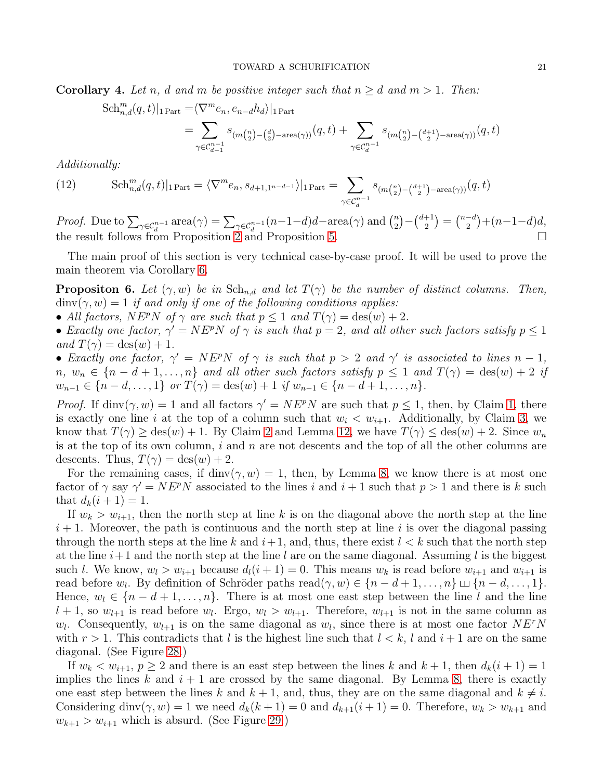**Corollary 4.** Let n, d and m be positive integer such that  $n \geq d$  and  $m > 1$ . Then:

$$
\begin{split} \text{Sch}_{n,d}^m(q,t)|_{1\text{ Part}}=&\langle \nabla^m e_n, e_{n-d}h_d \rangle|_{1\text{ Part}}\\ =&\sum_{\gamma \in \mathcal{C}_{d-1}^{n-1}}s_{(m\binom{n}{2}-\binom{d}{2}-\text{area}(\gamma))}(q,t)+\sum_{\gamma \in \mathcal{C}_{d}^{n-1}}s_{(m\binom{n}{2}-\binom{d+1}{2}-\text{area}(\gamma))}(q,t) \end{split}
$$

*Additionally:*

(12) 
$$
\text{Sch}_{n,d}^m(q,t)|_{1\text{ Part}} = \langle \nabla^m e_n, s_{d+1,1^{n-d-1}} \rangle|_{1\text{ Part}} = \sum_{\gamma \in \mathcal{C}_d^{n-1}} s_{(m\binom{n}{2} - \binom{d+1}{2} - \text{area}(\gamma))}(q,t)
$$

*Proof.* Due to  $\sum_{\gamma \in C_d^{n-1}} \text{area}(\gamma) = \sum_{\gamma \in C_d^{n-1}} (n-1-d)d - \text{area}(\gamma)$  and  $\binom{n}{2}$  $\binom{n}{2} - \binom{d+1}{2}$  $\binom{+1}{2} = \binom{n-d}{2}$  $a^{-d}$ ) +  $(n-1-d)d$ , the result follows from Proposition [2](#page-11-5) and Proposition [5.](#page-17-0)

The main proof of this section is very technical case-by-case proof. It will be used to prove the main theorem via Corollary [6.](#page-22-0)

<span id="page-20-0"></span>**Propositon 6.** Let  $(\gamma, w)$  be in  $Sch_{n,d}$  and let  $T(\gamma)$  be the number of distinct columns. Then,  $\dim(\gamma, w) = 1$  *if and only if one of the following conditions applies:* 

- All factors,  $NE^pN$  of  $\gamma$  are such that  $p \leq 1$  and  $T(\gamma) = \text{des}(w) + 2$ .
- *Exactly one factor,*  $\gamma' = N E^p N$  *of*  $\gamma$  *is such that*  $p = 2$ *, and all other such factors satisfy*  $p \le 1$  $and T(\gamma) = des(w) + 1.$

• *Exactly one factor,*  $\gamma' = N E^p N$  *of*  $\gamma$  *is such that*  $p > 2$  *and*  $\gamma'$  *is associated to lines*  $n - 1$ *,*  $n, w_n \in \{n-d+1,\ldots,n\}$  and all other such factors satisfy  $p \leq 1$  and  $T(\gamma) = \text{des}(w) + 2$  if  $w_{n-1} \in \{n-d, \ldots, 1\}$  *or*  $T(\gamma) = \text{des}(w) + 1$  *if*  $w_{n-1} \in \{n-d+1, \ldots, n\}.$ 

*Proof.* If dinv $(\gamma, w) = 1$  and all factors  $\gamma' = N E^p N$  are such that  $p \le 1$ , then, by Claim [1,](#page-12-2) there is exactly one line i at the top of a column such that  $w_i < w_{i+1}$ . Additionally, by Claim [3,](#page-15-3) we know that  $T(\gamma) \geq \text{des}(w) + 1$ . By Claim [2](#page-14-3) and Lemma [12,](#page-16-4) we have  $T(\gamma) \leq \text{des}(w) + 2$ . Since  $w_n$ is at the top of its own column,  $i$  and  $n$  are not descents and the top of all the other columns are descents. Thus,  $T(\gamma) = \text{des}(w) + 2$ .

For the remaining cases, if  $\dim(y, w) = 1$ , then, by Lemma [8,](#page-13-2) we know there is at most one factor of  $\gamma$  say  $\gamma' = N E^p N$  associated to the lines i and  $i + 1$  such that  $p > 1$  and there is k such that  $d_k(i + 1) = 1$ .

If  $w_k > w_{i+1}$ , then the north step at line k is on the diagonal above the north step at the line  $i+1$ . Moreover, the path is continuous and the north step at line i is over the diagonal passing through the north steps at the line k and  $i+1$ , and, thus, there exist  $l < k$  such that the north step at the line  $i+1$  and the north step at the line l are on the same diagonal. Assuming l is the biggest such l. We know,  $w_l > w_{i+1}$  because  $d_l(i+1) = 0$ . This means  $w_k$  is read before  $w_{i+1}$  and  $w_{i+1}$  is read before  $w_l$ . By definition of Schröder paths  $\text{read}(\gamma, w) \in \{n-d+1, \ldots, n\} \sqcup \{n-d, \ldots, 1\}.$ Hence,  $w_l \in \{n-d+1,\ldots,n\}$ . There is at most one east step between the line l and the line  $l + 1$ , so  $w_{l+1}$  is read before  $w_l$ . Ergo,  $w_l > w_{l+1}$ . Therefore,  $w_{l+1}$  is not in the same column as  $w_l$ . Consequently,  $w_{l+1}$  is on the same diagonal as  $w_l$ , since there is at most one factor  $N E^r N$ with  $r > 1$ . This contradicts that l is the highest line such that  $l < k$ , l and  $i + 1$  are on the same diagonal. (See Figure [28.](#page-21-0))

If  $w_k < w_{i+1}, p \ge 2$  and there is an east step between the lines k and  $k+1$ , then  $d_k(i+1) = 1$ implies the lines k and  $i + 1$  are crossed by the same diagonal. By Lemma [8,](#page-13-2) there is exactly one east step between the lines k and  $k + 1$ , and, thus, they are on the same diagonal and  $k \neq i$ . Considering dinv( $\gamma, w$ ) = 1 we need  $d_k(k+1) = 0$  and  $d_{k+1}(i+1) = 0$ . Therefore,  $w_k > w_{k+1}$  and  $w_{k+1} > w_{i+1}$  which is absurd. (See Figure [29.](#page-21-1))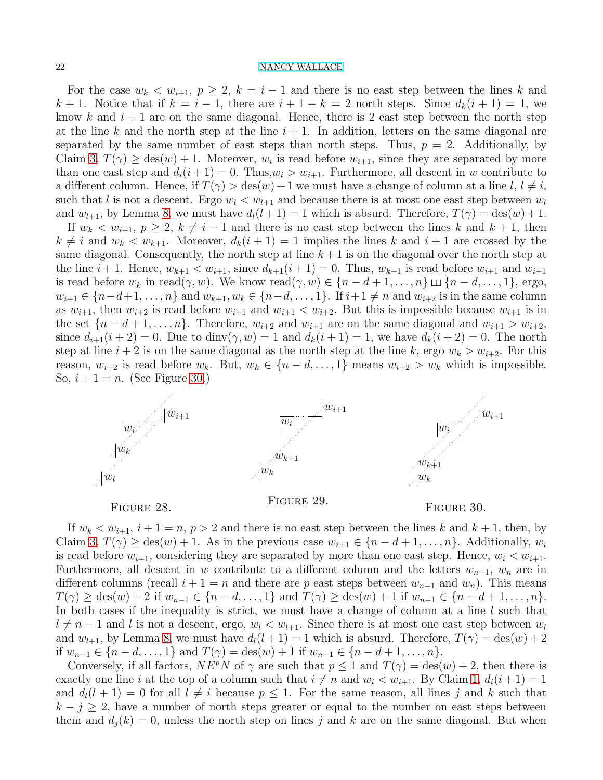For the case  $w_k < w_{i+1}, p \geq 2, k = i - 1$  and there is no east step between the lines k and k + 1. Notice that if  $k = i - 1$ , there are  $i + 1 - k = 2$  north steps. Since  $d_k(i + 1) = 1$ , we know k and  $i + 1$  are on the same diagonal. Hence, there is 2 east step between the north step at the line k and the north step at the line  $i + 1$ . In addition, letters on the same diagonal are separated by the same number of east steps than north steps. Thus,  $p = 2$ . Additionally, by Claim [3,](#page-15-3)  $T(\gamma) \geq \text{des}(w) + 1$ . Moreover,  $w_i$  is read before  $w_{i+1}$ , since they are separated by more than one east step and  $d_i(i+1) = 0$ . Thus,  $w_i > w_{i+1}$ . Furthermore, all descent in w contribute to a different column. Hence, if  $T(\gamma) > \text{des}(w) + 1$  we must have a change of column at a line  $l, l \neq i$ , such that l is not a descent. Ergo  $w_l < w_{l+1}$  and because there is at most one east step between  $w_l$ and  $w_{l+1}$ , by Lemma [8,](#page-13-2) we must have  $d_l(l+1) = 1$  which is absurd. Therefore,  $T(\gamma) = \text{des}(w) + 1$ .

If  $w_k < w_{i+1}, p \geq 2, k \neq i-1$  and there is no east step between the lines k and  $k+1$ , then  $k \neq i$  and  $w_k < w_{k+1}$ . Moreover,  $d_k(i+1) = 1$  implies the lines k and  $i+1$  are crossed by the same diagonal. Consequently, the north step at line  $k+1$  is on the diagonal over the north step at the line  $i + 1$ . Hence,  $w_{k+1} < w_{i+1}$ , since  $d_{k+1}(i+1) = 0$ . Thus,  $w_{k+1}$  is read before  $w_{i+1}$  and  $w_{i+1}$ is read before  $w_k$  in read $(\gamma, w)$ . We know read $(\gamma, w) \in \{n-d+1, \ldots, n\} \sqcup \{n-d, \ldots, 1\}$ , ergo,  $w_{i+1} \in \{n-d+1,\ldots,n\}$  and  $w_{k+1}, w_k \in \{n-d,\ldots,1\}$ . If  $i+1 \neq n$  and  $w_{i+2}$  is in the same column as  $w_{i+1}$ , then  $w_{i+2}$  is read before  $w_{i+1}$  and  $w_{i+1} < w_{i+2}$ . But this is impossible because  $w_{i+1}$  is in the set  ${n-d+1,\ldots,n}$ . Therefore,  $w_{i+2}$  and  $w_{i+1}$  are on the same diagonal and  $w_{i+1} > w_{i+2}$ , since  $d_{i+1}(i+2) = 0$ . Due to  $\dim(\gamma, w) = 1$  and  $d_k(i+1) = 1$ , we have  $d_k(i+2) = 0$ . The north step at line  $i + 2$  is on the same diagonal as the north step at the line k, ergo  $w_k > w_{i+2}$ . For this reason,  $w_{i+2}$  is read before  $w_k$ . But,  $w_k \in \{n-d,\ldots,1\}$  means  $w_{i+2} > w_k$  which is impossible. So,  $i + 1 = n$ . (See Figure [30.](#page-21-2))



<span id="page-21-0"></span>FIGURE 28.

<span id="page-21-1"></span>FIGURE 29.

<span id="page-21-2"></span>Figure 30.

If  $w_k < w_{i+1}$ ,  $i+1=n$ ,  $p>2$  and there is no east step between the lines k and  $k+1$ , then, by Claim [3,](#page-15-3)  $T(\gamma) \geq \text{des}(w) + 1$ . As in the previous case  $w_{i+1} \in \{n-d+1,\ldots,n\}$ . Additionally,  $w_i$ is read before  $w_{i+1}$ , considering they are separated by more than one east step. Hence,  $w_i < w_{i+1}$ . Furthermore, all descent in w contribute to a different column and the letters  $w_{n-1}$ ,  $w_n$  are in different columns (recall  $i + 1 = n$  and there are p east steps between  $w_{n-1}$  and  $w_n$ ). This means  $T(\gamma) \geq \text{des}(w) + 2 \text{ if } w_{n-1} \in \{n-d, \ldots, 1\} \text{ and } T(\gamma) \geq \text{des}(w) + 1 \text{ if } w_{n-1} \in \{n-d+1, \ldots, n\}.$ In both cases if the inequality is strict, we must have a change of column at a line  $l$  such that  $l \neq n - 1$  and l is not a descent, ergo,  $w_l < w_{l+1}$ . Since there is at most one east step between  $w_l$ and  $w_{l+1}$ , by Lemma [8,](#page-13-2) we must have  $d_l(l+1) = 1$  which is absurd. Therefore,  $T(\gamma) = \text{des}(w) + 2$ if  $w_{n-1} \in \{n-d, \ldots, 1\}$  and  $T(\gamma) = \text{des}(w) + 1$  if  $w_{n-1} \in \{n-d+1, \ldots, n\}.$ 

Conversely, if all factors,  $NE^pN$  of  $\gamma$  are such that  $p \leq 1$  and  $T(\gamma) = \text{des}(w) + 2$ , then there is exactly one line i at the top of a column such that  $i \neq n$  and  $w_i < w_{i+1}$ . By Claim [1,](#page-12-2)  $d_i(i+1) = 1$ and  $d_l(l + 1) = 0$  for all  $l \neq i$  because  $p \leq 1$ . For the same reason, all lines j and k such that  $k - j \geq 2$ , have a number of north steps greater or equal to the number on east steps between them and  $d_i(k) = 0$ , unless the north step on lines j and k are on the same diagonal. But when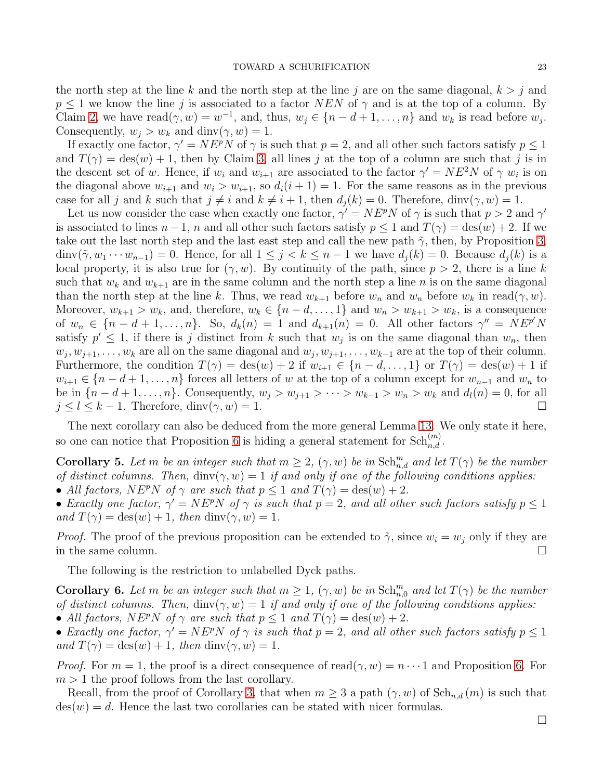the north step at the line k and the north step at the line j are on the same diagonal,  $k > j$  and  $p \leq 1$  we know the line j is associated to a factor NEN of  $\gamma$  and is at the top of a column. By Claim [2,](#page-14-3) we have read $(\gamma, w) = w^{-1}$ , and, thus,  $w_j \in \{n-d+1, \ldots, n\}$  and  $w_k$  is read before  $w_j$ . Consequently,  $w_i > w_k$  and dinv $(\gamma, w) = 1$ .

If exactly one factor,  $\gamma' = N E^p N$  of  $\gamma$  is such that  $p = 2$ , and all other such factors satisfy  $p \le 1$ and  $T(\gamma) = \text{des}(w) + 1$ , then by Claim [3,](#page-15-3) all lines j at the top of a column are such that j is in the descent set of w. Hence, if  $w_i$  and  $w_{i+1}$  are associated to the factor  $\gamma' = NE^2N$  of  $\gamma w_i$  is on the diagonal above  $w_{i+1}$  and  $w_i > w_{i+1}$ , so  $d_i(i+1) = 1$ . For the same reasons as in the previous case for all j and k such that  $j \neq i$  and  $k \neq i + 1$ , then  $d_i(k) = 0$ . Therefore, dinv( $\gamma, w$ ) = 1.

Let us now consider the case when exactly one factor,  $\gamma' = N E^p N$  of  $\gamma$  is such that  $p > 2$  and  $\gamma'$ is associated to lines  $n-1$ , n and all other such factors satisfy  $p \le 1$  and  $T(\gamma) = \text{des}(w) + 2$ . If we take out the last north step and the last east step and call the new path  $\tilde{\gamma}$ , then, by Proposition [3,](#page-16-3)  $\dim(\tilde{\gamma}, w_1 \cdots w_{n-1}) = 0$ . Hence, for all  $1 \leq j < k \leq n-1$  we have  $d_i(k) = 0$ . Because  $d_i(k)$  is a local property, it is also true for  $(\gamma, w)$ . By continuity of the path, since  $p > 2$ , there is a line k such that  $w_k$  and  $w_{k+1}$  are in the same column and the north step a line n is on the same diagonal than the north step at the line k. Thus, we read  $w_{k+1}$  before  $w_n$  and  $w_n$  before  $w_k$  in read( $\gamma, w$ ). Moreover,  $w_{k+1} > w_k$ , and, therefore,  $w_k \in \{n-d, \ldots, 1\}$  and  $w_n > w_{k+1} > w_k$ , is a consequence of  $w_n \in \{n-d+1,\ldots,n\}$ . So,  $d_k(n) = 1$  and  $d_{k+1}(n) = 0$ . All other factors  $\gamma'' = N E^{p'} N$ satisfy  $p' \leq 1$ , if there is j distinct from k such that  $w_j$  is on the same diagonal than  $w_n$ , then  $w_j, w_{j+1}, \ldots, w_k$  are all on the same diagonal and  $w_j, w_{j+1}, \ldots, w_{k-1}$  are at the top of their column. Furthermore, the condition  $T(\gamma) = \text{des}(w) + 2$  if  $w_{i+1} \in \{n-d,\ldots,1\}$  or  $T(\gamma) = \text{des}(w) + 1$  if  $w_{i+1} \in \{n-d+1,\ldots,n\}$  forces all letters of w at the top of a column except for  $w_{n-1}$  and  $w_n$  to be in  $\{n-d+1,\ldots,n\}$ . Consequently,  $w_j > w_{j+1} > \cdots > w_{k-1} > w_n > w_k$  and  $d_l(n) = 0$ , for all  $j \leq l \leq k-1$ . Therefore,  $\dim(\gamma, w) = 1$ .

The next corollary can also be deduced from the more general Lemma [13.](#page-18-0) We only state it here, so one can notice that Proposition [6](#page-20-0) is hiding a general statement for  $\text{Sch}_{n,d}^{(m)}$ .

<span id="page-22-1"></span>**Corollary 5.** Let m be an integer such that  $m \geq 2$ ,  $(\gamma, w)$  be in  $Sch^{m}_{n,d}$  and let  $T(\gamma)$  be the number *of distinct columns. Then,* dinv $(\gamma, w) = 1$  *if and only if one of the following conditions applies:* 

• All factors,  $NE^pN$  of  $\gamma$  are such that  $p \leq 1$  and  $T(\gamma) = \text{des}(w) + 2$ .

• *Exactly one factor,*  $\gamma' = N E^p N$  *of*  $\gamma$  *is such that*  $p = 2$ *, and all other such factors satisfy*  $p \le 1$ *and*  $T(\gamma) = \text{des}(w) + 1$ , then  $\text{dinv}(\gamma, w) = 1$ .

*Proof.* The proof of the previous proposition can be extended to  $\tilde{\gamma}$ , since  $w_i = w_j$  only if they are in the same column.  $\Box$ 

The following is the restriction to unlabelled Dyck paths.

<span id="page-22-0"></span>**Corollary 6.** Let m be an integer such that  $m \geq 1$ ,  $(\gamma, w)$  be in  $Sch^{m}_{n,0}$  and let  $T(\gamma)$  be the number *of distinct columns. Then,* dinv $(\gamma, w) = 1$  *if and only if one of the following conditions applies:* 

• *All factors,*  $N E^p N$  *of*  $\gamma$  *are such that*  $p \leq 1$  *and*  $T(\gamma) = \text{des}(w) + 2$ *.* 

• *Exactly one factor,*  $\gamma' = N E^p N$  *of*  $\gamma$  *is such that*  $p = 2$ *, and all other such factors satisfy*  $p \le 1$ *and*  $T(\gamma) = \text{des}(w) + 1$ , then  $\text{dim}(\gamma, w) = 1$ .

*Proof.* For  $m = 1$ , the proof is a direct consequence of read $(\gamma, w) = n \cdots 1$  and Proposition [6.](#page-20-0) For  $m > 1$  the proof follows from the last corollary.

Recall, from the proof of Corollary [3,](#page-19-4) that when  $m \geq 3$  a path  $(\gamma, w)$  of  $\text{Sch}_{n,d}(m)$  is such that  $\text{des}(w) = d.$  Hence the last two corollaries can be stated with nicer formulas.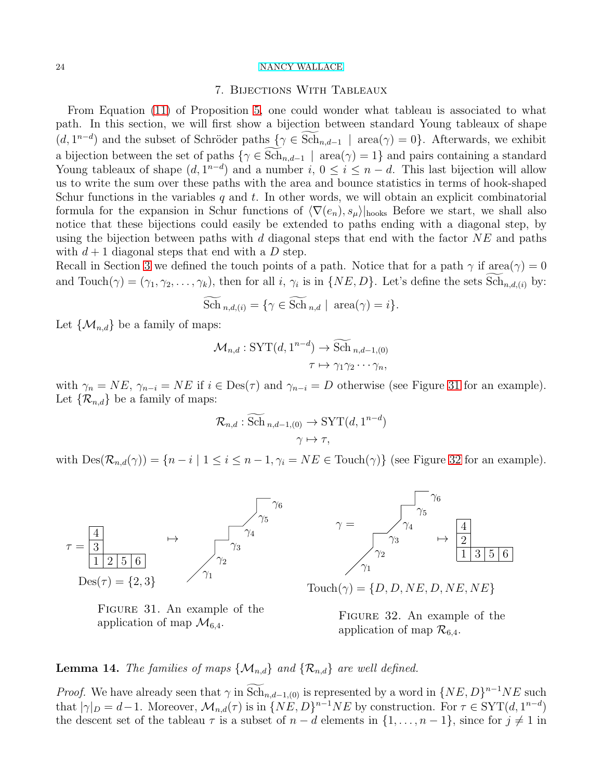#### 7. Bijections With Tableaux

<span id="page-23-0"></span>From Equation [\(11\)](#page-17-1) of Proposition [5,](#page-17-0) one could wonder what tableau is associated to what path. In this section, we will first show a bijection between standard Young tableaux of shape  $(d, 1^{n-d})$  and the subset of Schröder paths  $\{\gamma \in \text{Sch}_{n,d-1} \mid \text{area}(\gamma) = 0\}$ . Afterwards, we exhibit a bijection between the set of paths  $\{\gamma \in \overline{\text{Sch}}_{n,d-1} \mid \text{area}(\gamma) = 1\}$  and pairs containing a standard Young tableaux of shape  $(d, 1^{n-d})$  and a number i,  $0 \le i \le n-d$ . This last bijection will allow us to write the sum over these paths with the area and bounce statistics in terms of hook-shaped Schur functions in the variables q and t. In other words, we will obtain an explicit combinatorial formula for the expansion in Schur functions of  $\langle \nabla(e_n), s_\mu\rangle|_{\text{hook}}$  Before we start, we shall also notice that these bijections could easily be extended to paths ending with a diagonal step, by using the bijection between paths with d diagonal steps that end with the factor  $NE$  and paths with  $d+1$  diagonal steps that end with a D step.

Recall in Section [3](#page-3-0) we defined the touch points of a path. Notice that for a path  $\gamma$  if area $(\gamma) = 0$ and Touch $(\gamma) = (\gamma_1, \gamma_2, \dots, \gamma_k)$ , then for all i,  $\gamma_i$  is in  $\{NE, D\}$ . Let's define the sets  $Sch_{n,d,(i)}$  by:

$$
\widetilde{\text{Sch}}_{n,d,(i)} = \{ \gamma \in \widetilde{\text{Sch}}_{n,d} \mid \text{area}(\gamma) = i \}.
$$

Let  $\{\mathcal{M}_{n,d}\}\$  be a family of maps:

$$
\mathcal{M}_{n,d} : \mathrm{SYT}(d, 1^{n-d}) \to \mathrm{\overline{Sch}}_{n,d-1,(0)}
$$

$$
\tau \mapsto \gamma_1 \gamma_2 \cdots \gamma_n,
$$

with  $\gamma_n = NE$ ,  $\gamma_{n-i} = NE$  if  $i \in Des(\tau)$  and  $\gamma_{n-i} = D$  otherwise (see Figure [31](#page-23-1) for an example). Let  $\{\mathcal{R}_{n,d}\}\$  be a family of maps:

$$
\mathcal{R}_{n,d} : \widetilde{\text{Sch}}_{n,d-1,(0)} \to \text{SYT}(d, 1^{n-d})
$$

$$
\gamma \mapsto \tau,
$$

with  $\text{Des}(\mathcal{R}_{n,d}(\gamma)) = \{n-i \mid 1 \leq i \leq n-1, \gamma_i = NE \in \text{Tourch}(\gamma)\}\$  (see Figure [32](#page-23-2) for an example).

 $\gamma_6$ 



<span id="page-23-1"></span>Figure 31. An example of the application of map  $\mathcal{M}_{6,4}$ .



 $Touch(\gamma) = \{D, D, NE, D, NE, NE\}$ 

<span id="page-23-2"></span>Figure 32. An example of the application of map  $\mathcal{R}_{6,4}$ .

# **Lemma 14.** *The families of maps*  $\{M_{n,d}\}\$  *and*  $\{R_{n,d}\}\$  *are well defined.*

*Proof.* We have already seen that  $\gamma$  in  $Sch_{n,d-1,(0)}$  is represented by a word in  $\{NE, D\}^{n-1}NE$  such that  $|\gamma|_D = d-1$ . Moreover,  $\mathcal{M}_{n,d}(\tau)$  is in  $\{NE, D\}^{n-1}NE$  by construction. For  $\tau \in SYT(d, 1^{n-d})$ the descent set of the tableau  $\tau$  is a subset of  $n - d$  elements in  $\{1, \ldots, n - 1\}$ , since for  $j \neq 1$  in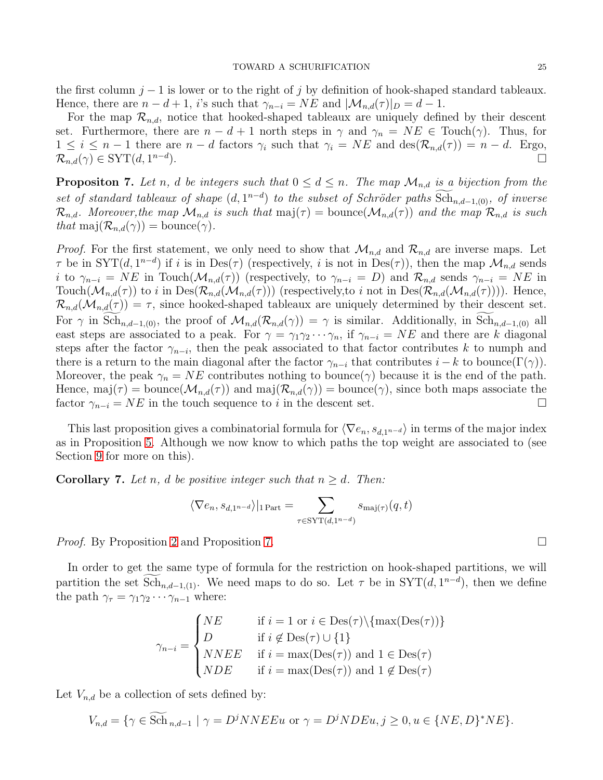the first column  $j-1$  is lower or to the right of j by definition of hook-shaped standard tableaux. Hence, there are  $n - d + 1$ , i's such that  $\gamma_{n-i} = NE$  and  $|\mathcal{M}_{n,d}(\tau)|_D = d - 1$ .

For the map  $\mathcal{R}_{n,d}$ , notice that hooked-shaped tableaux are uniquely defined by their descent set. Furthermore, there are  $n - d + 1$  north steps in  $\gamma$  and  $\gamma_n = NE \in \text{Touch}(\gamma)$ . Thus, for  $1 \leq i \leq n-1$  there are  $n-d$  factors  $\gamma_i$  such that  $\gamma_i = NE$  and  $\text{des}(\mathcal{R}_{n,d}(\tau)) = n-d$ . Ergo,  $\mathcal{R}_{n,d}(\gamma) \in \text{SYT}(d, 1^{n-d})$ ).

<span id="page-24-0"></span>**Propositon 7.** Let n, d be integers such that  $0 \leq d \leq n$ . The map  $\mathcal{M}_{n,d}$  is a bijection from the  $set$  of standard tableaux of shape  $(d, 1^{n-d})$  to the subset of Schröder paths  $Sch_{n,d-1,(0)}$ , of inverse  $\mathcal{R}_{n,d}$ *. Moreover, the map*  $\mathcal{M}_{n,d}$  *is such that* maj( $\tau$ ) = bounce( $\mathcal{M}_{n,d}(\tau)$ ) *and the map*  $\mathcal{R}_{n,d}$  *is such that* maj $(\mathcal{R}_{n,d}(\gamma)) = \text{bounce}(\gamma)$ .

*Proof.* For the first statement, we only need to show that  $\mathcal{M}_{n,d}$  and  $\mathcal{R}_{n,d}$  are inverse maps. Let  $\tau$  be in SYT $(d, 1^{n-d})$  if i is in Des $(\tau)$  (respectively, i is not in Des $(\tau)$ ), then the map  $\mathcal{M}_{n,d}$  sends i to  $\gamma_{n-i} = NE$  in Touch $(\mathcal{M}_{n,d}(\tau))$  (respectively, to  $\gamma_{n-i} = D$ ) and  $\mathcal{R}_{n,d}$  sends  $\gamma_{n-i} = NE$  in Touch $(\mathcal{M}_{n,d}(\tau))$  to i in  $\text{Des}(\mathcal{R}_{n,d}(\mathcal{M}_{n,d}(\tau)))$  (respectively, to i not in  $\text{Des}(\mathcal{R}_{n,d}(\mathcal{M}_{n,d}(\tau)))$ ). Hence,  $\mathcal{R}_{n,d}(\mathcal{M}_{n,d}(\tau)) = \tau$ , since hooked-shaped tableaux are uniquely determined by their descent set. For  $\gamma$  in Sch<sub>n,d-1,(0)</sub>, the proof of  $\mathcal{M}_{n,d}(\mathcal{R}_{n,d}(\gamma)) = \gamma$  is similar. Additionally, in Sch<sub>n,d-1,(0)</sub> all east steps are associated to a peak. For  $\gamma = \gamma_1 \gamma_2 \cdots \gamma_n$ , if  $\gamma_{n-i} = NE$  and there are k diagonal steps after the factor  $\gamma_{n-i}$ , then the peak associated to that factor contributes k to numph and there is a return to the main diagonal after the factor  $\gamma_{n-i}$  that contributes  $i - k$  to bounce( $\Gamma(\gamma)$ ). Moreover, the peak  $\gamma_n = NE$  contributes nothing to bounce( $\gamma$ ) because it is the end of the path. Hence, maj $(\tau)$  = bounce $(\mathcal{M}_{n,d}(\tau))$  and maj $(\mathcal{R}_{n,d}(\gamma))$  = bounce $(\gamma)$ , since both maps associate the factor  $\gamma_{n-i} = NE$  in the touch sequence to *i* in the descent set.  $\Box$ 

This last proposition gives a combinatorial formula for  $\langle \nabla e_n, s_{d,1^{n-d}} \rangle$  in terms of the major index as in Proposition [5.](#page-17-0) Although we now know to which paths the top weight are associated to (see Section [9](#page-32-0) for more on this).

**Corollary 7.** Let n, d be positive integer such that  $n > d$ . Then:

$$
\langle \nabla e_n, s_{d,1^{n-d}} \rangle|_{1\,\text{Part}} = \sum_{\tau \in \text{SYT}(d,1^{n-d})} s_{\text{maj}(\tau)}(q,t)
$$

*Proof.* By Proposition [2](#page-11-5) and Proposition [7.](#page-24-0) □

In order to get the same type of formula for the restriction on hook-shaped partitions, we will partition the set  $Sch_{n,d-1,(1)}$ . We need maps to do so. Let  $\tau$  be in  $SYT(d, 1^{n-d})$ , then we define the path  $\gamma_{\tau} = \gamma_1 \gamma_2 \cdots \gamma_{n-1}$  where:

$$
\gamma_{n-i} = \begin{cases}\nNE & \text{if } i = 1 \text{ or } i \in \text{Des}(\tau) \setminus \{\max(\text{Des}(\tau))\} \\
D & \text{if } i \notin \text{Des}(\tau) \cup \{1\} \\
NNEE & \text{if } i = \max(\text{Des}(\tau)) \text{ and } 1 \in \text{Des}(\tau) \\
NDE & \text{if } i = \max(\text{Des}(\tau)) \text{ and } 1 \notin \text{Des}(\tau)\n\end{cases}
$$

Let  $V_{n,d}$  be a collection of sets defined by:

$$
V_{n,d} = \{ \gamma \in \mathrm{Sch}_{n,d-1} \mid \gamma = D^j NNEEu \text{ or } \gamma = D^j NDEu, j \ge 0, u \in \{NE, D\}^* NE \}.
$$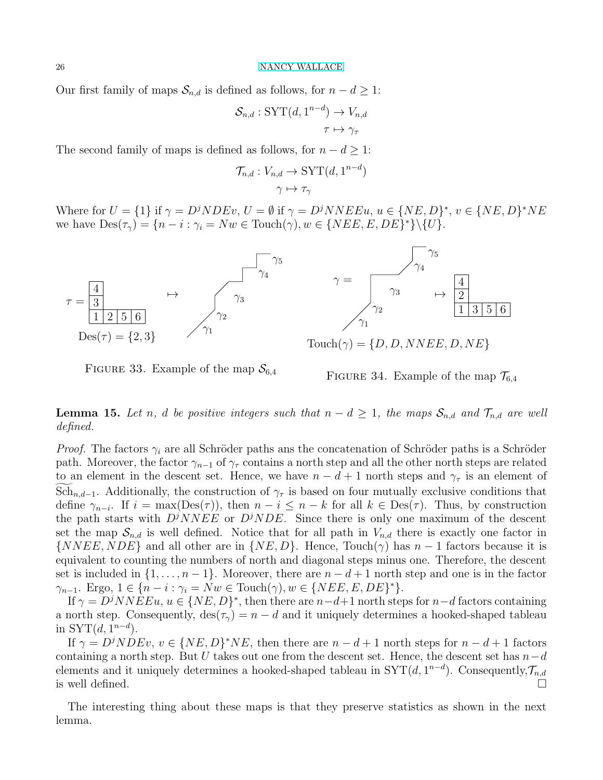Our first family of maps  $S_{n,d}$  is defined as follows, for  $n - d \geq 1$ :

$$
S_{n,d}: \mathrm{SYT}(d, 1^{n-d}) \to V_{n,d}
$$

$$
\tau \mapsto \gamma_{\tau}
$$

The second family of maps is defined as follows, for  $n - d \geq 1$ :

$$
\mathcal{T}_{n,d}: V_{n,d} \to \text{SYT}(d, 1^{n-d})
$$

$$
\gamma \mapsto \tau_{\gamma}
$$

Where for  $U = \{1\}$  if  $\gamma = D^j NDEv$ ,  $U = \emptyset$  if  $\gamma = D^j NNEEu$ ,  $u \in \{NE, D\}^*, v \in \{NE, D\}^* NE$ we have  $\text{Des}(\tau_{\gamma}) = \{n - i : \gamma_i = Nw \in \text{Touch}(\gamma), w \in \{NEE, E, DE\}^*\} \setminus \{U\}.$ 



FIGURE 33. Example of the map  $\mathcal{S}_{6,4}$ 





**Lemma 15.** Let n, d be positive integers such that  $n - d \geq 1$ , the maps  $S_{n,d}$  and  $\mathcal{T}_{n,d}$  are well *defined.*

*Proof.* The factors  $\gamma_i$  are all Schröder paths ans the concatenation of Schröder paths is a Schröder path. Moreover, the factor  $\gamma_{n-1}$  of  $\gamma_{\tau}$  contains a north step and all the other north steps are related to an element in the descent set. Hence, we have  $n - d + 1$  north steps and  $\gamma_{\tau}$  is an element of Sch<sub>n,d−1</sub>. Additionally, the construction of  $\gamma_{\tau}$  is based on four mutually exclusive conditions that define  $\gamma_{n-i}$ . If  $i = \max(\text{Des}(\tau))$ , then  $n-i \leq n-k$  for all  $k \in \text{Des}(\tau)$ . Thus, by construction the path starts with  $D<sup>j</sup>NNEE$  or  $D<sup>j</sup>NDE$ . Since there is only one maximum of the descent set the map  $S_{n,d}$  is well defined. Notice that for all path in  $V_{n,d}$  there is exactly one factor in  $\{NNEE, NDE\}$  and all other are in  $\{NE, D\}$ . Hence, Touch( $\gamma$ ) has  $n-1$  factors because it is equivalent to counting the numbers of north and diagonal steps minus one. Therefore, the descent set is included in  $\{1, \ldots, n-1\}$ . Moreover, there are  $n-d+1$  north step and one is in the factor  $\gamma_{n-1}$ . Ergo,  $1 \in \{n-i : \gamma_i = Nw \in \text{Touch}(\gamma), w \in \{NEE, E, DE\}^*\}.$ 

If  $\gamma = D^j NNEEu$ ,  $u \in \{NE, D\}^*$ , then there are  $n-d+1$  north steps for  $n-d$  factors containing a north step. Consequently,  $\text{des}(\tau_{\gamma}) = n - d$  and it uniquely determines a hooked-shaped tableau in  $SYT(d, 1^{n-d}).$ 

If  $\gamma = D^j NDEv$ ,  $v \in \{NE, D\}^* NE$ , then there are  $n - d + 1$  north steps for  $n - d + 1$  factors containing a north step. But U takes out one from the descent set. Hence, the descent set has  $n-d$ elements and it uniquely determines a hooked-shaped tableau in  $\text{SYT}(d, 1^{n-d})$ . Consequently,  $\mathcal{T}_{n,d}$ is well defined.  $\square$ 

The interesting thing about these maps is that they preserve statistics as shown in the next lemma.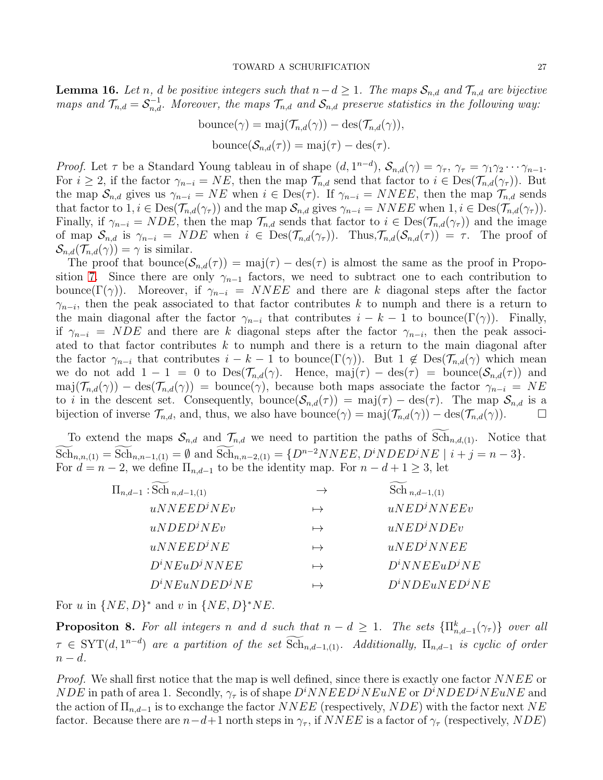<span id="page-26-0"></span>**Lemma 16.** Let *n*, *d* be positive integers such that  $n-d \geq 1$ . The maps  $\mathcal{S}_{n,d}$  and  $\mathcal{T}_{n,d}$  are bijective *maps and*  $\mathcal{T}_{n,d} = \mathcal{S}_{n,d}^{-1}$ . Moreover, the maps  $\mathcal{T}_{n,d}$  and  $\mathcal{S}_{n,d}$  preserve statistics in the following way:

$$
bounce(\gamma) = maj(\mathcal{T}_{n,d}(\gamma)) - des(\mathcal{T}_{n,d}(\gamma)),
$$
  
 
$$
bounce(\mathcal{S}_{n,d}(\tau)) = maj(\tau) - des(\tau).
$$

*Proof.* Let  $\tau$  be a Standard Young tableau in of shape  $(d, 1^{n-d}), S_{n,d}(\gamma) = \gamma_{\tau}, \gamma_{\tau} = \gamma_1 \gamma_2 \cdots \gamma_{n-1}$ . For  $i \geq 2$ , if the factor  $\gamma_{n-i} = NE$ , then the map  $\mathcal{T}_{n,d}$  send that factor to  $i \in Des(\mathcal{T}_{n,d}(\gamma_{\tau}))$ . But the map  $S_{n,d}$  gives us  $\gamma_{n-i} = NE$  when  $i \in Des(\tau)$ . If  $\gamma_{n-i} = NNEE$ , then the map  $\mathcal{T}_{n,d}$  sends that factor to  $1, i \in Des(\mathcal{T}_{n,d}(\gamma_{\tau}))$  and the map  $\mathcal{S}_{n,d}$  gives  $\gamma_{n-i} = NNEE$  when  $1, i \in Des(\mathcal{T}_{n,d}(\gamma_{\tau}))$ . Finally, if  $\gamma_{n-i} = NDE$ , then the map  $\mathcal{T}_{n,d}$  sends that factor to  $i \in Des(\mathcal{T}_{n,d}(\gamma_{\tau}))$  and the image of map  $S_{n,d}$  is  $\gamma_{n-i} = NDE$  when  $i \in Des(\mathcal{T}_{n,d}(\gamma_{\tau}))$ . Thus,  $\mathcal{T}_{n,d}(\mathcal{S}_{n,d}(\tau)) = \tau$ . The proof of  $\mathcal{S}_{n,d}(\mathcal{T}_{n,d}(\gamma)) = \gamma$  is similar.

The proof that bounce $(\mathcal{S}_{n,d}(\tau)) = \text{maj}(\tau) - \text{des}(\tau)$  is almost the same as the proof in Propo-sition [7.](#page-24-0) Since there are only  $\gamma_{n-1}$  factors, we need to subtract one to each contribution to bounce( $\Gamma(\gamma)$ ). Moreover, if  $\gamma_{n-i} = NNEE$  and there are k diagonal steps after the factor  $\gamma_{n-i}$ , then the peak associated to that factor contributes k to numph and there is a return to the main diagonal after the factor  $\gamma_{n-i}$  that contributes  $i - k - 1$  to bounce( $\Gamma(\gamma)$ ). Finally, if  $\gamma_{n-i} = NDE$  and there are k diagonal steps after the factor  $\gamma_{n-i}$ , then the peak associated to that factor contributes  $k$  to numph and there is a return to the main diagonal after the factor  $\gamma_{n-i}$  that contributes  $i - k - 1$  to bounce( $\Gamma(\gamma)$ ). But  $1 \notin \text{Des}(\mathcal{T}_{n,d}(\gamma))$  which mean we do not add  $1 - 1 = 0$  to  $Des(\mathcal{T}_{n,d}(\gamma))$ . Hence,  $maj(\tau) - des(\tau) = bounce(\mathcal{S}_{n,d}(\tau))$  and  $\text{maj}(\mathcal{T}_{n,d}(\gamma)) - \text{des}(\mathcal{T}_{n,d}(\gamma)) = \text{bounce}(\gamma)$ , because both maps associate the factor  $\gamma_{n-i} = NE$ to i in the descent set. Consequently, bounce $(\mathcal{S}_{n,d}(\tau)) = \text{maj}(\tau) - \text{des}(\tau)$ . The map  $\mathcal{S}_{n,d}$  is a bijection of inverse  $\mathcal{T}_{n,d}$ , and, thus, we also have bounce $(\gamma) = \text{maj}(\mathcal{T}_{n,d}(\gamma)) - \text{des}(\mathcal{T}_{n,d}(\gamma)).$ 

To extend the maps  $S_{n,d}$  and  $\mathcal{T}_{n,d}$  we need to partition the paths of  $Sch_{n,d,(1)}$ . Notice that  $Sch_{n,n,(1)} = Sch_{n,n-1,(1)} = \emptyset$  and  $Sch_{n,n-2,(1)} = \{D^{n-2}NNEE, D^iNDED^jNE \mid i+j=n-3\}.$ For  $d = n - 2$ , we define  $\Pi_{n,d-1}$  to be the identity map. For  $n - d + 1 \geq 3$ , let

| $\Pi_{n,d-1}$ : Sch $_{n,d-1,(1)}$ | $\rightarrow$ | Sch $_{n,d-1,(1)}$                          |
|------------------------------------|---------------|---------------------------------------------|
| $\label{eq:subm} uNNEED^{j}NEv$    | $\mapsto$     | $u\mathcal{N}ED^j\mathcal{N}\mathcal{N}EEv$ |
| uNDED <sup>j</sup> NEv             | $\mapsto$     | uNED <sup>j</sup> NDEv                      |
| uNNEED <sup>j</sup> NE             | $\mapsto$     | uNED <sup>j</sup> NNEE                      |
| $D^i N E u D^j N N E E$            | $\mapsto$     | $D^iNNEEuD^jNE$                             |
| $D^i N E u N D E D^j N E$          |               | $D^i NDEuNED^jNE$                           |
|                                    |               |                                             |

For u in  $\{NE, D\}^*$  and v in  $\{NE, D\}^*NE$ .

<span id="page-26-1"></span>**Propositon 8.** For all integers n and d such that  $n - d \geq 1$ . The sets  $\{\Pi_{n,d-1}^k(\gamma_{\tau})\}$  over all  $\tau \in \text{SYT}(d, 1^{n-d})$  are a partition of the set  $\text{Sch}_{n,d-1,(1)}$ . Additionally,  $\Pi_{n,d-1}$  is cyclic of order  $n - d$ .

*Proof.* We shall first notice that the map is well defined, since there is exactly one factor NNEE or  $NDE$  in path of area 1. Secondly,  $\gamma_{\tau}$  is of shape  $D^{i}NNEED^{j}NEuNE$  or  $D^{i}NDED^{j}NEuNE$  and the action of  $\Pi_{n,d-1}$  is to exchange the factor  $NNEE$  (respectively, NDE) with the factor next NE factor. Because there are  $n-d+1$  north steps in  $\gamma_{\tau}$ , if NNEE is a factor of  $\gamma_{\tau}$  (respectively, NDE)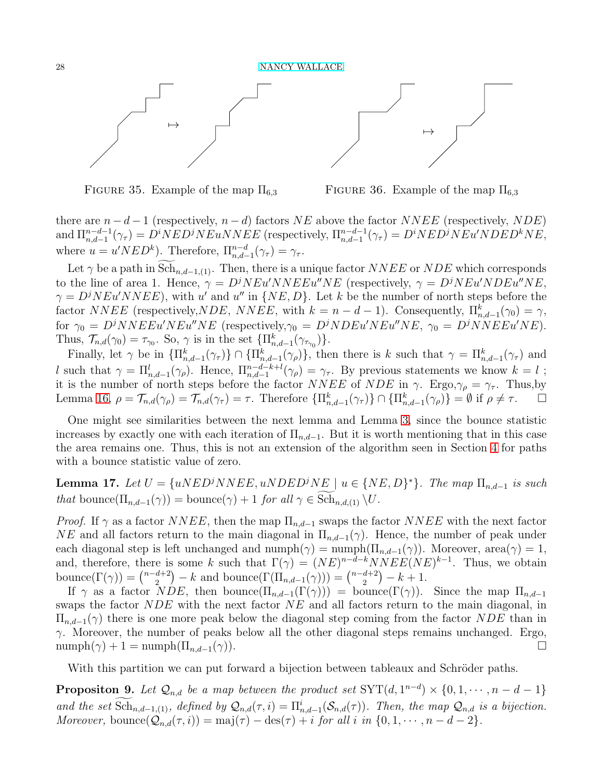



FIGURE 35. Example of the map  $\Pi_{6,3}$ 

FIGURE 36. Example of the map  $\Pi_{6,3}$ 

there are  $n - d - 1$  (respectively,  $n - d$ ) factors NE above the factor NNEE (respectively, NDE) and  $\Pi_{n,d-1}^{n-d-1}(\gamma_\tau) = D^iNED^jNEuNNEE$  (respectively,  $\Pi_{n,d-1}^{n-d-1}(\gamma_\tau) = D^iNED^jNEu'NDED^kNE$ , where  $u = u'NED^k$ ). Therefore,  $\prod_{n,d-1}^{n-d}(\gamma_\tau) = \gamma_\tau$ .

Let  $\gamma$  be a path in Sch<sub>n,d−1,(1)</sub>. Then, there is a unique factor NNEE or NDE which corresponds to the line of area 1. Hence,  $\gamma = D^jNEu'NNEEu''NE$  (respectively,  $\gamma = D^jNEu'NDEu''NE$ ,  $\gamma = D^jNEu'NNEE$ , with u' and u'' in  $\{NE, D\}$ . Let k be the number of north steps before the factor NNEE (respectively, NDE, NNEE, with  $k = n - d - 1$ ). Consequently,  $\prod_{n,d=1}^{k} (\gamma_0) = \gamma$ , for  $\gamma_0 = D^j NNEEu'NEu''NE$  (respectively,  $\gamma_0 = D^j NDEu'NEu''NE$ ,  $\gamma_0 = D^j NNEEu'NE$ ). Thus,  $\mathcal{T}_{n,d}(\gamma_0) = \tau_{\gamma_0}$ . So,  $\gamma$  is in the set  $\{\Pi_{n,d-1}^k(\gamma_{\tau_{\gamma_0}})\}.$ 

Finally, let  $\gamma$  be in  $\{\Pi_{n,d-1}^k(\gamma_\tau)\}\cap\{\Pi_{n,d-1}^k(\gamma_\rho)\}\$ , then there is k such that  $\gamma=\Pi_{n,d-1}^k(\gamma_\tau)$  and l such that  $\gamma = \prod_{n,d-1}^{l}(\gamma_{\rho})$ . Hence,  $\prod_{n,d-1}^{n-d-k+l}(\gamma_{\rho}) = \gamma_{\tau}$ . By previous statements we know  $k = l$ ; it is the number of north steps before the factor  $NNEE$  of  $NDE$  in  $\gamma$ . Ergo,  $\gamma_{\rho} = \gamma_{\tau}$ . Thus, by Lemma [16,](#page-26-0)  $\rho = \mathcal{T}_{n,d}(\gamma_\rho) = \mathcal{T}_{n,d}(\gamma_\tau) = \tau$ . Therefore  $\{\Pi_{n,d-1}^k(\gamma_\tau)\} \cap \{\Pi_{n,d-1}^k(\gamma_\rho)\} = \emptyset$  if  $\rho \neq \tau$ .

One might see similarities between the next lemma and Lemma [3,](#page-10-0) since the bounce statistic increases by exactly one with each iteration of  $\Pi_{n,d-1}$ . But it is worth mentioning that in this case the area remains one. Thus, this is not an extension of the algorithm seen in Section [4](#page-7-0) for paths with a bounce statistic value of zero.

**Lemma 17.** Let  $U = \{uNED^jNNEE, uNDED^jNE \mid u \in \{NE, D\}^*\}$ . The map  $\Pi_{n,d-1}$  is such *that* bounce $(\Pi_{n,d-1}(\gamma)) = \text{bounce}(\gamma) + 1$  *for all*  $\gamma \in \widetilde{\text{Sch}}_{n,d,(1)} \setminus U$ .

*Proof.* If  $\gamma$  as a factor NNEE, then the map  $\Pi_{n,d-1}$  swaps the factor NNEE with the next factor NE and all factors return to the main diagonal in  $\Pi_{n,d-1}(\gamma)$ . Hence, the number of peak under each diagonal step is left unchanged and numph( $\gamma$ ) = numph( $\Pi_{n,d-1}(\gamma)$ ). Moreover, area( $\gamma$ ) = 1, and, therefore, there is some k such that  $\Gamma(\gamma) = (NE)^{n-d-k} NNEE(NE)^{k-1}$ . Thus, we obtain bounce $(\Gamma(\gamma)) = \binom{n-d+2}{2}$  ${d+2 \choose 2} - k$  and bounce $(\Gamma(\Pi_{n,d-1}(\gamma))) = {n-d+2 \choose 2}$  $\binom{d+2}{2} - k + 1.$ 

If  $\gamma$  as a factor  $NDE$ , then bounce $(\Pi_{n,d-1}(\Gamma(\gamma)))$  = bounce $(\Gamma(\gamma))$ . Since the map  $\Pi_{n,d-1}$ swaps the factor NDE with the next factor NE and all factors return to the main diagonal, in  $\Pi_{n,d-1}(\gamma)$  there is one more peak below the diagonal step coming from the factor NDE than in  $\gamma$ . Moreover, the number of peaks below all the other diagonal steps remains unchanged. Ergo,  $\text{number}(\gamma) + 1 = \text{number}(\Pi_{n,d-1}(\gamma)).$ 

With this partition we can put forward a bijection between tableaux and Schröder paths.

<span id="page-27-0"></span>**Propositon 9.** Let  $\mathcal{Q}_{n,d}$  be a map between the product set  $\text{SYT}(d, 1^{n-d}) \times \{0, 1, \cdots, n-d-1\}$ and the set  $Sch_{n,d-1,(1)}$ , defined by  $\mathcal{Q}_{n,d}(\tau,i) = \prod_{n,d-1}^{i} (\mathcal{S}_{n,d}(\tau))$ . Then, the map  $\mathcal{Q}_{n,d}$  is a bijection. *Moreover,* bounce $(Q_{n,d}(\tau, i)) = \text{maj}(\tau) - \text{des}(\tau) + i$  *for all i in*  $\{0, 1, \dots, n - d - 2\}$ *.*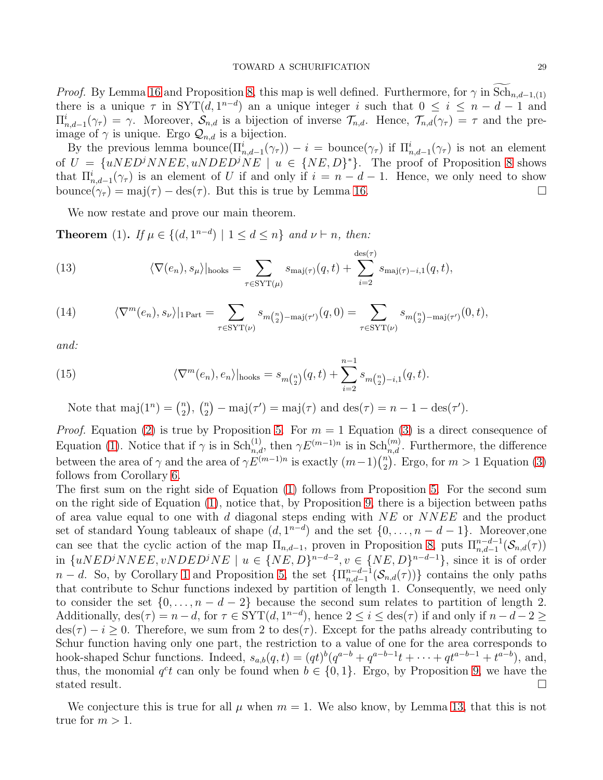*Proof.* By Lemma [16](#page-26-0) and Proposition [8,](#page-26-1) this map is well defined. Furthermore, for  $\gamma$  in  $\text{Sch}_{n,d-1,(1)}$ there is a unique  $\tau$  in  $SYT(d, 1^{n-d})$  an a unique integer i such that  $0 \leq i \leq n-d-1$  and  $\Pi_{n,d-1}^i(\gamma_\tau) = \gamma$ . Moreover,  $\mathcal{S}_{n,d}$  is a bijection of inverse  $\mathcal{T}_{n,d}$ . Hence,  $\mathcal{T}_{n,d}(\gamma_\tau) = \tau$  and the preimage of  $\gamma$  is unique. Ergo  $\mathcal{Q}_{n,d}$  is a bijection.

By the previous lemma bounce  $(\Pi_{n,d-1}^i(\gamma_{\tau})) - i = \text{bounce}(\gamma_{\tau})$  if  $\Pi_{n,d-1}^i(\gamma_{\tau})$  is not an element of  $U = \{uNED^jNNEE, uNDED^jNE \mid u \in \{NE, D\}^*\}.$  The proof of Proposition [8](#page-26-1) shows that  $\prod_{n,d-1}^{i}(\gamma_{\tau})$  is an element of U if and only if  $i = n - d - 1$ . Hence, we only need to show bounce( $\gamma_{\tau}$ ) = maj( $\tau$ ) – des( $\tau$ ). But this is true by Lemma [16.](#page-26-0)

We now restate and prove our main theorem.

**Theorem** (1). *If*  $\mu \in \{(d, 1^{n-d}) \mid 1 \leq d \leq n\}$  *and*  $\nu \vdash n$ *, then:* 

(13) 
$$
\langle \nabla(e_n), s_\mu \rangle|_{\text{hook}} = \sum_{\tau \in \text{SYT}(\mu)} s_{\text{maj}(\tau)}(q, t) + \sum_{i=2}^{\text{des}(\tau)} s_{\text{maj}(\tau) - i, 1}(q, t),
$$

(14) 
$$
\langle \nabla^m(e_n), s_\nu \rangle|_{1\,\text{Part}} = \sum_{\tau \in \text{SYT}(\nu)} s_{m\binom{n}{2} - \text{maj}(\tau')}(q,0) = \sum_{\tau \in \text{SYT}(\nu)} s_{m\binom{n}{2} - \text{maj}(\tau')}(0,t),
$$

*and:*

(15) 
$$
\langle \nabla^m(e_n), e_n \rangle|_{\text{hook}} = s_{m{n \choose 2}}(q, t) + \sum_{i=2}^{n-1} s_{m{n \choose 2} - i, 1}(q, t).
$$

Note that maj $(1^n) = {n \choose 2}$  $\binom{n}{2}$ ,  $\binom{n}{2}$  $\binom{n}{2} - \text{maj}(\tau') = \text{maj}(\tau) \text{ and } \text{des}(\tau) = n - 1 - \text{des}(\tau').$ 

*Proof.* Equation [\(2\)](#page-1-1) is true by Proposition [5.](#page-17-0) For  $m = 1$  Equation [\(3\)](#page-1-3) is a direct consequence of Equation [\(1\)](#page-1-2). Notice that if  $\gamma$  is in  $Sch^{(1)}_{n,d}$ , then  $\gamma E^{(m-1)n}$  is in  $Sch^{(m)}_{n,d}$ . Furthermore, the difference between the area of  $\gamma$  and the area of  $\gamma E^{(m-1)n}$  is exactly  $(m-1)$  $\binom{n}{2}$  $\binom{n}{2}$ . Ergo, for  $m > 1$  Equation [\(3\)](#page-1-3) follows from Corollary [6.](#page-22-0)

The first sum on the right side of Equation [\(1\)](#page-1-2) follows from Proposition [5.](#page-17-0) For the second sum on the right side of Equation [\(1\)](#page-1-2), notice that, by Proposition [9,](#page-27-0) there is a bijection between paths of area value equal to one with  $d$  diagonal steps ending with  $NE$  or  $NNEE$  and the product set of standard Young tableaux of shape  $(d, 1^{n-d})$  and the set  $\{0, \ldots, n-d-1\}$ . Moreover, one can see that the cyclic action of the map  $\Pi_{n,d-1}$ , proven in Proposition [8,](#page-26-1) puts  $\Pi_{n,d-1}^{n-d-1}(\mathcal{S}_{n,d}(\tau))$ in  $\{uNEDjNNEE, vNDEDjNE \mid u \in \{NE, D\}^{n-d-2}, v \in \{NE, D\}^{n-d-1}\},\$  since it is of order  $n-d$ . So, by Corollary [1](#page-12-4) and Proposition [5,](#page-17-0) the set  $\{\prod_{n,d=1}^{n-d-1}$  $_{n,d-1}^{n-d-1}(\mathcal{S}_{n,d}(\tau))\}$  contains the only paths that contribute to Schur functions indexed by partition of length 1. Consequently, we need only to consider the set  $\{0, \ldots, n - d - 2\}$  because the second sum relates to partition of length 2. Additionally,  $\text{des}(\tau) = n - d$ , for  $\tau \in \text{SYT}(d, 1^{n-d})$ , hence  $2 \le i \le \text{des}(\tau)$  if and only if  $n - d - 2 \ge$  $\text{des}(\tau) - i \geq 0$ . Therefore, we sum from 2 to  $\text{des}(\tau)$ . Except for the paths already contributing to Schur function having only one part, the restriction to a value of one for the area corresponds to hook-shaped Schur functions. Indeed,  $s_{a,b}(q,t) = (qt)^b(q^{a-b} + q^{a-b-1}t + \cdots + qt^{a-b-1} + t^{a-b})$ , and, thus, the monomial  $q^c t$  can only be found when  $b \in \{0, 1\}$ . Ergo, by Proposition [9,](#page-27-0) we have the stated result.  $\Box$ 

We conjecture this is true for all  $\mu$  when  $m = 1$ . We also know, by Lemma [13,](#page-18-0) that this is not true for  $m > 1$ .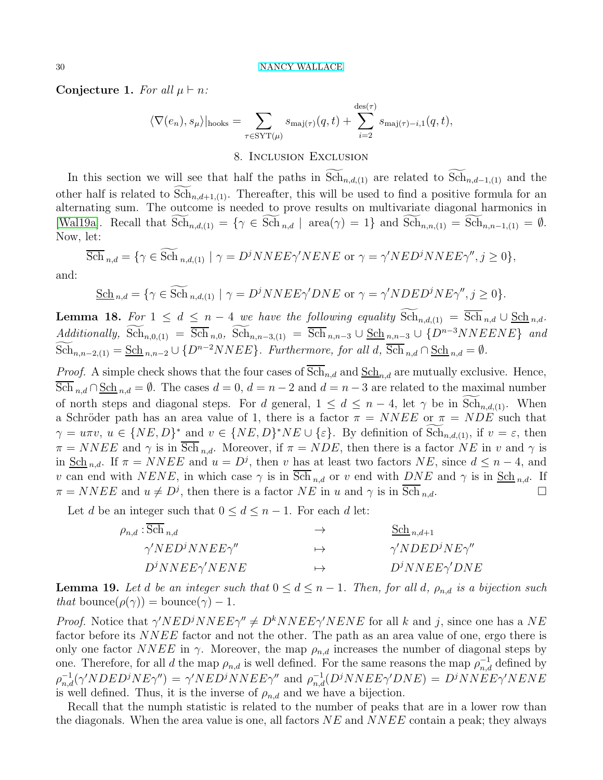<span id="page-29-3"></span>Conjecture 1. For all  $\mu \vdash n$ :

$$
\langle \nabla(e_n), s_\mu \rangle|_{\text{hook}} = \sum_{\tau \in \text{SYT}(\mu)} s_{\text{maj}(\tau)}(q, t) + \sum_{i=2}^{\text{des}(\tau)} s_{\text{maj}(\tau) - i, 1}(q, t),
$$

## 8. Inclusion Exclusion

<span id="page-29-0"></span>In this section we will see that half the paths in  $\widetilde{\text{Sch}}_{n,d,(1)}$  are related to  $\widetilde{\text{Sch}}_{n,d-1,(1)}$  and the other half is related to  $Sch_{n,d+1,(1)}$ . Thereafter, this will be used to find a positive formula for an alternating sum. The outcome is needed to prove results on multivariate diagonal harmonics in [Wal19a]. Recall that  $\text{Sch}_{n,d,(1)} = \{ \gamma \in \text{Sch}_{n,d} \mid \text{area}(\gamma) = 1 \}$  and  $\text{Sch}_{n,n,(1)} = \text{Sch}_{n,n-1,(1)} = \emptyset$ . Now, let:

$$
\overline{\text{Sch}}_{n,d} = \{ \gamma \in \widetilde{\text{Sch}}_{n,d,(1)} \mid \gamma = D^j NNEE\gamma' NENE \text{ or } \gamma = \gamma' NED^j NNEE\gamma'', j \ge 0 \},
$$

and:

$$
\underline{\text{Sch}}_{n,d} = \{ \gamma \in \mathrm{Sch}_{n,d,(1)} \mid \gamma = D^j NNEE\gamma' DNE \text{ or } \gamma = \gamma' NDED^j NE\gamma'', j \ge 0 \}.
$$

<span id="page-29-2"></span>**Lemma 18.** For  $1 \leq d \leq n-4$  we have the following equality  $\widetilde{\text{Sch}}_{n,d,(1)} = \overline{\text{Sch}}_{n,d} \cup \underline{\text{Sch}}_{n,d}$ .  $Additionally, \widetilde{\text{Sch}}_{n,0,(1)} = \overline{\text{Sch}}_{n,0}, \widetilde{\text{Sch}}_{n,n-3,(1)} = \overline{\text{Sch}}_{n,n-3} \cup \underline{\text{Sch}}_{n,n-3} \cup \{D^{n-3}NNEENE\}$  and  $\widetilde{\text{Sch}}_{n,n-2,(1)} = \underline{\text{Sch}}_{n,n-2} \cup \{D^{n-2}NNEE\}$ . Furthermore, for all d,  $\overline{\text{Sch}}_{n,d} \cap \underline{\text{Sch}}_{n,d} = \emptyset$ .

*Proof.* A simple check shows that the four cases of  $\overline{\text{Sch}}_{n,d}$  and  $\underline{\text{Sch}}_{n,d}$  are mutually exclusive. Hence, Sch  $_{n,d} \cap \underline{\text{Sch}}_{n,d} = \emptyset$ . The cases  $d = 0$ ,  $d = n - 2$  and  $d = n - 3$  are related to the maximal number of north steps and diagonal steps. For d general,  $1 \leq d \leq n-4$ , let  $\gamma$  be in  $\text{Sch}_{n,d,(1)}$ . When a Schröder path has an area value of 1, there is a factor  $\pi = NNEE$  or  $\pi = NDE$  such that  $\gamma = u\pi v, u \in \{NE, D\}^*$  and  $v \in \{NE, D\}^*NE \cup \{\varepsilon\}$ . By definition of  $Sch_{n,d,(1)}$ , if  $v = \varepsilon$ , then  $\pi = NNEE$  and  $\gamma$  is in  $\overline{Sch}_{n,d}$ . Moreover, if  $\pi = NDE$ , then there is a factor NE in v and  $\gamma$  is in  $\underline{\text{Sch}}_{n,d}$ . If  $\pi = NNEE$  and  $u = D^j$ , then v has at least two factors NE, since  $d \leq n-4$ , and v can end with NENE, in which case  $\gamma$  is in  $\overline{\text{Sch}}_{n,d}$  or v end with DNE and  $\gamma$  is in  $\underline{\text{Sch}}_{n,d}$ . If  $\pi = NNEE$  and  $u \neq D^j$ , then there is a factor  $NE$  in u and  $\gamma$  is in  $\overline{\text{Sch}}_{n,d}$ .

Let d be an integer such that  $0 \leq d \leq n-1$ . For each d let:

$$
\rho_{n,d} : \overline{\text{Sch}}_{n,d} \longrightarrow \underline{\text{Sch}}_{n,d+1}
$$
  
\n
$$
\gamma' NED^j NNEE\gamma'' \longrightarrow \gamma' NDED^j N E\gamma''
$$
  
\n
$$
D^j NNEE\gamma' NENE \longrightarrow D^j NNEE\gamma' DNE
$$

<span id="page-29-1"></span>**Lemma 19.** Let *d* be an integer such that  $0 \leq d \leq n-1$ . Then, for all *d*,  $\rho_{n,d}$  *is a bijection such that* bounce $(\rho(\gamma))$  = bounce $(\gamma)$  - 1*.* 

*Proof.* Notice that  $\gamma' N E D^j N N E E \gamma'' \neq D^k N N E E \gamma' N E N E$  for all k and j, since one has a NE factor before its *NNEE* factor and not the other. The path as an area value of one, ergo there is only one factor NNEE in  $\gamma$ . Moreover, the map  $\rho_{n,d}$  increases the number of diagonal steps by one. Therefore, for all d the map  $\rho_{n,d}$  is well defined. For the same reasons the map  $\rho_{n,d}^{-1}$  defined by  $\rho_{n,d}^{-1}(\gamma' NDED^j N E \gamma'') = \gamma' NED^j NNE E \gamma''$  and  $\rho_{n,d}^{-1}(D^j NNE E \gamma' DNE) = D^j NNE E \gamma' NENE$ is well defined. Thus, it is the inverse of  $\rho_{n,d}$  and we have a bijection.

Recall that the numph statistic is related to the number of peaks that are in a lower row than the diagonals. When the area value is one, all factors  $NE$  and  $NNEE$  contain a peak; they always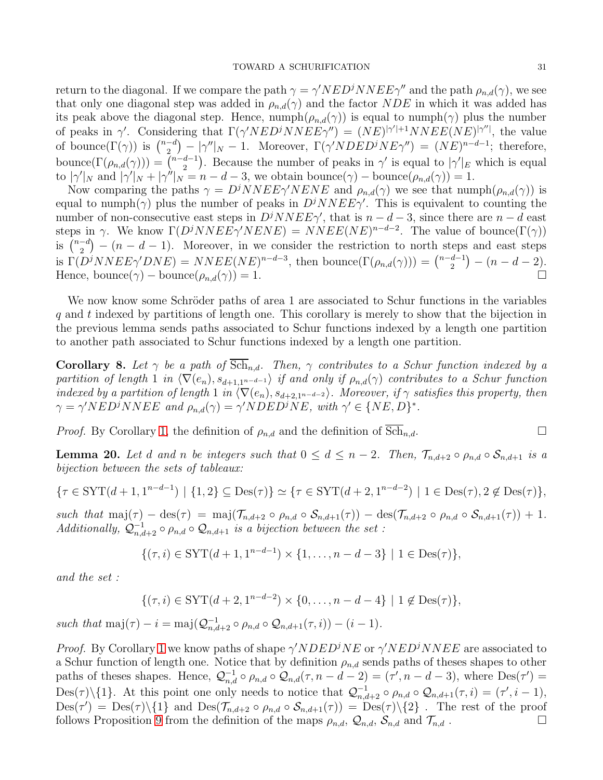return to the diagonal. If we compare the path  $\gamma = \gamma' N E D^j N N E E \gamma''$  and the path  $\rho_{n,d}(\gamma)$ , we see that only one diagonal step was added in  $\rho_{n,d}(\gamma)$  and the factor NDE in which it was added has its peak above the diagonal step. Hence,  $\text{number}(p_{n,d}(\gamma))$  is equal to  $\text{number}(p)$  plus the number of peaks in  $\gamma'$ . Considering that  $\Gamma(\gamma' N E D^j N N E E \gamma'') = (N E)^{|\gamma'|+1} N N E E (N E)^{|\gamma''|}$ , the value of bounce( $\Gamma(\gamma)$ ) is  $\binom{n-d}{2}$  $\Gamma(\gamma' N D E D^{j} N E \gamma'') = (N E)^{n-d-1}$ ; therefore, bounce $(\Gamma(\rho_{n,d}(\gamma))) = \overline{\binom{n-d-1}{2}}$  $\binom{d-1}{2}$ . Because the number of peaks in  $\gamma'$  is equal to  $|\gamma'|_E$  which is equal to  $|\gamma'|_N$  and  $|\gamma'|_N + |\gamma''|_N = n - d - 3$ , we obtain bounce $(\gamma)$  – bounce $(\rho_{n,d}(\gamma)) = 1$ .

Now comparing the paths  $\gamma = D^jNNEE\gamma'NENE$  and  $\rho_{n,d}(\gamma)$  we see that numph $(\rho_{n,d}(\gamma))$  is equal to numph( $\gamma$ ) plus the number of peaks in  $D<sup>j</sup>NNEE\gamma'$ . This is equivalent to counting the number of non-consecutive east steps in  $D<sup>j</sup>NNEE\gamma'$ , that is  $n-d-3$ , since there are  $n-d$  east steps in  $\gamma$ . We know  $\Gamma(D^jNNEE\gamma'NENE) = NNEE(NE)^{n-d-2}$ . The value of bounce $(\Gamma(\gamma))$ is  $\binom{n-d}{2}$  $\binom{-d}{2} - (n - d - 1)$ . Moreover, in we consider the restriction to north steps and east steps is  $\Gamma(D^jNNEE\gamma'DNE) = NNEE(NE)^{n-d-3}$ , then bounce $(\Gamma(\rho_{n,d}(\gamma))) = \binom{n-d-1}{2}$  $\binom{d-1}{2} - (n-d-2).$ Hence, bounce( $\gamma$ ) – bounce( $\rho_{n,d}(\gamma)$ ) = 1.

We now know some Schröder paths of area 1 are associated to Schur functions in the variables q and t indexed by partitions of length one. This corollary is merely to show that the bijection in the previous lemma sends paths associated to Schur functions indexed by a length one partition to another path associated to Schur functions indexed by a length one partition.

<span id="page-30-0"></span>Corollary 8. Let  $\gamma$  be a path of  $\overline{\text{Sch}}_{n,d}$ . Then,  $\gamma$  contributes to a Schur function indexed by a *partition of length* 1 *in*  $\langle \nabla(e_n), s_{d+1,1^{n-d-1}} \rangle$  *if and only if*  $\rho_{n,d}(\gamma)$  *contributes to a Schur function indexed by a partition of length* 1 *in*  $\langle \nabla(e_n), s_{d+2,1^{n-d-2}} \rangle$ *. Moreover, if*  $\gamma$  *satisfies this property, then*  $\gamma = \gamma' NED^j NNEE$  and  $\rho_{n,d}(\gamma) = \gamma' NDED^j NE$ , with  $\gamma' \in \{NE, D\}^*$ .

*Proof.* By Corollary [1,](#page-12-4) the definition of  $\rho_{n,d}$  and the definition of  $Sch_{n,d}$ .

<span id="page-30-1"></span>**Lemma 20.** Let d and n be integers such that  $0 \leq d \leq n-2$ . Then,  $\mathcal{T}_{n,d+2} \circ \rho_{n,d} \circ \mathcal{S}_{n,d+1}$  is a *bijection between the sets of tableaux:*

$$
\{\tau \in \text{SYT}(d+1, 1^{n-d-1}) \mid \{1,2\} \subseteq \text{Des}(\tau)\} \simeq \{\tau \in \text{SYT}(d+2, 1^{n-d-2}) \mid 1 \in \text{Des}(\tau), 2 \notin \text{Des}(\tau)\},
$$

*such that* maj( $\tau$ ) – des( $\tau$ ) = maj( $\mathcal{T}_{n,d+2} \circ \rho_{n,d} \circ \mathcal{S}_{n,d+1}(\tau)$ ) – des( $\mathcal{T}_{n,d+2} \circ \rho_{n,d} \circ \mathcal{S}_{n,d+1}(\tau)$ ) + 1. *Additionally,*  $Q_{n,d+2}^{-1} \circ \rho_{n,d} \circ Q_{n,d+1}$  *is a bijection between the set :* 

$$
\{(\tau, i) \in \text{SYT}(d+1, 1^{n-d-1}) \times \{1, \dots, n-d-3\} \mid 1 \in \text{Des}(\tau)\},
$$

*and the set :*

$$
\{(\tau, i) \in \text{SYT}(d+2, 1^{n-d-2}) \times \{0, \dots, n-d-4\} \mid 1 \notin \text{Des}(\tau)\},\
$$

*such that* maj( $\tau$ ) –  $i = \text{maj}(\mathcal{Q}_{n,d+2}^{-1} \circ \rho_{n,d} \circ \mathcal{Q}_{n,d+1}(\tau, i)) - (i - 1)$ .

*Proof.* By Corollary [1](#page-12-4) we know paths of shape  $\gamma' N D E D^j N E$  or  $\gamma' N E D^j N N E E$  are associated to a Schur function of length one. Notice that by definition  $\rho_{n,d}$  sends paths of theses shapes to other paths of theses shapes. Hence,  $\mathcal{Q}_{n,d}^{-1} \circ \rho_{n,d} \circ \mathcal{Q}_{n,d}(\tau, n-d-2) = (\tau', n-d-3)$ , where  $\text{Des}(\tau') =$ Des $(\tau)\setminus\{1\}$ . At this point one only needs to notice that  $\mathcal{Q}_{n,d+2}^{-1} \circ \rho_{n,d} \circ \mathcal{Q}_{n,d+1}(\tau,i) = (\tau',i-1),$  $\text{Des}(\tau') = \text{Des}(\tau) \setminus \{1\}$  and  $\text{Des}(\mathcal{T}_{n,d+2} \circ \rho_{n,d} \circ \mathcal{S}_{n,d+1}(\tau)) = \text{Des}(\tau) \setminus \{2\}$ . The rest of the proof follows Proposition [9](#page-27-0) from the definition of the maps  $\rho_{n,d}$ ,  $\mathcal{Q}_{n,d}$ ,  $\mathcal{S}_{n,d}$  and  $\mathcal{T}_{n,d}$ .

$$
\Box
$$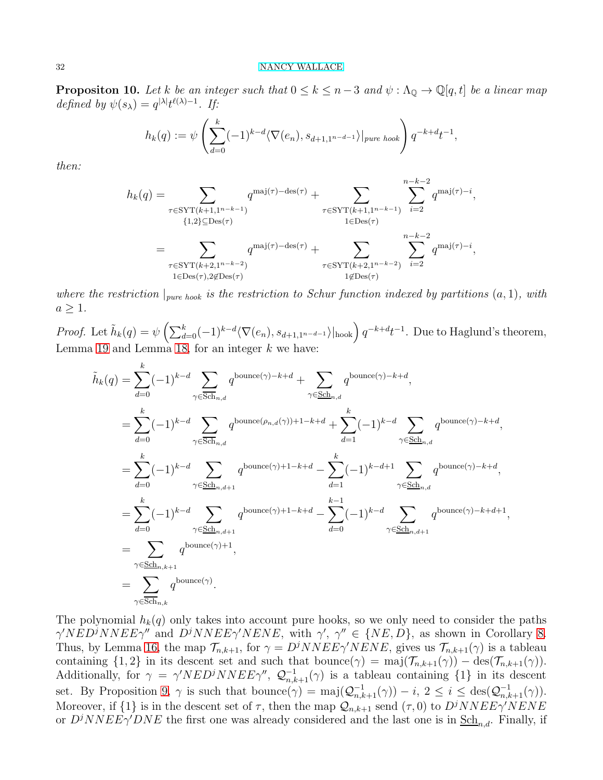**Propositon 10.** Let k be an integer such that  $0 \le k \le n-3$  and  $\psi : \Lambda_{\mathbb{Q}} \to \mathbb{Q}[q, t]$  be a linear map *defined by*  $\psi(s_\lambda) = q^{|\lambda|} t^{\ell(\lambda)-1}$ *. If:* 

$$
h_k(q) := \psi\left(\sum_{d=0}^k (-1)^{k-d} \langle \nabla(e_n), s_{d+1,1^{n-d-1}} \rangle|_{pure\;hook}\right) q^{-k+d} t^{-1},
$$

*then:*

$$
h_k(q) = \sum_{\tau \in \text{SYT}(k+1,1^{n-k-1})} q^{\text{maj}(\tau) - \text{des}(\tau)} + \sum_{\tau \in \text{SYT}(k+1,1^{n-k-1})} \sum_{i=2}^{n-k-2} q^{\text{maj}(\tau) - i},
$$
  
\n
$$
= \sum_{\tau \in \text{SYT}(k+2,1^{n-k-2})} q^{\text{maj}(\tau) - \text{des}(\tau)} + \sum_{\tau \in \text{SYT}(k+2,1^{n-k-2})} \sum_{i=2}^{n-k-2} q^{\text{maj}(\tau) - i},
$$
  
\n
$$
1 \in \text{Des}(\tau), 2 \notin \text{Des}(\tau)
$$

where the restriction  $\vert_{pure\;hook}$  *is the restriction to Schur function indexed by partitions*  $(a, 1)$ *, with*  $a \geq 1$ .

*Proof.* Let  $\tilde{h}_k(q) = \psi\left(\sum_{d=0}^k (-1)^{k-d} \langle \nabla(e_n), s_{d+1,1^{n-d-1}} \rangle|_{\text{hook}}\right) q^{-k+d} t^{-1}$ . Due to Haglund's theorem, Lemma [19](#page-29-1) and Lemma [18,](#page-29-2) for an integer  $k$  we have:

$$
\tilde{h}_k(q) = \sum_{d=0}^k (-1)^{k-d} \sum_{\gamma \in \overline{\text{Sch}}_{n,d}} q^{\text{bounce}(\gamma) - k + d} + \sum_{\gamma \in \overline{\text{Sch}}_{n,d}} q^{\text{bounce}(\gamma) - k + d},
$$
\n
$$
= \sum_{d=0}^k (-1)^{k-d} \sum_{\gamma \in \overline{\text{Sch}}_{n,d}} q^{\text{bounce}(\rho_{n,d}(\gamma)) + 1 - k + d} + \sum_{d=1}^k (-1)^{k-d} \sum_{\gamma \in \overline{\text{Sch}}_{n,d}} q^{\text{bounce}(\gamma) - k + d},
$$
\n
$$
= \sum_{d=0}^k (-1)^{k-d} \sum_{\gamma \in \overline{\text{Sch}}_{n,d+1}} q^{\text{bounce}(\gamma) + 1 - k + d} - \sum_{d=1}^k (-1)^{k-d+1} \sum_{\gamma \in \overline{\text{Sch}}_{n,d}} q^{\text{bounce}(\gamma) - k + d},
$$
\n
$$
= \sum_{d=0}^k (-1)^{k-d} \sum_{\gamma \in \overline{\text{Sch}}_{n,d+1}} q^{\text{bounce}(\gamma) + 1 - k + d} - \sum_{d=0}^{k-1} (-1)^{k-d} \sum_{\gamma \in \overline{\text{Sch}}_{n,d+1}} q^{\text{bounce}(\gamma) - k + d + 1},
$$
\n
$$
= \sum_{\gamma \in \overline{\text{Sch}}_{n,k+1}} q^{\text{bounce}(\gamma) + 1},
$$
\n
$$
= \sum_{\gamma \in \overline{\text{Sch}}_{n,k}} q^{\text{bounce}(\gamma) + 1},
$$

The polynomial  $h_k(q)$  only takes into account pure hooks, so we only need to consider the paths  $\gamma'NED^jNNEE\gamma''$  and  $D^jNNEE\gamma'NENE$ , with  $\gamma', \gamma'' \in \{NE, D\}$ , as shown in Corollary [8.](#page-30-0) Thus, by Lemma [16,](#page-26-0) the map  $\mathcal{T}_{n,k+1}$ , for  $\gamma = D^jNNEE\gamma'NENE$ , gives us  $\mathcal{T}_{n,k+1}(\gamma)$  is a tableau containing  $\{1, 2\}$  in its descent set and such that bounce $(\gamma) = \text{maj}(\mathcal{T}_{n,k+1}(\gamma)) - \text{des}(\mathcal{T}_{n,k+1}(\gamma)).$ Additionally, for  $\gamma = \gamma' N E D^j N N E E \gamma''$ ,  $\mathcal{Q}_{n,k+1}^{-1}(\gamma)$  is a tableau containing  $\{1\}$  in its descent set. By Proposition [9,](#page-27-0)  $\gamma$  is such that bounce $(\gamma) = \text{maj}(\mathcal{Q}_{n,k+1}^{-1}(\gamma)) - i$ ,  $2 \leq i \leq \text{des}(\mathcal{Q}_{n,k+1}^{-1}(\gamma))$ . Moreover, if  $\{1\}$  is in the descent set of  $\tau$ , then the map  $\mathcal{Q}_{n,k+1}$  send  $(\tau,0)$  to  $D^jNNEE\gamma'NENE$ or  $D^jNNEE\gamma'DNE$  the first one was already considered and the last one is in  $\underline{\text{Sch}}_{n,d}$ . Finally, if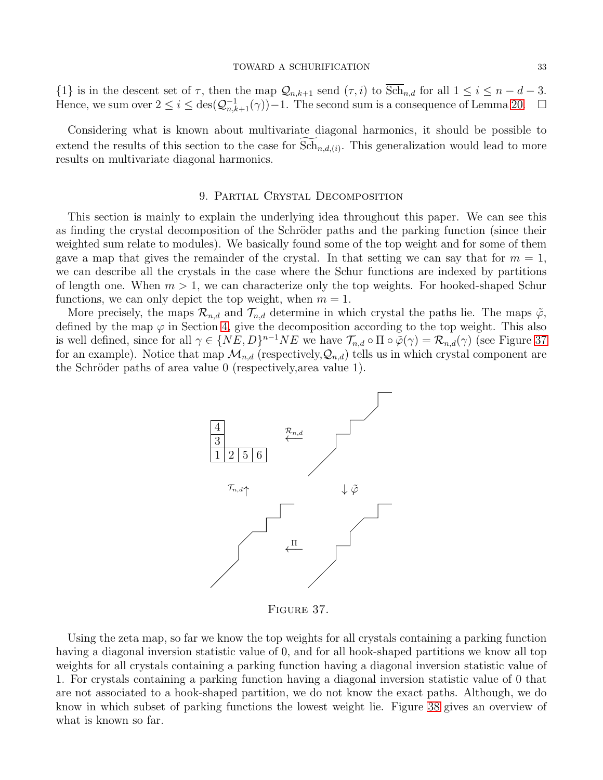{1} is in the descent set of  $\tau$ , then the map  $\mathcal{Q}_{n,k+1}$  send  $(\tau, i)$  to  $\overline{\text{Sch}}_{n,d}$  for all  $1 \leq i \leq n-d-3$ . Hence, we sum over  $2 \le i \le \text{des}(\mathcal{Q}_{n,k+1}^{-1}(\gamma)) - 1$ . The second sum is a consequence of Lemma [20.](#page-30-1)  $\Box$ 

Considering what is known about multivariate diagonal harmonics, it should be possible to extend the results of this section to the case for  $Sch_{n,d,(i)}$ . This generalization would lead to more results on multivariate diagonal harmonics.

## 9. Partial Crystal Decomposition

<span id="page-32-0"></span>This section is mainly to explain the underlying idea throughout this paper. We can see this as finding the crystal decomposition of the Schröder paths and the parking function (since their weighted sum relate to modules). We basically found some of the top weight and for some of them gave a map that gives the remainder of the crystal. In that setting we can say that for  $m = 1$ , we can describe all the crystals in the case where the Schur functions are indexed by partitions of length one. When  $m > 1$ , we can characterize only the top weights. For hooked-shaped Schur functions, we can only depict the top weight, when  $m = 1$ .

More precisely, the maps  $\mathcal{R}_{n,d}$  and  $\mathcal{T}_{n,d}$  determine in which crystal the paths lie. The maps  $\tilde{\varphi}$ , defined by the map  $\varphi$  in Section [4,](#page-7-0) give the decomposition according to the top weight. This also is well defined, since for all  $\gamma \in \{NE, D\}^{n-1}NE$  we have  $\mathcal{T}_{n,d} \circ \Pi \circ \tilde{\varphi}(\gamma) = \mathcal{R}_{n,d}(\gamma)$  (see Figure [37](#page-32-1) for an example). Notice that map  $\mathcal{M}_{n,d}$  (respectively,  $\mathcal{Q}_{n,d}$ ) tells us in which crystal component are the Schröder paths of area value  $0$  (respectively, area value 1).



<span id="page-32-1"></span>FIGURE 37.

Using the zeta map, so far we know the top weights for all crystals containing a parking function having a diagonal inversion statistic value of 0, and for all hook-shaped partitions we know all top weights for all crystals containing a parking function having a diagonal inversion statistic value of 1. For crystals containing a parking function having a diagonal inversion statistic value of 0 that are not associated to a hook-shaped partition, we do not know the exact paths. Although, we do know in which subset of parking functions the lowest weight lie. Figure [38](#page-33-1) gives an overview of what is known so far.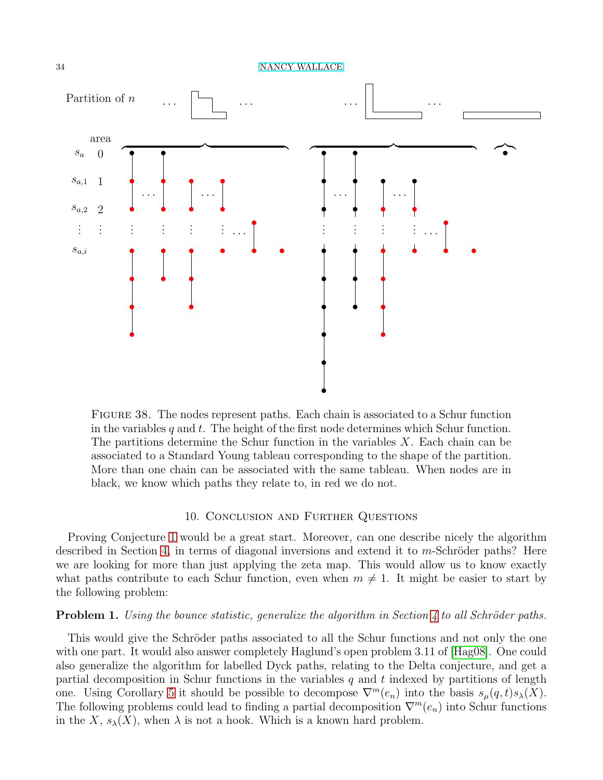

<span id="page-33-1"></span>Figure 38. The nodes represent paths. Each chain is associated to a Schur function in the variables q and t. The height of the first node determines which Schur function. The partitions determine the Schur function in the variables  $X$ . Each chain can be associated to a Standard Young tableau corresponding to the shape of the partition. More than one chain can be associated with the same tableau. When nodes are in black, we know which paths they relate to, in red we do not.

### 10. Conclusion and Further Questions

<span id="page-33-0"></span>Proving Conjecture [1](#page-29-3) would be a great start. Moreover, can one describe nicely the algorithm described in Section [4,](#page-7-0) in terms of diagonal inversions and extend it to  $m$ -Schröder paths? Here we are looking for more than just applying the zeta map. This would allow us to know exactly what paths contribute to each Schur function, even when  $m \neq 1$ . It might be easier to start by the following problem:

# Problem 1. *Using the bounce statistic, generalize the algorithm in Section* [4](#page-7-0) *to all Schröder paths.*

This would give the Schröder paths associated to all the Schur functions and not only the one with one part. It would also answer completely Haglund's open problem 3.11 of [Hag08]. One could also generalize the algorithm for labelled Dyck paths, relating to the Delta conjecture, and get a partial decomposition in Schur functions in the variables  $q$  and  $t$  indexed by partitions of length one. Using Corollary [5](#page-22-1) it should be possible to decompose  $\nabla^{m}(e_n)$  into the basis  $s_{\mu}(q, t)s_{\lambda}(X)$ . The following problems could lead to finding a partial decomposition  $\nabla^{m}(e_n)$  into Schur functions in the X,  $s_{\lambda}(X)$ , when  $\lambda$  is not a hook. Which is a known hard problem.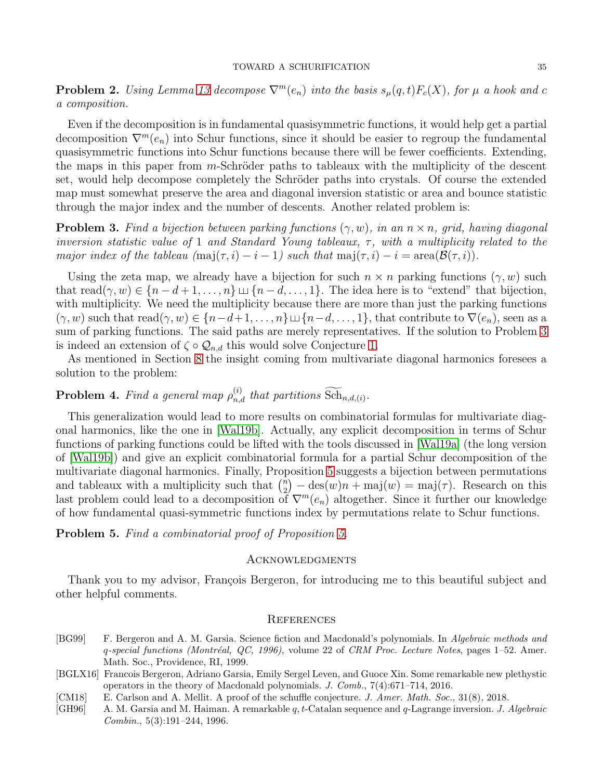**Problem 2.** *Using Lemma* [13](#page-18-0) decompose  $\nabla^{m}(e_n)$  *into the basis*  $s_{\mu}(q, t)F_c(X)$ *, for*  $\mu$  *a hook and* c *a composition.*

Even if the decomposition is in fundamental quasisymmetric functions, it would help get a partial decomposition  $\nabla^{m}(e_n)$  into Schur functions, since it should be easier to regroup the fundamental quasisymmetric functions into Schur functions because there will be fewer coefficients. Extending, the maps in this paper from  $m$ -Schröder paths to tableaux with the multiplicity of the descent set, would help decompose completely the Schröder paths into crystals. Of course the extended map must somewhat preserve the area and diagonal inversion statistic or area and bounce statistic through the major index and the number of descents. Another related problem is:

<span id="page-34-2"></span>Problem 3. *Find a bijection between parking functions* (γ, w)*, in an* n × n*, grid, having diagonal inversion statistic value of* 1 *and Standard Young tableaux,*  $\tau$ , with a multiplicity related to the *major index of the tableau*  $(maj(\tau, i) - i - 1)$  *such that*  $maj(\tau, i) - i = \text{area}(\mathcal{B}(\tau, i)).$ 

Using the zeta map, we already have a bijection for such  $n \times n$  parking functions  $(\gamma, w)$  such that read $(\gamma, w) \in \{n-d+1, \ldots, n\} \sqcup \{n-d, \ldots, 1\}$ . The idea here is to "extend" that bijection, with multiplicity. We need the multiplicity because there are more than just the parking functions  $(\gamma, w)$  such that read $(\gamma, w) \in \{n-d+1, \ldots, n\} \sqcup \{n-d, \ldots, 1\}$ , that contribute to  $\nabla(e_n)$ , seen as a sum of parking functions. The said paths are merely representatives. If the solution to Problem [3](#page-34-2) is indeed an extension of  $\zeta \circ \mathcal{Q}_{n,d}$  this would solve Conjecture [1.](#page-29-3)

As mentioned in Section [8](#page-29-0) the insight coming from multivariate diagonal harmonics foresees a solution to the problem:

# **Problem 4.** *Find a general map*  $\rho_{n,d}^{(i)}$  *that partitions*  $\widetilde{\text{Sch}}_{n,d,(i)}$ *.*

This generalization would lead to more results on combinatorial formulas for multivariate diagonal harmonics, like the one in [Wal19b]. Actually, any explicit decomposition in terms of Schur functions of parking functions could be lifted with the tools discussed in [Wal19a] (the long version of [Wal19b]) and give an explicit combinatorial formula for a partial Schur decomposition of the multivariate diagonal harmonics. Finally, Proposition [5](#page-17-0) suggests a bijection between permutations and tableaux with a multiplicity such that  $\binom{n}{2}$  $\binom{n}{2} - \text{des}(w)n + \text{maj}(w) = \text{maj}(\tau)$ . Research on this last problem could lead to a decomposition of  $\nabla^m(e_n)$  altogether. Since it further our knowledge of how fundamental quasi-symmetric functions index by permutations relate to Schur functions.

Problem 5. *Find a combinatorial proof of Proposition [5.](#page-17-0)*

## <span id="page-34-0"></span>**ACKNOWLEDGMENTS**

Thank you to my advisor, François Bergeron, for introducing me to this beautiful subject and other helpful comments.

#### <span id="page-34-1"></span>**REFERENCES**

- [BG99] F. Bergeron and A. M. Garsia. Science fiction and Macdonald's polynomials. In *Algebraic methods and* q*-special functions (Montr´eal, QC, 1996)*, volume 22 of *CRM Proc. Lecture Notes*, pages 1–52. Amer. Math. Soc., Providence, RI, 1999.
- [BGLX16] Francois Bergeron, Adriano Garsia, Emily Sergel Leven, and Guoce Xin. Some remarkable new plethystic operators in the theory of Macdonald polynomials. *J. Comb.*, 7(4):671–714, 2016.
- [CM18] E. Carlson and A. Mellit. A proof of the schuffle conjecture. *J. Amer. Math. Soc.*, 31(8), 2018.
- [GH96] A. M. Garsia and M. Haiman. A remarkable q, t-Catalan sequence and q-Lagrange inversion. *J. Algebraic Combin.*, 5(3):191–244, 1996.